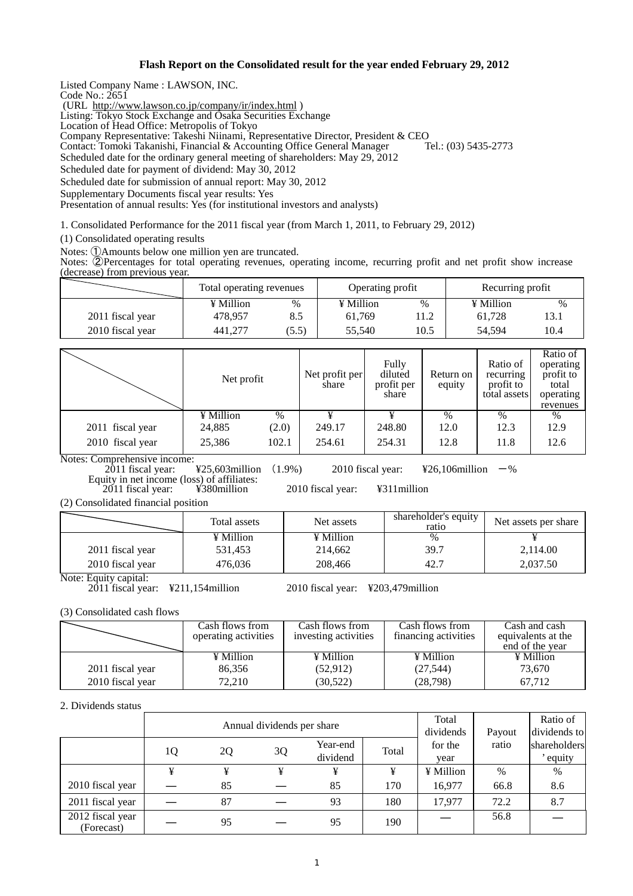### **Flash Report on the Consolidated result for the year ended February 29, 2012**

Listed Company Name : LAWSON, INC.

Code No.: 2651

(URL http://www.lawson.co.jp/company/ir/index.html )

Listing: Tokyo Stock Exchange and Osaka Securities Exchange

Location of Head Office: Metropolis of Tokyo

Company Representative: Takeshi Niinami, Representative Director, President & CEO Contact: Tomoki Takanishi, Financial & Accounting Office General Manager

Scheduled date for the ordinary general meeting of shareholders: May 29, 2012

Scheduled date for payment of dividend: May 30, 2012

Scheduled date for submission of annual report: May 30, 2012

Supplementary Documents fiscal year results: Yes

Presentation of annual results: Yes (for institutional investors and analysts)

1. Consolidated Performance for the 2011 fiscal year (from March 1, 2011, to February 29, 2012)

(1) Consolidated operating results

Notes: ①Amounts below one million yen are truncated.

Notes: ②Percentages for total operating revenues, operating income, recurring profit and net profit show increase (decrease) from previous year.

|                  | Total operating revenues |       | Operating profit |      | Recurring profit |      |
|------------------|--------------------------|-------|------------------|------|------------------|------|
|                  | ¥ Million                | $\%$  | ¥ Million        | %    | ¥ Million        | %    |
| 2011 fiscal year | 478.957                  |       | 61.769           | 11.2 | 61.728           | 13.  |
| 2010 fiscal year | 441.277                  | (5.5) | 55.540           | 10.5 | 54.594           | 10.4 |

|                  | Net profit |       | Net profit per<br>share | Fully<br>diluted<br>profit per<br>share | Return on<br>equity | Ratio of<br>recurring<br>profit to<br>total assets | Ratio of<br>operating<br>profit to<br>total<br>operating<br>revenues |
|------------------|------------|-------|-------------------------|-----------------------------------------|---------------------|----------------------------------------------------|----------------------------------------------------------------------|
|                  | ¥ Million  | $\%$  |                         |                                         | $\%$                | $\%$                                               | %                                                                    |
| 2011 fiscal year | 24,885     | (2.0) | 249.17                  | 248.80                                  | 12.0                | 12.3                                               | 12.9                                                                 |
| 2010 fiscal year | 25,386     | 102.1 | 254.61                  | 254.31                                  | 12.8                | 11.8                                               | 12.6                                                                 |

Notes: Comprehensive income:<br>2011 fiscal year:

 $425,603$  million (1.9%) 2010 fiscal year:  $426,106$  million  $-$ %

Equity in net income (loss) of affiliates:<br>2011 fiscal year: ¥380million

2011 fiscal year: ¥380million 2010 fiscal year: ¥311million

(2) Consolidated financial position

|                       | Total assets | Net assets | shareholder's equity<br>ratio | Net assets per share |
|-----------------------|--------------|------------|-------------------------------|----------------------|
|                       | ¥ Million    | ¥ Million  | %                             |                      |
| 2011 fiscal year      | 531.453      | 214,662    | 39.7                          | 2,114.00             |
| 2010 fiscal year      | 476.036      | 208,466    | 42.7                          | 2,037.50             |
| Note: Equity capital: |              |            |                               |                      |

2011 fiscal year: ¥211,154million 2010 fiscal year: ¥203,479million

(3) Consolidated cash flows

|                  | Cash flows from      | Cash flows from      | Cash flows from      | Cash and cash      |
|------------------|----------------------|----------------------|----------------------|--------------------|
|                  | operating activities | investing activities | financing activities | equivalents at the |
|                  |                      |                      |                      | end of the year    |
|                  | ¥ Million            | ¥ Million            | ¥ Million            | ¥ Million          |
| 2011 fiscal year | 86.356               | (52, 912)            | (27, 544)            | 73,670             |
| 2010 fiscal year | 72.210               | (30, 522)            | (28, 798)            | 67.712             |

#### 2. Dividends status

|                                | Annual dividends per share |    |    |                      |       | Total<br>dividends | Payout | Ratio of<br>dividends to |
|--------------------------------|----------------------------|----|----|----------------------|-------|--------------------|--------|--------------------------|
|                                | 1Q                         | 2Q | 3Q | Year-end<br>dividend | Total | for the<br>year    | ratio  | shareholders<br>equity   |
|                                | ¥                          | ¥  | ¥  |                      | ¥     | ¥ Million          | %      | $\%$                     |
| 2010 fiscal year               |                            | 85 |    | 85                   | 170   | 16,977             | 66.8   | 8.6                      |
| 2011 fiscal year               |                            | 87 |    | 93                   | 180   | 17.977             | 72.2   | 8.7                      |
| 2012 fiscal year<br>(Forecast) |                            | 95 |    | 95                   | 190   |                    | 56.8   |                          |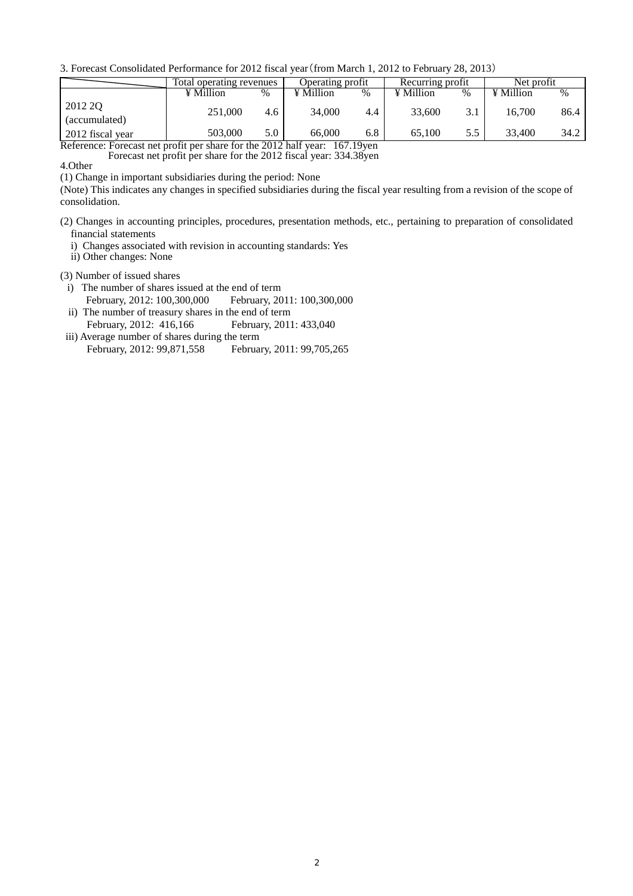3. Forecast Consolidated Performance for 2012 fiscal year(from March 1, 2012 to February 28, 2013)

|                                                                            | Total operating revenues |      | Operating profit |     | Recurring profit |     | Net profit |      |
|----------------------------------------------------------------------------|--------------------------|------|------------------|-----|------------------|-----|------------|------|
|                                                                            | ¥ Million                | $\%$ | ¥ Million        | %   | ¥ Million        | %   | ¥ Million  | $\%$ |
| 2012 2Q<br>(accumulated)                                                   | 251,000                  | 4.6  | 34,000           | 4.4 | 33,600           | 3.1 | 16.700     | 86.4 |
| 2012 fiscal year                                                           | 503,000                  | 5.0  | 66,000           | 6.8 | 65,100           | 5.5 | 33.400     | 34.2 |
| Reference: Forecast net profit per share for the 2012 half year: 167.19yen |                          |      |                  |     |                  |     |            |      |

Forecast net profit per share for the 2012 fiscal year: 334.38yen

4.Other

(1) Change in important subsidiaries during the period: None

(Note) This indicates any changes in specified subsidiaries during the fiscal year resulting from a revision of the scope of consolidation.

- (2) Changes in accounting principles, procedures, presentation methods, etc., pertaining to preparation of consolidated financial statements
	- i) Changes associated with revision in accounting standards: Yes
- ii) Other changes: None
- (3) Number of issued shares
	- i) The number of shares issued at the end of term February, 2012: 100,300,000 February, 2011: 100,300,000
	- ii) The number of treasury shares in the end of term February, 2012: 416,166 February, 2011: 433,040
- iii) Average number of shares during the term February, 2012: 99,871,558 February, 2011: 99,705,265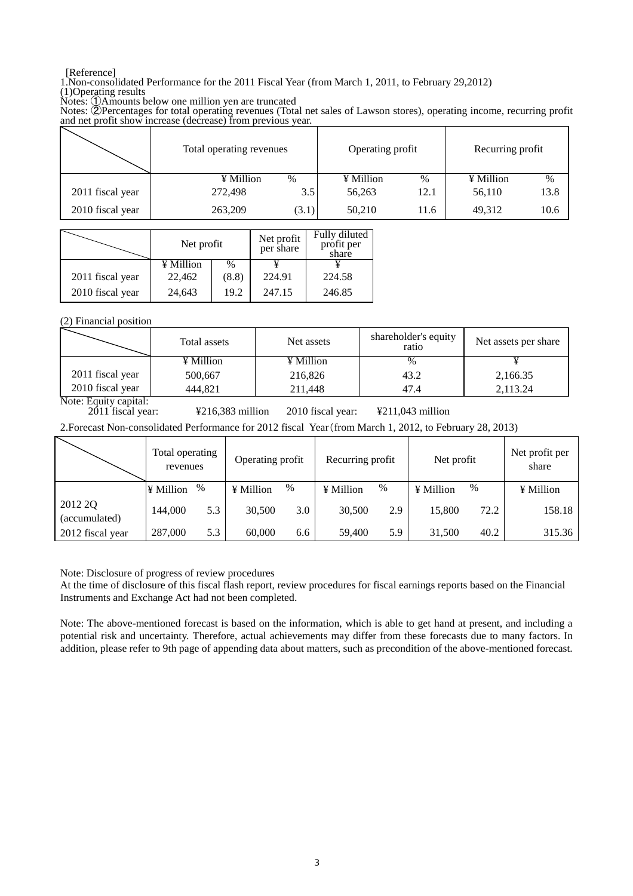### [Reference]

1.Non-consolidated Performance for the 2011 Fiscal Year (from March 1, 2011, to February 29,2012) (1)Operating results

Notes: ①Amounts below one million yen are truncated

Notes: ②Percentages for total operating revenues (Total net sales of Lawson stores), operating income, recurring profit and net profit show increase (decrease) from previous year.

|                  | Total operating revenues | Operating profit | Recurring profit |  |
|------------------|--------------------------|------------------|------------------|--|
|                  | ¥ Million                | ¥ Million        | ¥ Million        |  |
|                  | %                        | %                | %                |  |
| 2011 fiscal year | 3.5                      | 12.1             | 13.8             |  |
|                  | 272,498                  | 56,263           | 56,110           |  |
| 2010 fiscal year | 263,209                  | 50,210           | 49,312           |  |
|                  | (3.1)                    | 11.6             | 10.6             |  |

|                  | Net profit |       | Net profit<br>per share | Fully diluted<br>profit per<br>share |
|------------------|------------|-------|-------------------------|--------------------------------------|
|                  | ¥ Million  | $\%$  |                         |                                      |
| 2011 fiscal year | 22,462     | (8.8) | 224.91                  | 224.58                               |
| 2010 fiscal year | 24,643     | 19.2  | 247.15                  | 246.85                               |

(2) Financial position

|                  | Total assets | Net assets | shareholder's equity<br>ratio | Net assets per share |
|------------------|--------------|------------|-------------------------------|----------------------|
|                  | ¥ Million    | ¥ Million  | $\%$                          |                      |
| 2011 fiscal year | 500,667      | 216,826    | 43.2                          | 2,166.35             |
| 2010 fiscal year | 444.821      | 211.448    | 47.4                          | 2.113.24             |

Note: Equity capital:<br>2011 fiscal year:

2011 fiscal year: ¥216,383 million 2010 fiscal year: ¥211,043 million

2.Forecast Non-consolidated Performance for 2012 fiscal Year(from March 1, 2012, to February 28, 2013)

|                          | Total operating<br>revenues |      | Operating profit |     | Recurring profit |      | Net profit |      | Net profit per<br>share |
|--------------------------|-----------------------------|------|------------------|-----|------------------|------|------------|------|-------------------------|
|                          | ¥ Million                   | $\%$ | ¥ Million        | %   | ¥ Million        | $\%$ | ¥ Million  | $\%$ | ¥ Million               |
| 2012 2Q<br>(accumulated) | 144,000                     | 5.3  | 30,500           | 3.0 | 30,500           | 2.9  | 15,800     | 72.2 | 158.18                  |
| 2012 fiscal year         | 287,000                     | 5.3  | 60,000           | 6.6 | 59,400           | 5.9  | 31,500     | 40.2 | 315.36                  |

Note: Disclosure of progress of review procedures

At the time of disclosure of this fiscal flash report, review procedures for fiscal earnings reports based on the Financial Instruments and Exchange Act had not been completed.

Note: The above-mentioned forecast is based on the information, which is able to get hand at present, and including a potential risk and uncertainty. Therefore, actual achievements may differ from these forecasts due to many factors. In addition, please refer to 9th page of appending data about matters, such as precondition of the above-mentioned forecast.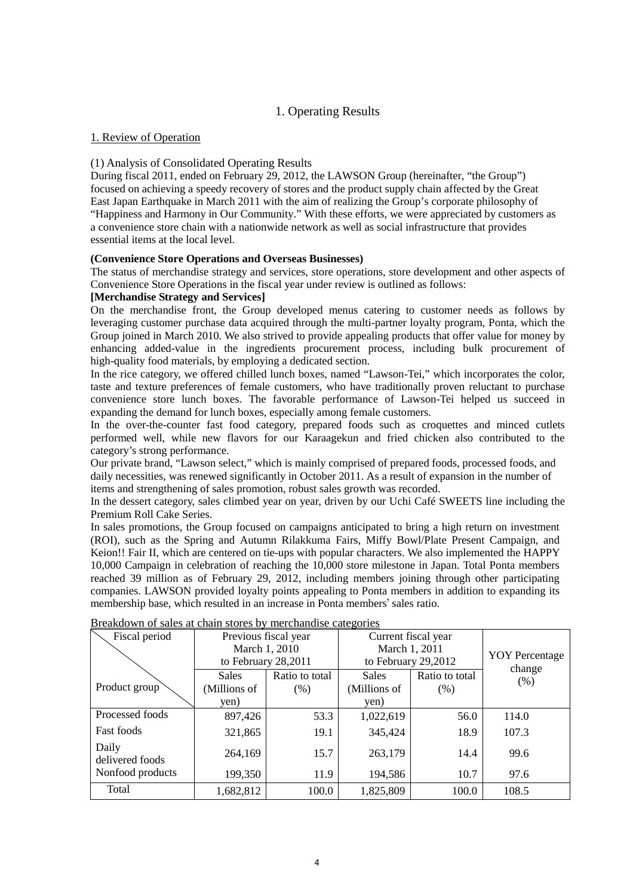## 1. Operating Results

## 1. Review of Operation

## (1) Analysis of Consolidated Operating Results

During fiscal 2011, ended on February 29, 2012, the LAWSON Group (hereinafter, "the Group") focused on achieving a speedy recovery of stores and the product supply chain affected by the Great East Japan Earthquake in March 2011 with the aim of realizing the Group's corporate philosophy of "Happiness and Harmony in Our Community." With these efforts, we were appreciated by customers as a convenience store chain with a nationwide network as well as social infrastructure that provides essential items at the local level.  $\overline{\phantom{a}}$ 

### **(Convenience Store Operations and Overseas Businesses)**

The status of merchandise strategy and services, store operations, store development and other aspects of Convenience Store Operations in the fiscal year under review is outlined as follows:

### **[Merchandise Strategy and Services]**

On the merchandise front, the Group developed menus catering to customer needs as follows by leveraging customer purchase data acquired through the multi-partner loyalty program, Ponta, which the Group joined in March 2010. We also strived to provide appealing products that offer value for money by enhancing added-value in the ingredients procurement process, including bulk procurement of high-quality food materials, by employing a dedicated section.

In the rice category, we offered chilled lunch boxes, named "Lawson-Tei," which incorporates the color, taste and texture preferences of female customers, who have traditionally proven reluctant to purchase convenience store lunch boxes. The favorable performance of Lawson-Tei helped us succeed in expanding the demand for lunch boxes, especially among female customers.

In the over-the-counter fast food category, prepared foods such as croquettes and minced cutlets performed well, while new flavors for our Karaagekun and fried chicken also contributed to the category's strong performance.

Our private brand, "Lawson select," which is mainly comprised of prepared foods, processed foods, and daily necessities, was renewed significantly in October 2011. As a result of expansion in the number of items and strengthening of sales promotion, robust sales growth was recorded.

In the dessert category, sales climbed year on year, driven by our Uchi Café SWEETS line including the Premium Roll Cake Series.

In sales promotions, the Group focused on campaigns anticipated to bring a high return on investment (ROI), such as the Spring and Autumn Rilakkuma Fairs, Miffy Bowl/Plate Present Campaign, and Keion!! Fair II, which are centered on tie-ups with popular characters. We also implemented the HAPPY 10,000 Campaign in celebration of reaching the 10,000 store milestone in Japan. Total Ponta members reached 39 million as of February 29, 2012, including members joining through other participating companies. LAWSON provided loyalty points appealing to Ponta members in addition to expanding its membership base, which resulted in an increase in Ponta members' sales ratio.

| Fiscal period            |                     | Previous fiscal year | Current fiscal year |                       |       |
|--------------------------|---------------------|----------------------|---------------------|-----------------------|-------|
|                          | March 1, 2010       |                      | March 1, 2011       | <b>YOY</b> Percentage |       |
|                          | to February 28,2011 |                      | to February 29,2012 | change                |       |
|                          | <b>Sales</b>        | Ratio to total       | <b>Sales</b>        | Ratio to total        | (% )  |
| Product group            | (Millions of        | $(\%)$               | (Millions of        | $(\% )$               |       |
|                          | yen)                |                      | yen)                |                       |       |
| Processed foods          | 897,426             | 53.3                 | 1,022,619           | 56.0                  | 114.0 |
| <b>Fast foods</b>        | 321,865             | 19.1                 | 345,424             | 18.9                  | 107.3 |
| Daily<br>delivered foods | 264,169             | 15.7                 | 263,179             | 14.4                  | 99.6  |
| Nonfood products         | 199,350             | 11.9                 | 194,586             | 10.7                  | 97.6  |
| Total                    | 1,682,812           | 100.0                | 1,825,809           | 100.0                 | 108.5 |

Breakdown of sales at chain stores by merchandise categories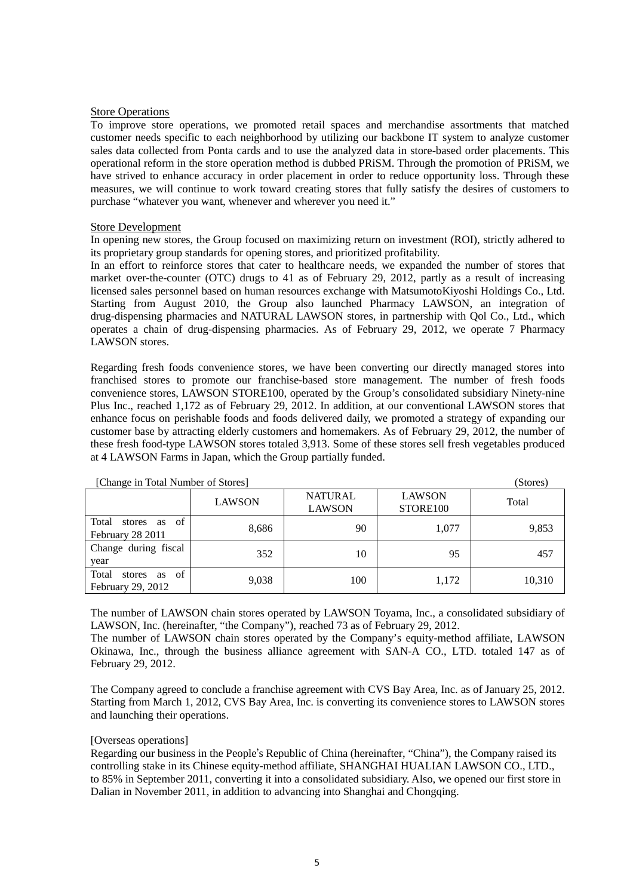#### Store Operations

To improve store operations, we promoted retail spaces and merchandise assortments that matched customer needs specific to each neighborhood by utilizing our backbone IT system to analyze customer sales data collected from Ponta cards and to use the analyzed data in store-based order placements. This operational reform in the store operation method is dubbed PRiSM. Through the promotion of PRiSM, we have strived to enhance accuracy in order placement in order to reduce opportunity loss. Through these measures, we will continue to work toward creating stores that fully satisfy the desires of customers to purchase "whatever you want, whenever and wherever you need it."

#### Store Development

In opening new stores, the Group focused on maximizing return on investment (ROI), strictly adhered to its proprietary group standards for opening stores, and prioritized profitability.

In an effort to reinforce stores that cater to healthcare needs, we expanded the number of stores that market over-the-counter (OTC) drugs to 41 as of February 29, 2012, partly as a result of increasing licensed sales personnel based on human resources exchange with MatsumotoKiyoshi Holdings Co., Ltd. Starting from August 2010, the Group also launched Pharmacy LAWSON, an integration of drug-dispensing pharmacies and NATURAL LAWSON stores, in partnership with Qol Co., Ltd., which operates a chain of drug-dispensing pharmacies. As of February 29, 2012, we operate 7 Pharmacy LAWSON stores.

Regarding fresh foods convenience stores, we have been converting our directly managed stores into franchised stores to promote our franchise-based store management. The number of fresh foods convenience stores, LAWSON STORE100, operated by the Group's consolidated subsidiary Ninety-nine Plus Inc., reached 1,172 as of February 29, 2012. In addition, at our conventional LAWSON stores that enhance focus on perishable foods and foods delivered daily, we promoted a strategy of expanding our customer base by attracting elderly customers and homemakers. As of February 29, 2012, the number of these fresh food-type LAWSON stores totaled 3,913. Some of these stores sell fresh vegetables produced at 4 LAWSON Farms in Japan, which the Group partially funded.

| [Change in Total Number of Stores]               | (Stores)      |                                 |                           |        |
|--------------------------------------------------|---------------|---------------------------------|---------------------------|--------|
|                                                  | <b>LAWSON</b> | <b>NATURAL</b><br><b>LAWSON</b> | <b>LAWSON</b><br>STORE100 | Total  |
| of<br>Total<br>stores as<br>February 28 2011     | 8,686         | 90                              | 1,077                     | 9,853  |
| Change during fiscal<br>year                     | 352           | 10                              | 95                        | 457    |
| Total<br>of<br>stores<br>as<br>February 29, 2012 | 9,038         | 100                             | 1,172                     | 10,310 |

The number of LAWSON chain stores operated by LAWSON Toyama, Inc., a consolidated subsidiary of LAWSON, Inc. (hereinafter, "the Company"), reached 73 as of February 29, 2012.

The number of LAWSON chain stores operated by the Company's equity-method affiliate, LAWSON Okinawa, Inc., through the business alliance agreement with SAN-A CO., LTD. totaled 147 as of February 29, 2012.

The Company agreed to conclude a franchise agreement with CVS Bay Area, Inc. as of January 25, 2012. Starting from March 1, 2012, CVS Bay Area, Inc. is converting its convenience stores to LAWSON stores and launching their operations.

#### [Overseas operations]

Regarding our business in the People's Republic of China (hereinafter, "China"), the Company raised its controlling stake in its Chinese equity-method affiliate, SHANGHAI HUALIAN LAWSON CO., LTD., to 85% in September 2011, converting it into a consolidated subsidiary. Also, we opened our first store in Dalian in November 2011, in addition to advancing into Shanghai and Chongqing.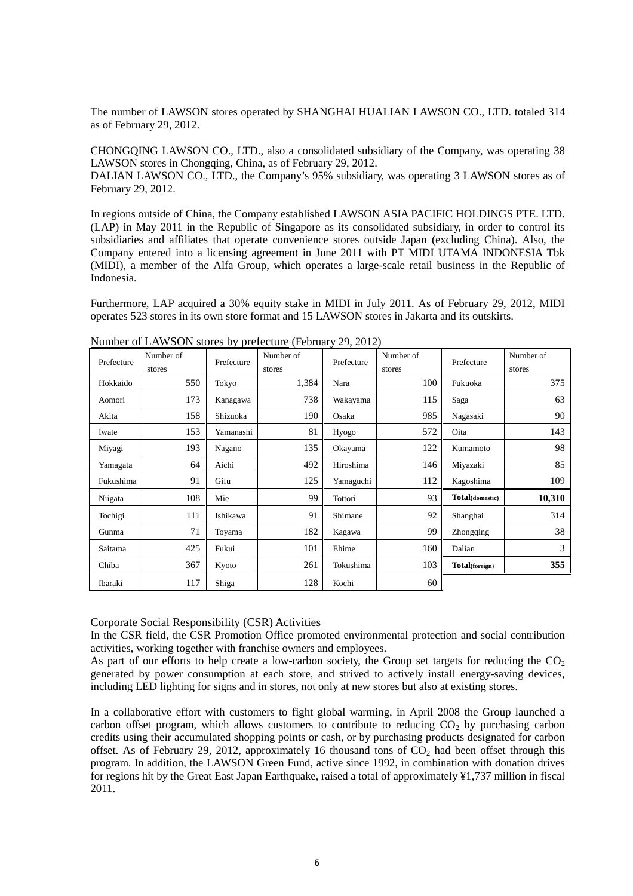The number of LAWSON stores operated by SHANGHAI HUALIAN LAWSON CO., LTD. totaled 314 as of February 29, 2012.

CHONGQING LAWSON CO., LTD., also a consolidated subsidiary of the Company, was operating 38 LAWSON stores in Chongqing, China, as of February 29, 2012.

DALIAN LAWSON CO., LTD., the Company's 95% subsidiary, was operating 3 LAWSON stores as of February 29, 2012.

In regions outside of China, the Company established LAWSON ASIA PACIFIC HOLDINGS PTE. LTD. (LAP) in May 2011 in the Republic of Singapore as its consolidated subsidiary, in order to control its subsidiaries and affiliates that operate convenience stores outside Japan (excluding China). Also, the Company entered into a licensing agreement in June 2011 with PT MIDI UTAMA INDONESIA Tbk (MIDI), a member of the Alfa Group, which operates a large-scale retail business in the Republic of Indonesia.

Furthermore, LAP acquired a 30% equity stake in MIDI in July 2011. As of February 29, 2012, MIDI operates 523 stores in its own store format and 15 LAWSON stores in Jakarta and its outskirts.

| Prefecture | Number of<br>stores | Prefecture | Number of<br>stores | Prefecture | Number of<br>stores | Prefecture      | Number of<br>stores |
|------------|---------------------|------------|---------------------|------------|---------------------|-----------------|---------------------|
| Hokkaido   | 550                 | Tokyo      | 1,384               | Nara       | 100                 | Fukuoka         | 375                 |
| Aomori     | 173                 | Kanagawa   | 738                 | Wakayama   | 115                 | Saga            | 63                  |
| Akita      | 158                 | Shizuoka   | 190                 | Osaka      | 985                 | Nagasaki        | 90                  |
| Iwate      | 153                 | Yamanashi  | 81                  | Hyogo      | 572                 | Oita            | 143                 |
| Miyagi     | 193                 | Nagano     | 135                 | Okayama    | 122                 | Kumamoto        | 98                  |
| Yamagata   | 64                  | Aichi      | 492                 | Hiroshima  | 146                 | Miyazaki        | 85                  |
| Fukushima  | 91                  | Gifu       | 125                 | Yamaguchi  | 112                 | Kagoshima       | 109                 |
| Niigata    | 108                 | Mie        | 99                  | Tottori    | 93                  | Total(domestic) | 10,310              |
| Tochigi    | 111                 | Ishikawa   | 91                  | Shimane    | 92                  | Shanghai        | 314                 |
| Gunma      | 71                  | Toyama     | 182                 | Kagawa     | 99                  | Zhongqing       | 38                  |
| Saitama    | 425                 | Fukui      | 101                 | Ehime      | 160                 | Dalian          | 3                   |
| Chiba      | 367                 | Kyoto      | 261                 | Tokushima  | 103                 | Total(foreign)  | 355                 |
| Ibaraki    | 117                 | Shiga      | 128                 | Kochi      | 60                  |                 |                     |

Number of LAWSON stores by prefecture (February 29, 2012)

### Corporate Social Responsibility (CSR) Activities

In the CSR field, the CSR Promotion Office promoted environmental protection and social contribution activities, working together with franchise owners and employees.

As part of our efforts to help create a low-carbon society, the Group set targets for reducing the  $CO<sub>2</sub>$ generated by power consumption at each store, and strived to actively install energy-saving devices, including LED lighting for signs and in stores, not only at new stores but also at existing stores.

In a collaborative effort with customers to fight global warming, in April 2008 the Group launched a carbon offset program, which allows customers to contribute to reducing  $CO<sub>2</sub>$  by purchasing carbon credits using their accumulated shopping points or cash, or by purchasing products designated for carbon offset. As of February 29, 2012, approximately 16 thousand tons of  $CO<sub>2</sub>$  had been offset through this program. In addition, the LAWSON Green Fund, active since 1992, in combination with donation drives for regions hit by the Great East Japan Earthquake, raised a total of approximately ¥1,737 million in fiscal 2011.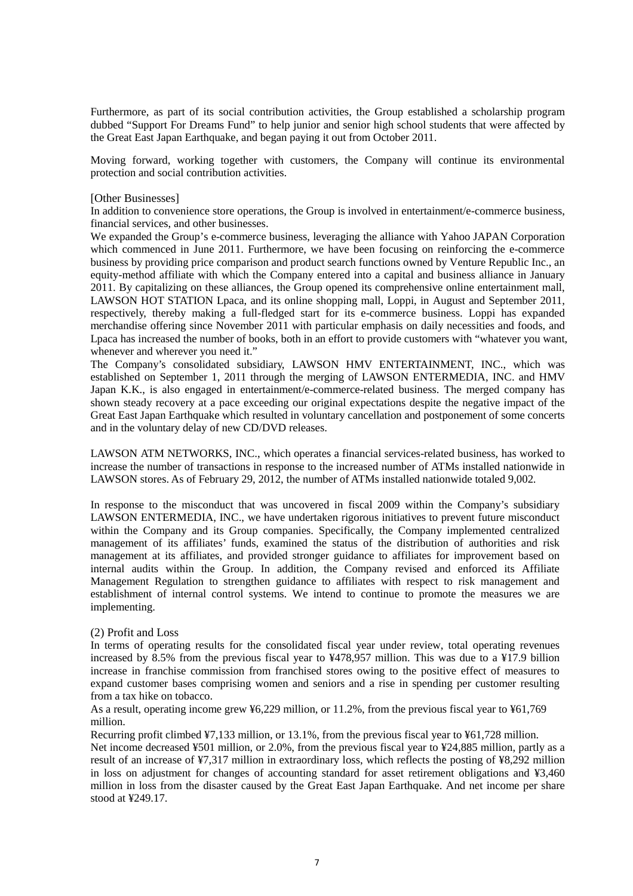Furthermore, as part of its social contribution activities, the Group established a scholarship program dubbed "Support For Dreams Fund" to help junior and senior high school students that were affected by the Great East Japan Earthquake, and began paying it out from October 2011.

Moving forward, working together with customers, the Company will continue its environmental protection and social contribution activities.

#### [Other Businesses]

In addition to convenience store operations, the Group is involved in entertainment/e-commerce business, financial services, and other businesses.

We expanded the Group's e-commerce business, leveraging the alliance with Yahoo JAPAN Corporation which commenced in June 2011. Furthermore, we have been focusing on reinforcing the e-commerce business by providing price comparison and product search functions owned by Venture Republic Inc., an equity-method affiliate with which the Company entered into a capital and business alliance in January 2011. By capitalizing on these alliances, the Group opened its comprehensive online entertainment mall, LAWSON HOT STATION Lpaca, and its online shopping mall, Loppi, in August and September 2011, respectively, thereby making a full-fledged start for its e-commerce business. Loppi has expanded merchandise offering since November 2011 with particular emphasis on daily necessities and foods, and Lpaca has increased the number of books, both in an effort to provide customers with "whatever you want, whenever and wherever you need it."

The Company's consolidated subsidiary, LAWSON HMV ENTERTAINMENT, INC., which was established on September 1, 2011 through the merging of LAWSON ENTERMEDIA, INC. and HMV Japan K.K., is also engaged in entertainment/e-commerce-related business. The merged company has shown steady recovery at a pace exceeding our original expectations despite the negative impact of the Great East Japan Earthquake which resulted in voluntary cancellation and postponement of some concerts and in the voluntary delay of new CD/DVD releases.

LAWSON ATM NETWORKS, INC., which operates a financial services-related business, has worked to increase the number of transactions in response to the increased number of ATMs installed nationwide in LAWSON stores. As of February 29, 2012, the number of ATMs installed nationwide totaled 9,002.

In response to the misconduct that was uncovered in fiscal 2009 within the Company's subsidiary LAWSON ENTERMEDIA, INC., we have undertaken rigorous initiatives to prevent future misconduct within the Company and its Group companies. Specifically, the Company implemented centralized management of its affiliates' funds, examined the status of the distribution of authorities and risk management at its affiliates, and provided stronger guidance to affiliates for improvement based on internal audits within the Group. In addition, the Company revised and enforced its Affiliate Management Regulation to strengthen guidance to affiliates with respect to risk management and establishment of internal control systems. We intend to continue to promote the measures we are implementing.

#### (2) Profit and Loss

In terms of operating results for the consolidated fiscal year under review, total operating revenues increased by 8.5% from the previous fiscal year to ¥478,957 million. This was due to a ¥17.9 billion increase in franchise commission from franchised stores owing to the positive effect of measures to expand customer bases comprising women and seniors and a rise in spending per customer resulting from a tax hike on tobacco.

As a result, operating income grew ¥6,229 million, or 11.2%, from the previous fiscal year to ¥61,769 million.

Recurring profit climbed ¥7,133 million, or 13.1%, from the previous fiscal year to ¥61,728 million. Net income decreased ¥501 million, or 2.0%, from the previous fiscal year to ¥24,885 million, partly as a result of an increase of ¥7,317 million in extraordinary loss, which reflects the posting of ¥8,292 million in loss on adjustment for changes of accounting standard for asset retirement obligations and ¥3,460 million in loss from the disaster caused by the Great East Japan Earthquake. And net income per share stood at ¥249.17.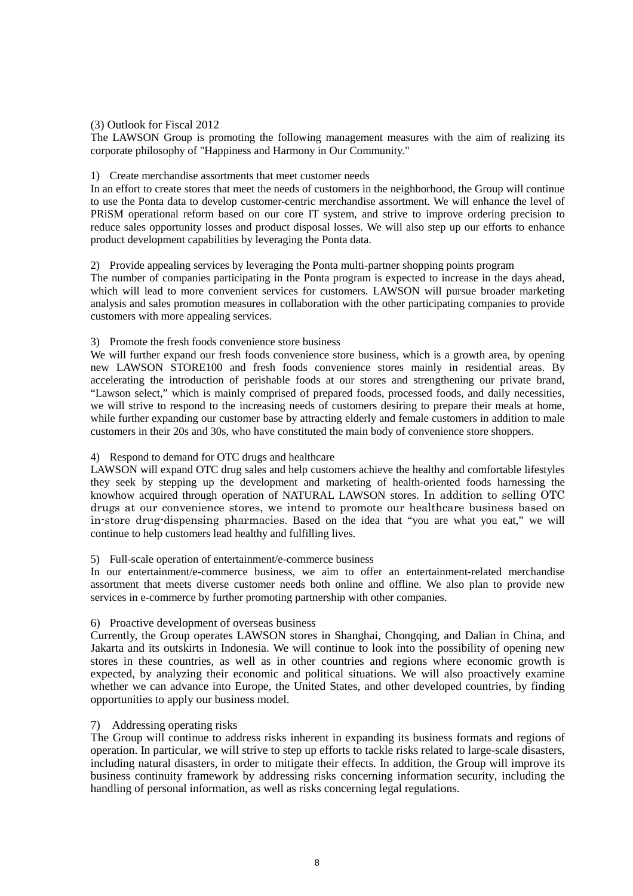(3) Outlook for Fiscal 2012

The LAWSON Group is promoting the following management measures with the aim of realizing its corporate philosophy of "Happiness and Harmony in Our Community."

#### 1) Create merchandise assortments that meet customer needs

In an effort to create stores that meet the needs of customers in the neighborhood, the Group will continue to use the Ponta data to develop customer-centric merchandise assortment. We will enhance the level of PRiSM operational reform based on our core IT system, and strive to improve ordering precision to reduce sales opportunity losses and product disposal losses. We will also step up our efforts to enhance product development capabilities by leveraging the Ponta data.

#### 2) Provide appealing services by leveraging the Ponta multi-partner shopping points program

The number of companies participating in the Ponta program is expected to increase in the days ahead, which will lead to more convenient services for customers. LAWSON will pursue broader marketing analysis and sales promotion measures in collaboration with the other participating companies to provide customers with more appealing services.

### 3) Promote the fresh foods convenience store business

We will further expand our fresh foods convenience store business, which is a growth area, by opening new LAWSON STORE100 and fresh foods convenience stores mainly in residential areas. By accelerating the introduction of perishable foods at our stores and strengthening our private brand, "Lawson select," which is mainly comprised of prepared foods, processed foods, and daily necessities, we will strive to respond to the increasing needs of customers desiring to prepare their meals at home, while further expanding our customer base by attracting elderly and female customers in addition to male customers in their 20s and 30s, who have constituted the main body of convenience store shoppers.

## 4) Respond to demand for OTC drugs and healthcare

LAWSON will expand OTC drug sales and help customers achieve the healthy and comfortable lifestyles they seek by stepping up the development and marketing of health-oriented foods harnessing the knowhow acquired through operation of NATURAL LAWSON stores. In addition to selling OTC drugs at our convenience stores, we intend to promote our healthcare business based on in-store drug-dispensing pharmacies. Based on the idea that "you are what you eat," we will continue to help customers lead healthy and fulfilling lives.

#### 5) Full-scale operation of entertainment/e-commerce business

In our entertainment/e-commerce business, we aim to offer an entertainment-related merchandise assortment that meets diverse customer needs both online and offline. We also plan to provide new services in e-commerce by further promoting partnership with other companies.

## 6) Proactive development of overseas business

Currently, the Group operates LAWSON stores in Shanghai, Chongqing, and Dalian in China, and Jakarta and its outskirts in Indonesia. We will continue to look into the possibility of opening new stores in these countries, as well as in other countries and regions where economic growth is expected, by analyzing their economic and political situations. We will also proactively examine whether we can advance into Europe, the United States, and other developed countries, by finding opportunities to apply our business model.

#### 7) Addressing operating risks

The Group will continue to address risks inherent in expanding its business formats and regions of operation. In particular, we will strive to step up efforts to tackle risks related to large-scale disasters, including natural disasters, in order to mitigate their effects. In addition, the Group will improve its business continuity framework by addressing risks concerning information security, including the handling of personal information, as well as risks concerning legal regulations.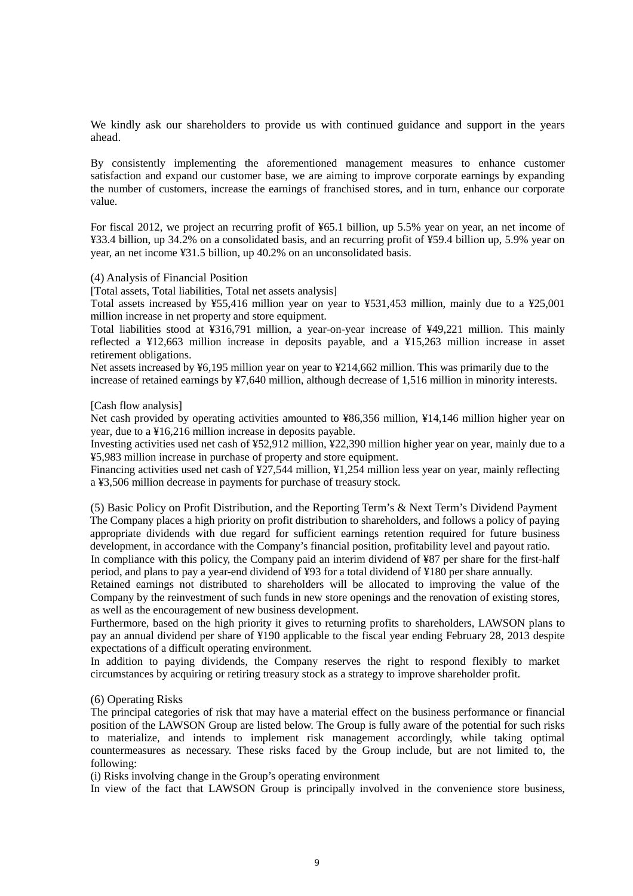We kindly ask our shareholders to provide us with continued guidance and support in the years ahead.

By consistently implementing the aforementioned management measures to enhance customer satisfaction and expand our customer base, we are aiming to improve corporate earnings by expanding the number of customers, increase the earnings of franchised stores, and in turn, enhance our corporate value.

For fiscal 2012, we project an recurring profit of ¥65.1 billion, up 5.5% year on year, an net income of ¥33.4 billion, up 34.2% on a consolidated basis, and an recurring profit of ¥59.4 billion up, 5.9% year on year, an net income ¥31.5 billion, up 40.2% on an unconsolidated basis.

#### (4) Analysis of Financial Position

[Total assets, Total liabilities, Total net assets analysis]

Total assets increased by ¥55,416 million year on year to ¥531,453 million, mainly due to a ¥25,001 million increase in net property and store equipment.

Total liabilities stood at ¥316,791 million, a year-on-year increase of ¥49,221 million. This mainly reflected a ¥12,663 million increase in deposits payable, and a ¥15,263 million increase in asset retirement obligations.

Net assets increased by ¥6,195 million year on year to ¥214,662 million. This was primarily due to the increase of retained earnings by ¥7,640 million, although decrease of 1,516 million in minority interests.

#### [Cash flow analysis]

Net cash provided by operating activities amounted to ¥86,356 million, ¥14,146 million higher year on year, due to a ¥16,216 million increase in deposits payable.

Investing activities used net cash of ¥52,912 million, ¥22,390 million higher year on year, mainly due to a ¥5,983 million increase in purchase of property and store equipment.

Financing activities used net cash of ¥27,544 million, ¥1,254 million less year on year, mainly reflecting a ¥3,506 million decrease in payments for purchase of treasury stock.

(5) Basic Policy on Profit Distribution, and the Reporting Term's & Next Term's Dividend Payment The Company places a high priority on profit distribution to shareholders, and follows a policy of paying appropriate dividends with due regard for sufficient earnings retention required for future business development, in accordance with the Company's financial position, profitability level and payout ratio.

In compliance with this policy, the Company paid an interim dividend of ¥87 per share for the first-half period, and plans to pay a year-end dividend of ¥93 for a total dividend of ¥180 per share annually.

Retained earnings not distributed to shareholders will be allocated to improving the value of the Company by the reinvestment of such funds in new store openings and the renovation of existing stores, as well as the encouragement of new business development.

Furthermore, based on the high priority it gives to returning profits to shareholders, LAWSON plans to pay an annual dividend per share of ¥190 applicable to the fiscal year ending February 28, 2013 despite expectations of a difficult operating environment.

In addition to paying dividends, the Company reserves the right to respond flexibly to market circumstances by acquiring or retiring treasury stock as a strategy to improve shareholder profit.

#### (6) Operating Risks

The principal categories of risk that may have a material effect on the business performance or financial position of the LAWSON Group are listed below. The Group is fully aware of the potential for such risks to materialize, and intends to implement risk management accordingly, while taking optimal countermeasures as necessary. These risks faced by the Group include, but are not limited to, the following:

(i) Risks involving change in the Group's operating environment

In view of the fact that LAWSON Group is principally involved in the convenience store business,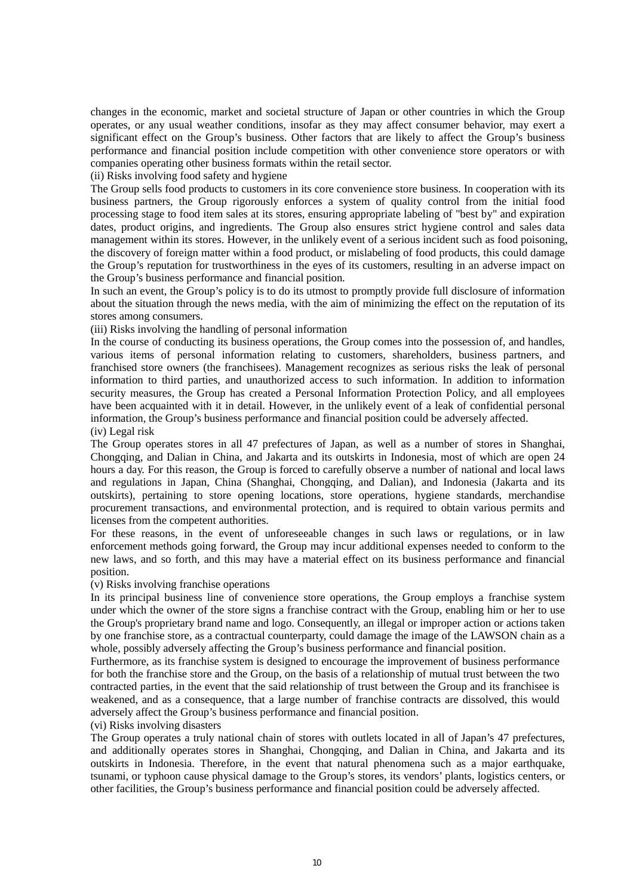changes in the economic, market and societal structure of Japan or other countries in which the Group operates, or any usual weather conditions, insofar as they may affect consumer behavior, may exert a significant effect on the Group's business. Other factors that are likely to affect the Group's business performance and financial position include competition with other convenience store operators or with companies operating other business formats within the retail sector.

(ii) Risks involving food safety and hygiene

The Group sells food products to customers in its core convenience store business. In cooperation with its business partners, the Group rigorously enforces a system of quality control from the initial food processing stage to food item sales at its stores, ensuring appropriate labeling of "best by" and expiration dates, product origins, and ingredients. The Group also ensures strict hygiene control and sales data management within its stores. However, in the unlikely event of a serious incident such as food poisoning, the discovery of foreign matter within a food product, or mislabeling of food products, this could damage the Group's reputation for trustworthiness in the eyes of its customers, resulting in an adverse impact on the Group's business performance and financial position.

In such an event, the Group's policy is to do its utmost to promptly provide full disclosure of information about the situation through the news media, with the aim of minimizing the effect on the reputation of its stores among consumers.

(iii) Risks involving the handling of personal information

In the course of conducting its business operations, the Group comes into the possession of, and handles, various items of personal information relating to customers, shareholders, business partners, and franchised store owners (the franchisees). Management recognizes as serious risks the leak of personal information to third parties, and unauthorized access to such information. In addition to information security measures, the Group has created a Personal Information Protection Policy, and all employees have been acquainted with it in detail. However, in the unlikely event of a leak of confidential personal information, the Group's business performance and financial position could be adversely affected. (iv) Legal risk

The Group operates stores in all 47 prefectures of Japan, as well as a number of stores in Shanghai, Chongqing, and Dalian in China, and Jakarta and its outskirts in Indonesia, most of which are open 24 hours a day. For this reason, the Group is forced to carefully observe a number of national and local laws and regulations in Japan, China (Shanghai, Chongqing, and Dalian), and Indonesia (Jakarta and its outskirts), pertaining to store opening locations, store operations, hygiene standards, merchandise procurement transactions, and environmental protection, and is required to obtain various permits and licenses from the competent authorities.

For these reasons, in the event of unforeseeable changes in such laws or regulations, or in law enforcement methods going forward, the Group may incur additional expenses needed to conform to the new laws, and so forth, and this may have a material effect on its business performance and financial position.

(v) Risks involving franchise operations

In its principal business line of convenience store operations, the Group employs a franchise system under which the owner of the store signs a franchise contract with the Group, enabling him or her to use the Group's proprietary brand name and logo. Consequently, an illegal or improper action or actions taken by one franchise store, as a contractual counterparty, could damage the image of the LAWSON chain as a whole, possibly adversely affecting the Group's business performance and financial position.

Furthermore, as its franchise system is designed to encourage the improvement of business performance for both the franchise store and the Group, on the basis of a relationship of mutual trust between the two contracted parties, in the event that the said relationship of trust between the Group and its franchisee is weakened, and as a consequence, that a large number of franchise contracts are dissolved, this would adversely affect the Group's business performance and financial position.

#### (vi) Risks involving disasters

The Group operates a truly national chain of stores with outlets located in all of Japan's 47 prefectures, and additionally operates stores in Shanghai, Chongqing, and Dalian in China, and Jakarta and its outskirts in Indonesia. Therefore, in the event that natural phenomena such as a major earthquake, tsunami, or typhoon cause physical damage to the Group's stores, its vendors' plants, logistics centers, or other facilities, the Group's business performance and financial position could be adversely affected.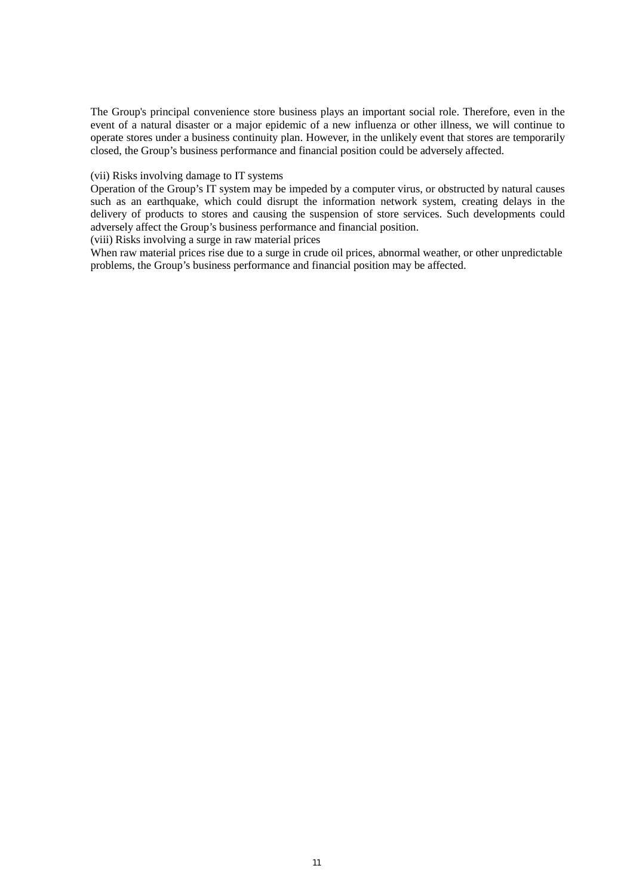The Group's principal convenience store business plays an important social role. Therefore, even in the event of a natural disaster or a major epidemic of a new influenza or other illness, we will continue to operate stores under a business continuity plan. However, in the unlikely event that stores are temporarily closed, the Group's business performance and financial position could be adversely affected.

#### (vii) Risks involving damage to IT systems

Operation of the Group's IT system may be impeded by a computer virus, or obstructed by natural causes such as an earthquake, which could disrupt the information network system, creating delays in the delivery of products to stores and causing the suspension of store services. Such developments could adversely affect the Group's business performance and financial position.

(viii) Risks involving a surge in raw material prices

When raw material prices rise due to a surge in crude oil prices, abnormal weather, or other unpredictable problems, the Group's business performance and financial position may be affected.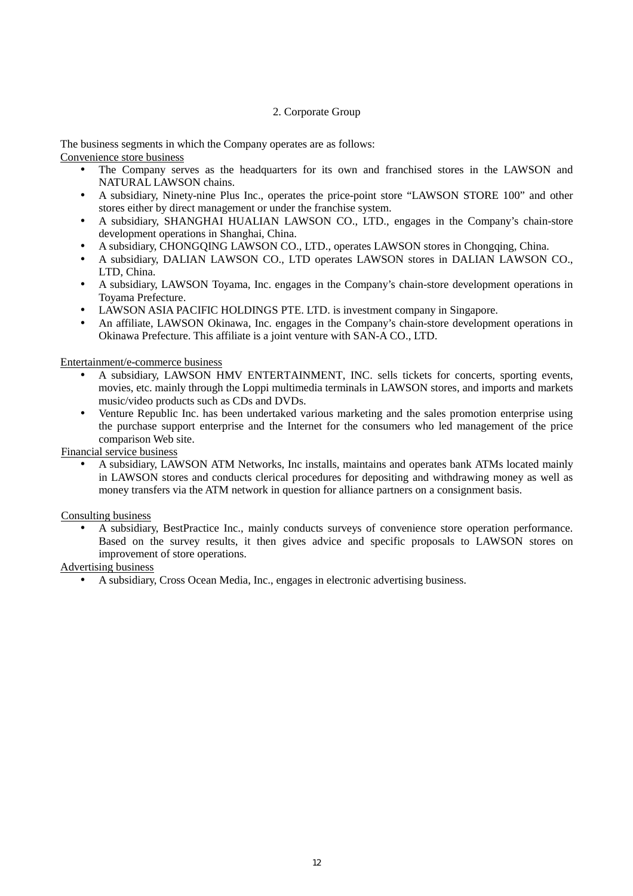#### 2. Corporate Group

The business segments in which the Company operates are as follows:

Convenience store business

- The Company serves as the headquarters for its own and franchised stores in the LAWSON and NATURAL LAWSON chains.
- A subsidiary, Ninety-nine Plus Inc., operates the price-point store "LAWSON STORE 100" and other stores either by direct management or under the franchise system.
- A subsidiary, SHANGHAI HUALIAN LAWSON CO., LTD., engages in the Company's chain-store development operations in Shanghai, China.
- A subsidiary, CHONGQING LAWSON CO., LTD., operates LAWSON stores in Chongqing, China.
- A subsidiary, DALIAN LAWSON CO., LTD operates LAWSON stores in DALIAN LAWSON CO., LTD, China.
- A subsidiary, LAWSON Toyama, Inc. engages in the Company's chain-store development operations in Toyama Prefecture.
- LAWSON ASIA PACIFIC HOLDINGS PTE. LTD. is investment company in Singapore.
- An affiliate, LAWSON Okinawa, Inc. engages in the Company's chain-store development operations in Okinawa Prefecture. This affiliate is a joint venture with SAN-A CO., LTD.

Entertainment/e-commerce business

- A subsidiary, LAWSON HMV ENTERTAINMENT, INC. sells tickets for concerts, sporting events, movies, etc. mainly through the Loppi multimedia terminals in LAWSON stores, and imports and markets music/video products such as CDs and DVDs.
- Venture Republic Inc. has been undertaked various marketing and the sales promotion enterprise using the purchase support enterprise and the Internet for the consumers who led management of the price comparison Web site.

Financial service business

• A subsidiary, LAWSON ATM Networks, Inc installs, maintains and operates bank ATMs located mainly in LAWSON stores and conducts clerical procedures for depositing and withdrawing money as well as money transfers via the ATM network in question for alliance partners on a consignment basis.

Consulting business

• A subsidiary, BestPractice Inc., mainly conducts surveys of convenience store operation performance. Based on the survey results, it then gives advice and specific proposals to LAWSON stores on improvement of store operations.

Advertising business

• A subsidiary, Cross Ocean Media, Inc., engages in electronic advertising business.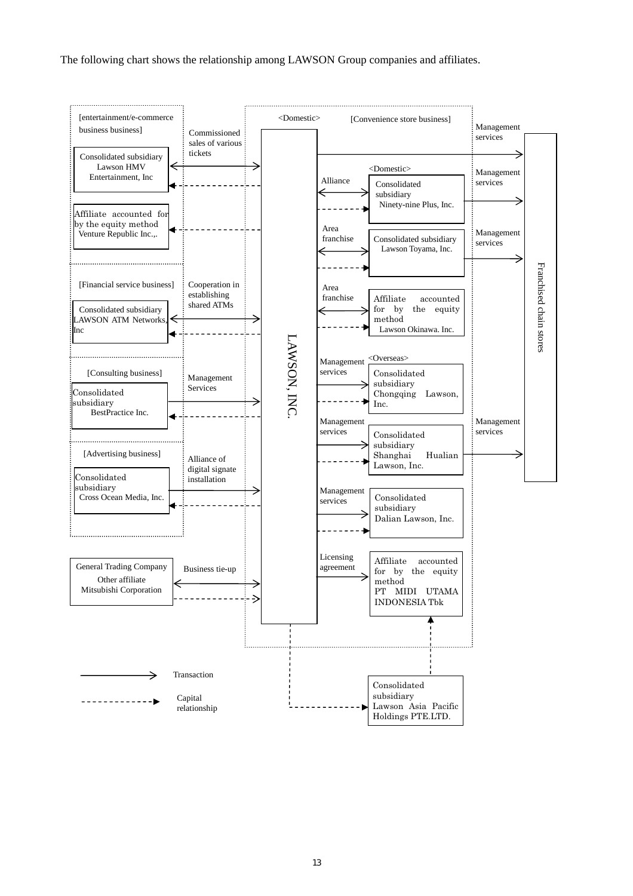The following chart shows the relationship among LAWSON Group companies and affiliates.

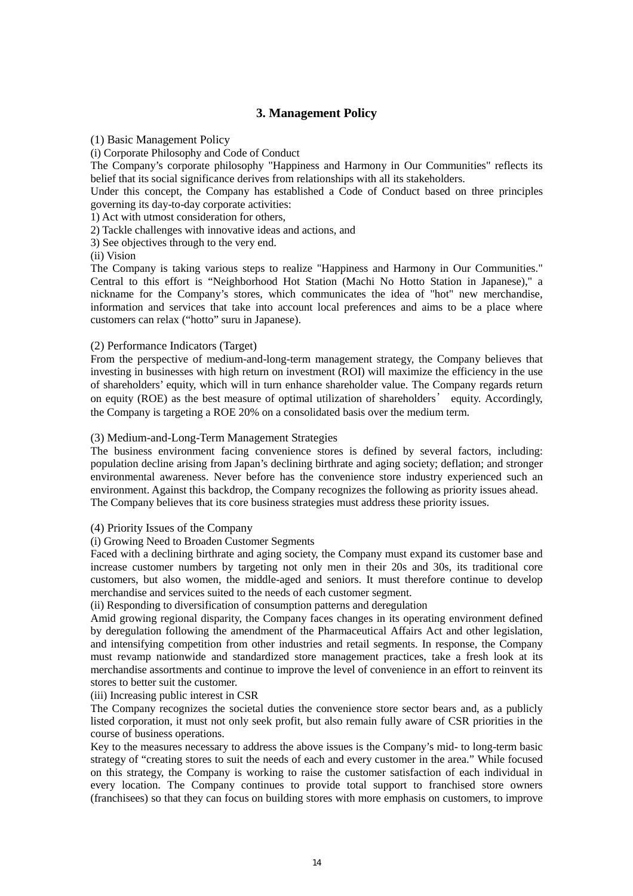## **3. Management Policy**

(1) Basic Management Policy

(i) Corporate Philosophy and Code of Conduct

The Company's corporate philosophy "Happiness and Harmony in Our Communities" reflects its belief that its social significance derives from relationships with all its stakeholders.

Under this concept, the Company has established a Code of Conduct based on three principles governing its day-to-day corporate activities:

1) Act with utmost consideration for others,

2) Tackle challenges with innovative ideas and actions, and

3) See objectives through to the very end.

(ii) Vision

The Company is taking various steps to realize "Happiness and Harmony in Our Communities." Central to this effort is "Neighborhood Hot Station (Machi No Hotto Station in Japanese)," a nickname for the Company's stores, which communicates the idea of "hot" new merchandise, information and services that take into account local preferences and aims to be a place where customers can relax ("hotto" suru in Japanese).

### (2) Performance Indicators (Target)

From the perspective of medium-and-long-term management strategy, the Company believes that investing in businesses with high return on investment (ROI) will maximize the efficiency in the use of shareholders' equity, which will in turn enhance shareholder value. The Company regards return on equity (ROE) as the best measure of optimal utilization of shareholders' equity. Accordingly, the Company is targeting a ROE 20% on a consolidated basis over the medium term.

### (3) Medium-and-Long-Term Management Strategies

The business environment facing convenience stores is defined by several factors, including: population decline arising from Japan's declining birthrate and aging society; deflation; and stronger environmental awareness. Never before has the convenience store industry experienced such an environment. Against this backdrop, the Company recognizes the following as priority issues ahead. The Company believes that its core business strategies must address these priority issues.

## (4) Priority Issues of the Company

## (i) Growing Need to Broaden Customer Segments

Faced with a declining birthrate and aging society, the Company must expand its customer base and increase customer numbers by targeting not only men in their 20s and 30s, its traditional core customers, but also women, the middle-aged and seniors. It must therefore continue to develop merchandise and services suited to the needs of each customer segment.

(ii) Responding to diversification of consumption patterns and deregulation

Amid growing regional disparity, the Company faces changes in its operating environment defined by deregulation following the amendment of the Pharmaceutical Affairs Act and other legislation, and intensifying competition from other industries and retail segments. In response, the Company must revamp nationwide and standardized store management practices, take a fresh look at its merchandise assortments and continue to improve the level of convenience in an effort to reinvent its stores to better suit the customer.

(iii) Increasing public interest in CSR

The Company recognizes the societal duties the convenience store sector bears and, as a publicly listed corporation, it must not only seek profit, but also remain fully aware of CSR priorities in the course of business operations.

Key to the measures necessary to address the above issues is the Company's mid- to long-term basic strategy of "creating stores to suit the needs of each and every customer in the area." While focused on this strategy, the Company is working to raise the customer satisfaction of each individual in every location. The Company continues to provide total support to franchised store owners (franchisees) so that they can focus on building stores with more emphasis on customers, to improve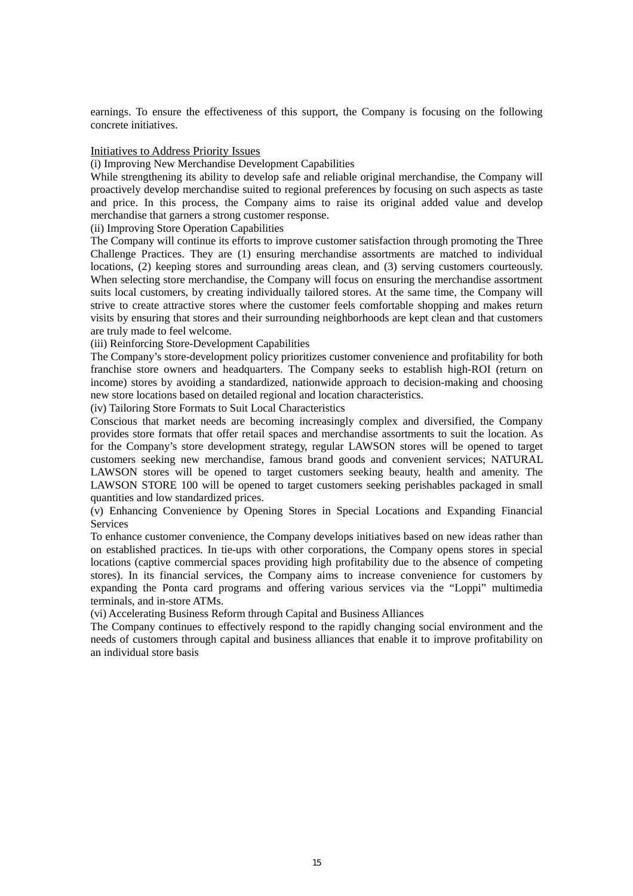earnings. To ensure the effectiveness of this support, the Company is focusing on the following concrete initiatives.

### Initiatives to Address Priority Issues

(i) Improving New Merchandise Development Capabilities

While strengthening its ability to develop safe and reliable original merchandise, the Company will proactively develop merchandise suited to regional preferences by focusing on such aspects as taste and price. In this process, the Company aims to raise its original added value and develop merchandise that garners a strong customer response.

(ii) Improving Store Operation Capabilities

The Company will continue its efforts to improve customer satisfaction through promoting the Three Challenge Practices. They are (1) ensuring merchandise assortments are matched to individual locations, (2) keeping stores and surrounding areas clean, and (3) serving customers courteously. When selecting store merchandise, the Company will focus on ensuring the merchandise assortment suits local customers, by creating individually tailored stores. At the same time, the Company will strive to create attractive stores where the customer feels comfortable shopping and makes return visits by ensuring that stores and their surrounding neighborhoods are kept clean and that customers are truly made to feel welcome.

(iii) Reinforcing Store-Development Capabilities

The Company's store-development policy prioritizes customer convenience and profitability for both franchise store owners and headquarters. The Company seeks to establish high-ROI (return on income) stores by avoiding a standardized, nationwide approach to decision-making and choosing new store locations based on detailed regional and location characteristics.

(iv) Tailoring Store Formats to Suit Local Characteristics

Conscious that market needs are becoming increasingly complex and diversified, the Company provides store formats that offer retail spaces and merchandise assortments to suit the location. As for the Company's store development strategy, regular LAWSON stores will be opened to target customers seeking new merchandise, famous brand goods and convenient services; NATURAL LAWSON stores will be opened to target customers seeking beauty, health and amenity. The LAWSON STORE 100 will be opened to target customers seeking perishables packaged in small quantities and low standardized prices.

(v) Enhancing Convenience by Opening Stores in Special Locations and Expanding Financial **Services** 

To enhance customer convenience, the Company develops initiatives based on new ideas rather than on established practices. In tie-ups with other corporations, the Company opens stores in special locations (captive commercial spaces providing high profitability due to the absence of competing stores). In its financial services, the Company aims to increase convenience for customers by expanding the Ponta card programs and offering various services via the "Loppi" multimedia terminals, and in-store ATMs.

(vi) Accelerating Business Reform through Capital and Business Alliances

The Company continues to effectively respond to the rapidly changing social environment and the needs of customers through capital and business alliances that enable it to improve profitability on an individual store basis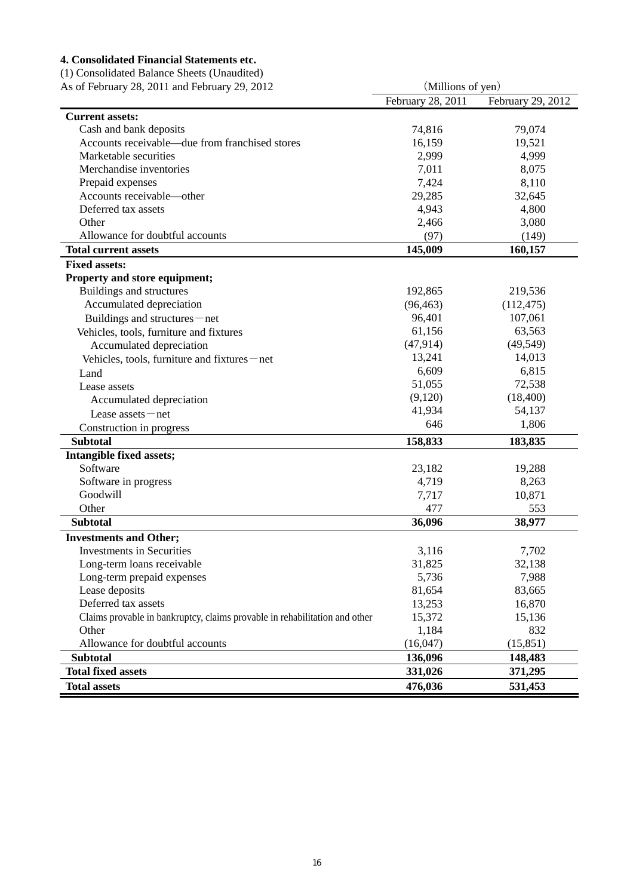## **4. Consolidated Financial Statements etc.**

(1) Consolidated Balance Sheets (Unaudited)

| As of February 28, 2011 and February 29, 2012                              |                                                                                                                                                                                                                                                                                                                                                                                                                                                                                                                                                                                               |                   |  |
|----------------------------------------------------------------------------|-----------------------------------------------------------------------------------------------------------------------------------------------------------------------------------------------------------------------------------------------------------------------------------------------------------------------------------------------------------------------------------------------------------------------------------------------------------------------------------------------------------------------------------------------------------------------------------------------|-------------------|--|
|                                                                            | (Millions of yen)<br>February 28, 2011<br>74,816<br>79,074<br>16,159<br>19,521<br>2,999<br>4,999<br>7,011<br>8,075<br>7,424<br>8,110<br>29,285<br>32,645<br>4,943<br>4,800<br>2,466<br>3,080<br>(97)<br>(149)<br>145,009<br>160,157<br>192,865<br>219,536<br>(96, 463)<br>(112, 475)<br>96,401<br>107,061<br>61,156<br>63,563<br>(47, 914)<br>(49, 549)<br>13,241<br>14,013<br>6,609<br>6,815<br>72,538<br>51,055<br>(9,120)<br>(18,400)<br>41,934<br>54,137<br>1,806<br>646<br>158,833<br>183,835<br>23,182<br>19,288<br>8,263<br>4,719<br>7,717<br>10,871<br>477<br>553<br>36,096<br>38,977 | February 29, 2012 |  |
| <b>Current assets:</b>                                                     |                                                                                                                                                                                                                                                                                                                                                                                                                                                                                                                                                                                               |                   |  |
| Cash and bank deposits                                                     |                                                                                                                                                                                                                                                                                                                                                                                                                                                                                                                                                                                               |                   |  |
| Accounts receivable—due from franchised stores                             |                                                                                                                                                                                                                                                                                                                                                                                                                                                                                                                                                                                               |                   |  |
| Marketable securities                                                      |                                                                                                                                                                                                                                                                                                                                                                                                                                                                                                                                                                                               |                   |  |
| Merchandise inventories                                                    |                                                                                                                                                                                                                                                                                                                                                                                                                                                                                                                                                                                               |                   |  |
| Prepaid expenses                                                           |                                                                                                                                                                                                                                                                                                                                                                                                                                                                                                                                                                                               |                   |  |
| Accounts receivable-other                                                  |                                                                                                                                                                                                                                                                                                                                                                                                                                                                                                                                                                                               |                   |  |
| Deferred tax assets                                                        |                                                                                                                                                                                                                                                                                                                                                                                                                                                                                                                                                                                               |                   |  |
| Other                                                                      |                                                                                                                                                                                                                                                                                                                                                                                                                                                                                                                                                                                               |                   |  |
| Allowance for doubtful accounts                                            |                                                                                                                                                                                                                                                                                                                                                                                                                                                                                                                                                                                               |                   |  |
| <b>Total current assets</b>                                                |                                                                                                                                                                                                                                                                                                                                                                                                                                                                                                                                                                                               |                   |  |
| <b>Fixed assets:</b>                                                       |                                                                                                                                                                                                                                                                                                                                                                                                                                                                                                                                                                                               |                   |  |
| Property and store equipment;                                              |                                                                                                                                                                                                                                                                                                                                                                                                                                                                                                                                                                                               |                   |  |
| Buildings and structures                                                   |                                                                                                                                                                                                                                                                                                                                                                                                                                                                                                                                                                                               |                   |  |
| Accumulated depreciation                                                   |                                                                                                                                                                                                                                                                                                                                                                                                                                                                                                                                                                                               |                   |  |
| Buildings and structures – net                                             |                                                                                                                                                                                                                                                                                                                                                                                                                                                                                                                                                                                               |                   |  |
| Vehicles, tools, furniture and fixtures                                    |                                                                                                                                                                                                                                                                                                                                                                                                                                                                                                                                                                                               |                   |  |
| Accumulated depreciation                                                   |                                                                                                                                                                                                                                                                                                                                                                                                                                                                                                                                                                                               |                   |  |
| Vehicles, tools, furniture and fixtures – net                              |                                                                                                                                                                                                                                                                                                                                                                                                                                                                                                                                                                                               |                   |  |
| Land                                                                       |                                                                                                                                                                                                                                                                                                                                                                                                                                                                                                                                                                                               |                   |  |
| Lease assets                                                               |                                                                                                                                                                                                                                                                                                                                                                                                                                                                                                                                                                                               |                   |  |
| Accumulated depreciation                                                   |                                                                                                                                                                                                                                                                                                                                                                                                                                                                                                                                                                                               |                   |  |
| Lease $asserts$ – net                                                      |                                                                                                                                                                                                                                                                                                                                                                                                                                                                                                                                                                                               |                   |  |
| Construction in progress                                                   |                                                                                                                                                                                                                                                                                                                                                                                                                                                                                                                                                                                               |                   |  |
| <b>Subtotal</b>                                                            |                                                                                                                                                                                                                                                                                                                                                                                                                                                                                                                                                                                               |                   |  |
| Intangible fixed assets;                                                   |                                                                                                                                                                                                                                                                                                                                                                                                                                                                                                                                                                                               |                   |  |
| Software                                                                   |                                                                                                                                                                                                                                                                                                                                                                                                                                                                                                                                                                                               |                   |  |
| Software in progress                                                       |                                                                                                                                                                                                                                                                                                                                                                                                                                                                                                                                                                                               |                   |  |
| Goodwill                                                                   |                                                                                                                                                                                                                                                                                                                                                                                                                                                                                                                                                                                               |                   |  |
| Other                                                                      |                                                                                                                                                                                                                                                                                                                                                                                                                                                                                                                                                                                               |                   |  |
| <b>Subtotal</b>                                                            |                                                                                                                                                                                                                                                                                                                                                                                                                                                                                                                                                                                               |                   |  |
| <b>Investments and Other;</b>                                              |                                                                                                                                                                                                                                                                                                                                                                                                                                                                                                                                                                                               |                   |  |
| <b>Investments in Securities</b>                                           | 3,116                                                                                                                                                                                                                                                                                                                                                                                                                                                                                                                                                                                         | 7,702             |  |
| Long-term loans receivable                                                 | 31,825                                                                                                                                                                                                                                                                                                                                                                                                                                                                                                                                                                                        | 32,138            |  |
| Long-term prepaid expenses                                                 | 5,736                                                                                                                                                                                                                                                                                                                                                                                                                                                                                                                                                                                         | 7,988             |  |
| Lease deposits                                                             | 81,654                                                                                                                                                                                                                                                                                                                                                                                                                                                                                                                                                                                        | 83,665            |  |
| Deferred tax assets                                                        | 13,253                                                                                                                                                                                                                                                                                                                                                                                                                                                                                                                                                                                        | 16,870            |  |
| Claims provable in bankruptcy, claims provable in rehabilitation and other | 15,372                                                                                                                                                                                                                                                                                                                                                                                                                                                                                                                                                                                        | 15,136            |  |
| Other                                                                      | 1,184                                                                                                                                                                                                                                                                                                                                                                                                                                                                                                                                                                                         | 832               |  |
| Allowance for doubtful accounts                                            | (16,047)                                                                                                                                                                                                                                                                                                                                                                                                                                                                                                                                                                                      | (15, 851)         |  |
| <b>Subtotal</b>                                                            | 136,096                                                                                                                                                                                                                                                                                                                                                                                                                                                                                                                                                                                       | 148,483           |  |
| <b>Total fixed assets</b>                                                  | 331,026                                                                                                                                                                                                                                                                                                                                                                                                                                                                                                                                                                                       | 371,295           |  |
| <b>Total assets</b>                                                        | 476,036                                                                                                                                                                                                                                                                                                                                                                                                                                                                                                                                                                                       | 531,453           |  |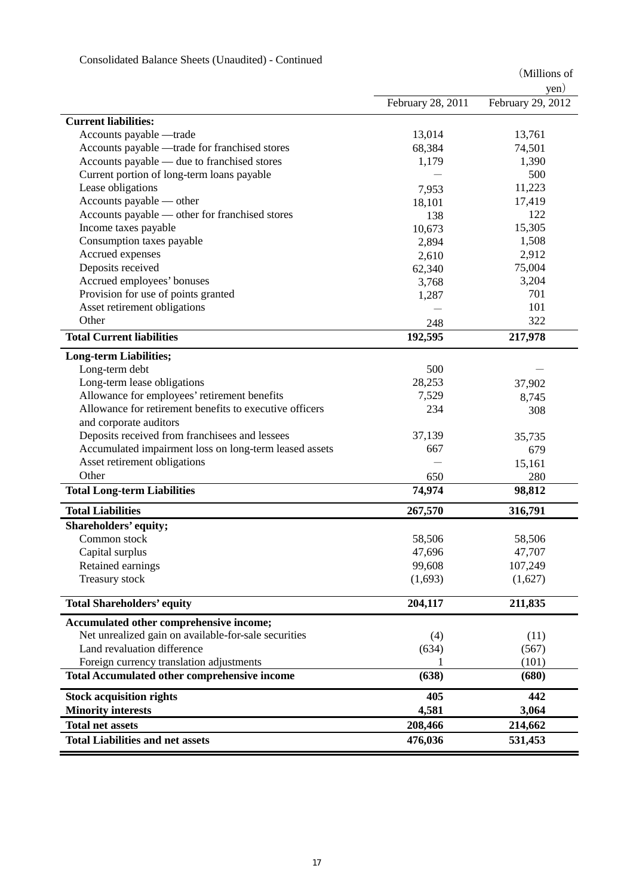|                                                         |                   | yen)              |
|---------------------------------------------------------|-------------------|-------------------|
|                                                         | February 28, 2011 | February 29, 2012 |
| <b>Current liabilities:</b>                             |                   |                   |
| Accounts payable -trade                                 | 13,014            | 13,761            |
| Accounts payable —trade for franchised stores           | 68,384            | 74,501            |
| Accounts payable — due to franchised stores             | 1,179             | 1,390             |
| Current portion of long-term loans payable              |                   | 500               |
| Lease obligations                                       | 7,953             | 11,223            |
| Accounts payable — other                                | 18,101            | 17,419            |
| Accounts payable — other for franchised stores          | 138               | 122               |
| Income taxes payable                                    | 10,673            | 15,305            |
| Consumption taxes payable                               | 2,894             | 1,508             |
| Accrued expenses                                        | 2,610             | 2,912             |
| Deposits received                                       | 62,340            | 75,004            |
| Accrued employees' bonuses                              | 3,768             | 3,204             |
| Provision for use of points granted                     | 1,287             | 701               |
| Asset retirement obligations                            |                   | 101               |
| Other                                                   | 248               | 322               |
| <b>Total Current liabilities</b>                        | 192,595           | 217,978           |
| <b>Long-term Liabilities;</b>                           |                   |                   |
| Long-term debt                                          | 500               |                   |
| Long-term lease obligations                             | 28,253            | 37,902            |
| Allowance for employees' retirement benefits            | 7,529             | 8,745             |
| Allowance for retirement benefits to executive officers | 234               | 308               |
| and corporate auditors                                  |                   |                   |
| Deposits received from franchisees and lessees          | 37,139            | 35,735            |
| Accumulated impairment loss on long-term leased assets  | 667               | 679               |
| Asset retirement obligations                            |                   | 15,161            |
| Other                                                   | 650               | 280               |
| <b>Total Long-term Liabilities</b>                      | 74,974            | 98,812            |
| <b>Total Liabilities</b>                                |                   |                   |
|                                                         | 267,570           | 316,791           |
| Shareholders' equity;<br>Common stock                   | 58,506            |                   |
|                                                         |                   | 58,506<br>47,707  |
| Capital surplus<br>Retained earnings                    | 47,696<br>99,608  | 107,249           |
|                                                         |                   |                   |
| Treasury stock                                          | (1,693)           | (1,627)           |
| <b>Total Shareholders' equity</b>                       | 204,117           | 211,835           |
| Accumulated other comprehensive income;                 |                   |                   |
| Net unrealized gain on available-for-sale securities    | (4)               | (11)              |
| Land revaluation difference                             | (634)             | (567)             |
| Foreign currency translation adjustments                |                   | (101)             |
| <b>Total Accumulated other comprehensive income</b>     | (638)             | (680)             |
| <b>Stock acquisition rights</b>                         | 405               | 442               |
| <b>Minority interests</b>                               | 4,581             | 3,064             |
| <b>Total net assets</b>                                 | 208,466           | 214,662           |
| <b>Total Liabilities and net assets</b>                 | 476,036           | 531,453           |

## Consolidated Balance Sheets (Unaudited) - Continued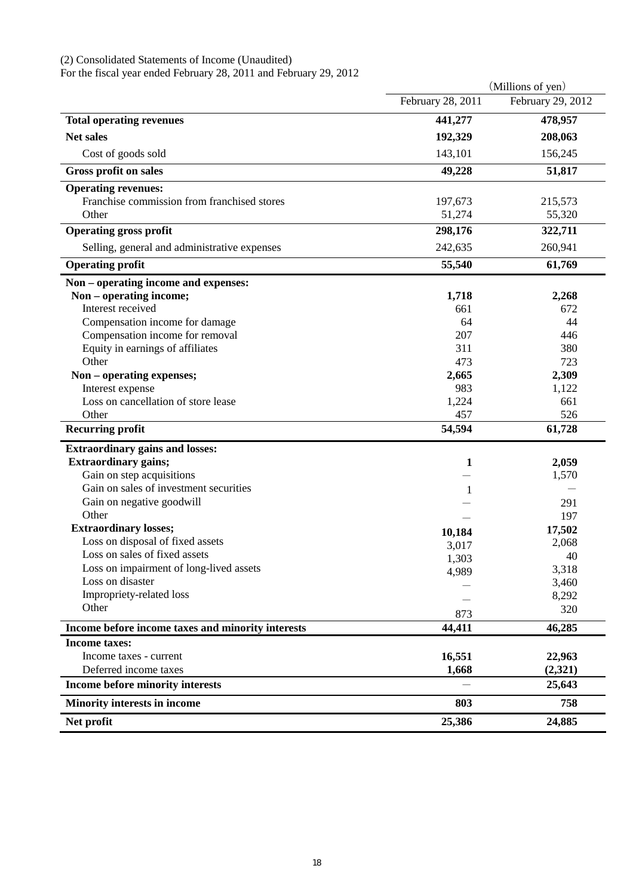#### (2) Consolidated Statements of Income (Unaudited)

For the fiscal year ended February 28, 2011 and February 29, 2012

|                                                   |                   | (Millions of yen) |
|---------------------------------------------------|-------------------|-------------------|
|                                                   | February 28, 2011 | February 29, 2012 |
| <b>Total operating revenues</b>                   | 441,277           | 478,957           |
| <b>Net sales</b>                                  | 192,329           | 208,063           |
| Cost of goods sold                                | 143,101           | 156,245           |
| Gross profit on sales                             | 49,228            | 51,817            |
| <b>Operating revenues:</b>                        |                   |                   |
| Franchise commission from franchised stores       | 197,673           | 215,573           |
| Other                                             | 51,274            | 55,320            |
| <b>Operating gross profit</b>                     | 298,176           | 322,711           |
| Selling, general and administrative expenses      | 242,635           | 260,941           |
| <b>Operating profit</b>                           | 55,540            | 61,769            |
| Non - operating income and expenses:              |                   |                   |
| Non - operating income;                           | 1,718             | 2,268             |
| Interest received                                 | 661               | 672               |
| Compensation income for damage                    | 64                | 44                |
| Compensation income for removal                   | 207               | 446               |
| Equity in earnings of affiliates                  | 311               | 380               |
| Other                                             | 473               | 723               |
| Non - operating expenses;                         | 2,665             | 2,309             |
| Interest expense                                  | 983               | 1,122             |
| Loss on cancellation of store lease               | 1,224             | 661               |
| Other                                             | 457               | 526               |
| <b>Recurring profit</b>                           | 54,594            | 61,728            |
| <b>Extraordinary gains and losses:</b>            |                   |                   |
| <b>Extraordinary gains;</b>                       | 1                 | 2,059             |
| Gain on step acquisitions                         |                   | 1,570             |
| Gain on sales of investment securities            |                   |                   |
| Gain on negative goodwill                         |                   | 291               |
| Other                                             |                   | 197               |
| <b>Extraordinary losses;</b>                      | 10,184            | 17,502            |
| Loss on disposal of fixed assets                  | 3,017             | 2,068             |
| Loss on sales of fixed assets                     | 1,303             | 40                |
| Loss on impairment of long-lived assets           | 4,989             | 3,318             |
| Loss on disaster                                  |                   | 3,460             |
| Impropriety-related loss                          |                   | 8,292             |
| Other                                             | 873               | 320               |
| Income before income taxes and minority interests | 44,411            | 46,285            |
| <b>Income taxes:</b>                              |                   |                   |
| Income taxes - current                            | 16,551            | 22,963            |
| Deferred income taxes                             | 1,668             | (2,321)           |
| Income before minority interests                  |                   | 25,643            |
| Minority interests in income                      | 803               | 758               |
| Net profit                                        | 25,386            | 24,885            |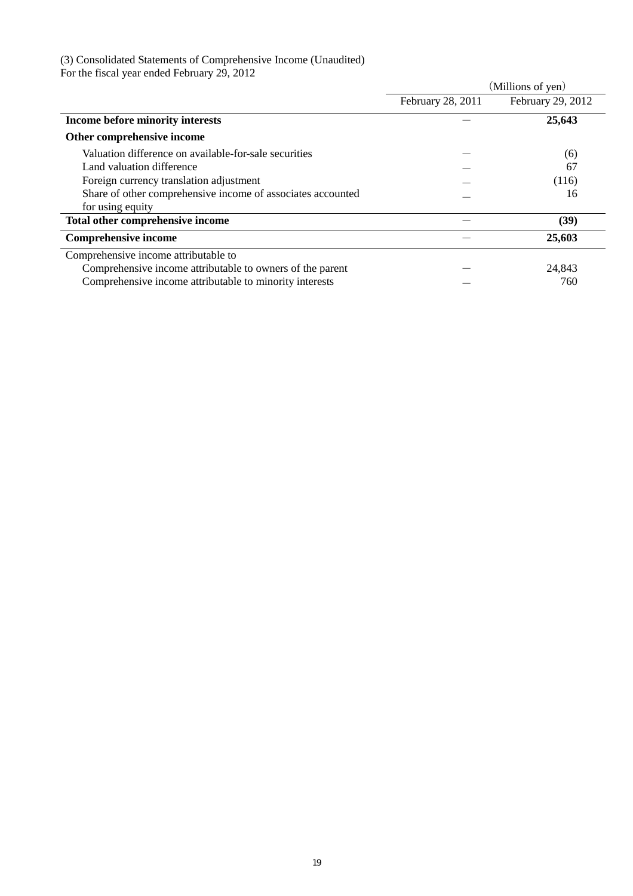#### (3) Consolidated Statements of Comprehensive Income (Unaudited)

For the fiscal year ended February 29, 2012

|                                                             |                   | (Millions of yen) |
|-------------------------------------------------------------|-------------------|-------------------|
|                                                             | February 28, 2011 | February 29, 2012 |
| Income before minority interests                            |                   | 25,643            |
| Other comprehensive income                                  |                   |                   |
| Valuation difference on available-for-sale securities       |                   | (6)               |
| Land valuation difference                                   |                   | 67                |
| Foreign currency translation adjustment                     |                   | (116)             |
| Share of other comprehensive income of associates accounted |                   | 16                |
| for using equity                                            |                   |                   |
| Total other comprehensive income                            |                   | (39)              |
| <b>Comprehensive income</b>                                 |                   | 25,603            |
| Comprehensive income attributable to                        |                   |                   |
| Comprehensive income attributable to owners of the parent   |                   | 24,843            |
| Comprehensive income attributable to minority interests     |                   | 760               |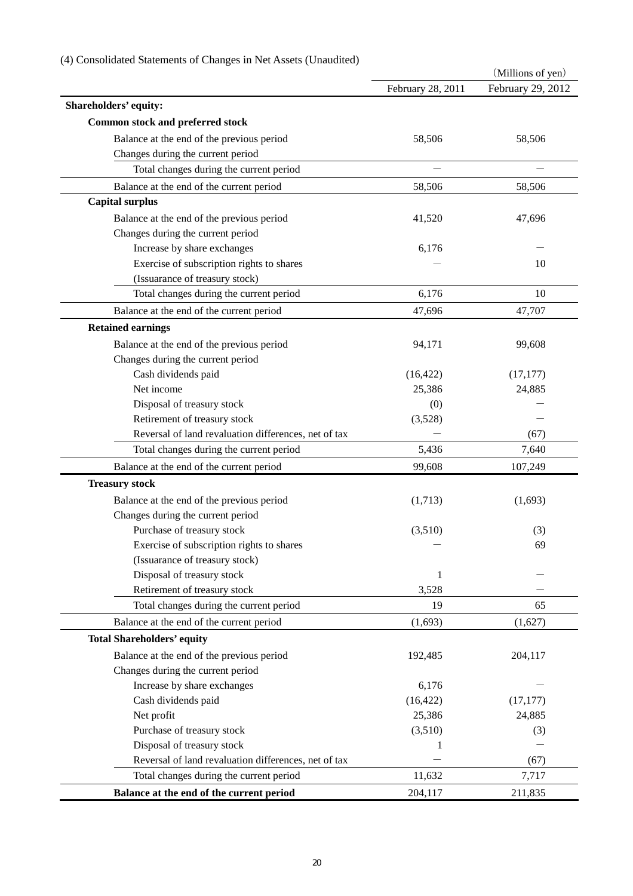|                                                      |                   | (Millions of yen) |
|------------------------------------------------------|-------------------|-------------------|
|                                                      | February 28, 2011 | February 29, 2012 |
| Shareholders' equity:                                |                   |                   |
| <b>Common stock and preferred stock</b>              |                   |                   |
| Balance at the end of the previous period            | 58,506            | 58,506            |
| Changes during the current period                    |                   |                   |
| Total changes during the current period              |                   |                   |
| Balance at the end of the current period             | 58,506            | 58,506            |
| <b>Capital surplus</b>                               |                   |                   |
| Balance at the end of the previous period            | 41,520            | 47,696            |
| Changes during the current period                    |                   |                   |
| Increase by share exchanges                          | 6,176             |                   |
| Exercise of subscription rights to shares            |                   | 10                |
| (Issuarance of treasury stock)                       |                   |                   |
| Total changes during the current period              | 6,176             | 10                |
| Balance at the end of the current period             | 47,696            | 47,707            |
| <b>Retained earnings</b>                             |                   |                   |
|                                                      |                   |                   |
| Balance at the end of the previous period            | 94,171            | 99,608            |
| Changes during the current period                    |                   |                   |
| Cash dividends paid                                  | (16, 422)         | (17, 177)         |
| Net income                                           | 25,386            | 24,885            |
| Disposal of treasury stock                           | (0)               |                   |
| Retirement of treasury stock                         | (3,528)           |                   |
| Reversal of land revaluation differences, net of tax |                   | (67)              |
| Total changes during the current period              | 5,436             | 7,640             |
| Balance at the end of the current period             | 99,608            | 107,249           |
| <b>Treasury stock</b>                                |                   |                   |
| Balance at the end of the previous period            | (1,713)           | (1,693)           |
| Changes during the current period                    |                   |                   |
| Purchase of treasury stock                           | (3,510)           | (3)               |
| Exercise of subscription rights to shares            |                   | 69                |
| (Issuarance of treasury stock)                       |                   |                   |
| Disposal of treasury stock                           | 1                 |                   |
| Retirement of treasury stock                         | 3,528             |                   |
| Total changes during the current period              | 19                | 65                |
| Balance at the end of the current period             | (1,693)           | (1,627)           |
| <b>Total Shareholders' equity</b>                    |                   |                   |
| Balance at the end of the previous period            | 192,485           | 204,117           |
| Changes during the current period                    |                   |                   |
| Increase by share exchanges                          | 6,176             |                   |
| Cash dividends paid                                  | (16, 422)         | (17, 177)         |
| Net profit                                           | 25,386            | 24,885            |
| Purchase of treasury stock                           | (3,510)           | (3)               |
| Disposal of treasury stock                           |                   |                   |
| Reversal of land revaluation differences, net of tax |                   | (67)              |
| Total changes during the current period              | 11,632            | 7,717             |
| Balance at the end of the current period             | 204,117           | 211,835           |

## (4) Consolidated Statements of Changes in Net Assets (Unaudited)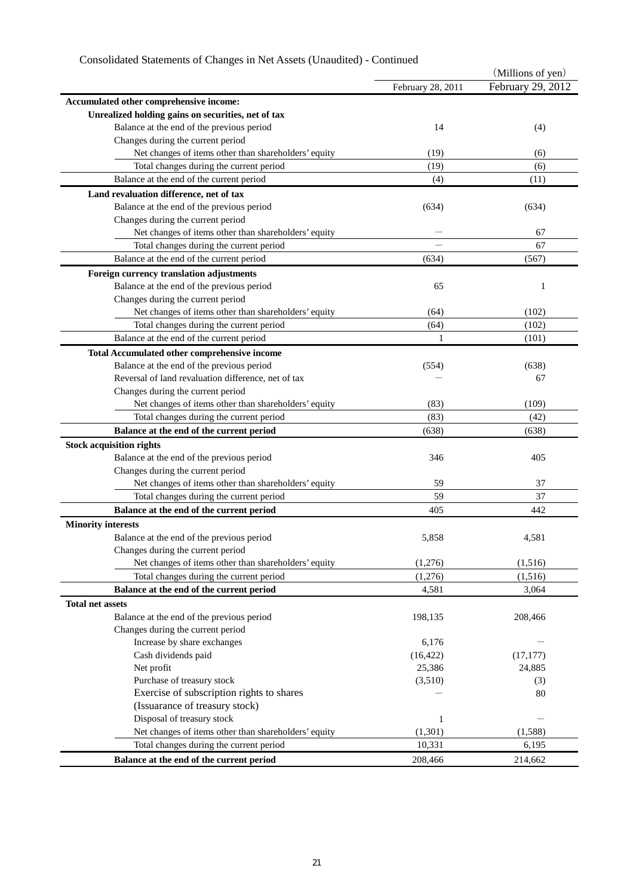# Consolidated Statements of Changes in Net Assets (Unaudited) - Continued

| February 29, 2012<br>February 28, 2011<br>Accumulated other comprehensive income:<br>Unrealized holding gains on securities, net of tax<br>Balance at the end of the previous period<br>14<br>(4)<br>Changes during the current period<br>Net changes of items other than shareholders' equity<br>(19)<br>(6)<br>Total changes during the current period<br>(19)<br>(6)<br>Balance at the end of the current period<br>(11)<br>(4)<br>Land revaluation difference, net of tax<br>Balance at the end of the previous period<br>(634)<br>(634)<br>Changes during the current period<br>Net changes of items other than shareholders' equity<br>67<br>67<br>Total changes during the current period<br>Balance at the end of the current period<br>(634)<br>(567)<br>Foreign currency translation adjustments<br>Balance at the end of the previous period<br>65<br>1<br>Changes during the current period<br>Net changes of items other than shareholders' equity<br>(102)<br>(64)<br>Total changes during the current period<br>(64)<br>(102)<br>Balance at the end of the current period<br>1<br>(101)<br>Total Accumulated other comprehensive income<br>Balance at the end of the previous period<br>(638)<br>(554)<br>Reversal of land revaluation difference, net of tax<br>67<br>Changes during the current period<br>Net changes of items other than shareholders' equity<br>(83)<br>(109)<br>(83)<br>Total changes during the current period<br>(42)<br>Balance at the end of the current period<br>(638)<br>(638)<br><b>Stock acquisition rights</b><br>Balance at the end of the previous period<br>346<br>405<br>Changes during the current period |
|--------------------------------------------------------------------------------------------------------------------------------------------------------------------------------------------------------------------------------------------------------------------------------------------------------------------------------------------------------------------------------------------------------------------------------------------------------------------------------------------------------------------------------------------------------------------------------------------------------------------------------------------------------------------------------------------------------------------------------------------------------------------------------------------------------------------------------------------------------------------------------------------------------------------------------------------------------------------------------------------------------------------------------------------------------------------------------------------------------------------------------------------------------------------------------------------------------------------------------------------------------------------------------------------------------------------------------------------------------------------------------------------------------------------------------------------------------------------------------------------------------------------------------------------------------------------------------------------------------------------------------------------------------------|
|                                                                                                                                                                                                                                                                                                                                                                                                                                                                                                                                                                                                                                                                                                                                                                                                                                                                                                                                                                                                                                                                                                                                                                                                                                                                                                                                                                                                                                                                                                                                                                                                                                                              |
|                                                                                                                                                                                                                                                                                                                                                                                                                                                                                                                                                                                                                                                                                                                                                                                                                                                                                                                                                                                                                                                                                                                                                                                                                                                                                                                                                                                                                                                                                                                                                                                                                                                              |
|                                                                                                                                                                                                                                                                                                                                                                                                                                                                                                                                                                                                                                                                                                                                                                                                                                                                                                                                                                                                                                                                                                                                                                                                                                                                                                                                                                                                                                                                                                                                                                                                                                                              |
|                                                                                                                                                                                                                                                                                                                                                                                                                                                                                                                                                                                                                                                                                                                                                                                                                                                                                                                                                                                                                                                                                                                                                                                                                                                                                                                                                                                                                                                                                                                                                                                                                                                              |
|                                                                                                                                                                                                                                                                                                                                                                                                                                                                                                                                                                                                                                                                                                                                                                                                                                                                                                                                                                                                                                                                                                                                                                                                                                                                                                                                                                                                                                                                                                                                                                                                                                                              |
|                                                                                                                                                                                                                                                                                                                                                                                                                                                                                                                                                                                                                                                                                                                                                                                                                                                                                                                                                                                                                                                                                                                                                                                                                                                                                                                                                                                                                                                                                                                                                                                                                                                              |
|                                                                                                                                                                                                                                                                                                                                                                                                                                                                                                                                                                                                                                                                                                                                                                                                                                                                                                                                                                                                                                                                                                                                                                                                                                                                                                                                                                                                                                                                                                                                                                                                                                                              |
|                                                                                                                                                                                                                                                                                                                                                                                                                                                                                                                                                                                                                                                                                                                                                                                                                                                                                                                                                                                                                                                                                                                                                                                                                                                                                                                                                                                                                                                                                                                                                                                                                                                              |
|                                                                                                                                                                                                                                                                                                                                                                                                                                                                                                                                                                                                                                                                                                                                                                                                                                                                                                                                                                                                                                                                                                                                                                                                                                                                                                                                                                                                                                                                                                                                                                                                                                                              |
|                                                                                                                                                                                                                                                                                                                                                                                                                                                                                                                                                                                                                                                                                                                                                                                                                                                                                                                                                                                                                                                                                                                                                                                                                                                                                                                                                                                                                                                                                                                                                                                                                                                              |
|                                                                                                                                                                                                                                                                                                                                                                                                                                                                                                                                                                                                                                                                                                                                                                                                                                                                                                                                                                                                                                                                                                                                                                                                                                                                                                                                                                                                                                                                                                                                                                                                                                                              |
|                                                                                                                                                                                                                                                                                                                                                                                                                                                                                                                                                                                                                                                                                                                                                                                                                                                                                                                                                                                                                                                                                                                                                                                                                                                                                                                                                                                                                                                                                                                                                                                                                                                              |
|                                                                                                                                                                                                                                                                                                                                                                                                                                                                                                                                                                                                                                                                                                                                                                                                                                                                                                                                                                                                                                                                                                                                                                                                                                                                                                                                                                                                                                                                                                                                                                                                                                                              |
|                                                                                                                                                                                                                                                                                                                                                                                                                                                                                                                                                                                                                                                                                                                                                                                                                                                                                                                                                                                                                                                                                                                                                                                                                                                                                                                                                                                                                                                                                                                                                                                                                                                              |
|                                                                                                                                                                                                                                                                                                                                                                                                                                                                                                                                                                                                                                                                                                                                                                                                                                                                                                                                                                                                                                                                                                                                                                                                                                                                                                                                                                                                                                                                                                                                                                                                                                                              |
|                                                                                                                                                                                                                                                                                                                                                                                                                                                                                                                                                                                                                                                                                                                                                                                                                                                                                                                                                                                                                                                                                                                                                                                                                                                                                                                                                                                                                                                                                                                                                                                                                                                              |
|                                                                                                                                                                                                                                                                                                                                                                                                                                                                                                                                                                                                                                                                                                                                                                                                                                                                                                                                                                                                                                                                                                                                                                                                                                                                                                                                                                                                                                                                                                                                                                                                                                                              |
|                                                                                                                                                                                                                                                                                                                                                                                                                                                                                                                                                                                                                                                                                                                                                                                                                                                                                                                                                                                                                                                                                                                                                                                                                                                                                                                                                                                                                                                                                                                                                                                                                                                              |
|                                                                                                                                                                                                                                                                                                                                                                                                                                                                                                                                                                                                                                                                                                                                                                                                                                                                                                                                                                                                                                                                                                                                                                                                                                                                                                                                                                                                                                                                                                                                                                                                                                                              |
|                                                                                                                                                                                                                                                                                                                                                                                                                                                                                                                                                                                                                                                                                                                                                                                                                                                                                                                                                                                                                                                                                                                                                                                                                                                                                                                                                                                                                                                                                                                                                                                                                                                              |
|                                                                                                                                                                                                                                                                                                                                                                                                                                                                                                                                                                                                                                                                                                                                                                                                                                                                                                                                                                                                                                                                                                                                                                                                                                                                                                                                                                                                                                                                                                                                                                                                                                                              |
|                                                                                                                                                                                                                                                                                                                                                                                                                                                                                                                                                                                                                                                                                                                                                                                                                                                                                                                                                                                                                                                                                                                                                                                                                                                                                                                                                                                                                                                                                                                                                                                                                                                              |
|                                                                                                                                                                                                                                                                                                                                                                                                                                                                                                                                                                                                                                                                                                                                                                                                                                                                                                                                                                                                                                                                                                                                                                                                                                                                                                                                                                                                                                                                                                                                                                                                                                                              |
|                                                                                                                                                                                                                                                                                                                                                                                                                                                                                                                                                                                                                                                                                                                                                                                                                                                                                                                                                                                                                                                                                                                                                                                                                                                                                                                                                                                                                                                                                                                                                                                                                                                              |
|                                                                                                                                                                                                                                                                                                                                                                                                                                                                                                                                                                                                                                                                                                                                                                                                                                                                                                                                                                                                                                                                                                                                                                                                                                                                                                                                                                                                                                                                                                                                                                                                                                                              |
|                                                                                                                                                                                                                                                                                                                                                                                                                                                                                                                                                                                                                                                                                                                                                                                                                                                                                                                                                                                                                                                                                                                                                                                                                                                                                                                                                                                                                                                                                                                                                                                                                                                              |
|                                                                                                                                                                                                                                                                                                                                                                                                                                                                                                                                                                                                                                                                                                                                                                                                                                                                                                                                                                                                                                                                                                                                                                                                                                                                                                                                                                                                                                                                                                                                                                                                                                                              |
|                                                                                                                                                                                                                                                                                                                                                                                                                                                                                                                                                                                                                                                                                                                                                                                                                                                                                                                                                                                                                                                                                                                                                                                                                                                                                                                                                                                                                                                                                                                                                                                                                                                              |
|                                                                                                                                                                                                                                                                                                                                                                                                                                                                                                                                                                                                                                                                                                                                                                                                                                                                                                                                                                                                                                                                                                                                                                                                                                                                                                                                                                                                                                                                                                                                                                                                                                                              |
|                                                                                                                                                                                                                                                                                                                                                                                                                                                                                                                                                                                                                                                                                                                                                                                                                                                                                                                                                                                                                                                                                                                                                                                                                                                                                                                                                                                                                                                                                                                                                                                                                                                              |
|                                                                                                                                                                                                                                                                                                                                                                                                                                                                                                                                                                                                                                                                                                                                                                                                                                                                                                                                                                                                                                                                                                                                                                                                                                                                                                                                                                                                                                                                                                                                                                                                                                                              |
| Net changes of items other than shareholders' equity<br>59<br>37                                                                                                                                                                                                                                                                                                                                                                                                                                                                                                                                                                                                                                                                                                                                                                                                                                                                                                                                                                                                                                                                                                                                                                                                                                                                                                                                                                                                                                                                                                                                                                                             |
| Total changes during the current period<br>59<br>37                                                                                                                                                                                                                                                                                                                                                                                                                                                                                                                                                                                                                                                                                                                                                                                                                                                                                                                                                                                                                                                                                                                                                                                                                                                                                                                                                                                                                                                                                                                                                                                                          |
| Balance at the end of the current period<br>442<br>405                                                                                                                                                                                                                                                                                                                                                                                                                                                                                                                                                                                                                                                                                                                                                                                                                                                                                                                                                                                                                                                                                                                                                                                                                                                                                                                                                                                                                                                                                                                                                                                                       |
| <b>Minority interests</b>                                                                                                                                                                                                                                                                                                                                                                                                                                                                                                                                                                                                                                                                                                                                                                                                                                                                                                                                                                                                                                                                                                                                                                                                                                                                                                                                                                                                                                                                                                                                                                                                                                    |
| Balance at the end of the previous period<br>5,858<br>4,581                                                                                                                                                                                                                                                                                                                                                                                                                                                                                                                                                                                                                                                                                                                                                                                                                                                                                                                                                                                                                                                                                                                                                                                                                                                                                                                                                                                                                                                                                                                                                                                                  |
| Changes during the current period                                                                                                                                                                                                                                                                                                                                                                                                                                                                                                                                                                                                                                                                                                                                                                                                                                                                                                                                                                                                                                                                                                                                                                                                                                                                                                                                                                                                                                                                                                                                                                                                                            |
| Net changes of items other than shareholders' equity<br>(1,276)<br>(1,516)                                                                                                                                                                                                                                                                                                                                                                                                                                                                                                                                                                                                                                                                                                                                                                                                                                                                                                                                                                                                                                                                                                                                                                                                                                                                                                                                                                                                                                                                                                                                                                                   |
| Total changes during the current period<br>(1,276)<br>(1,516)                                                                                                                                                                                                                                                                                                                                                                                                                                                                                                                                                                                                                                                                                                                                                                                                                                                                                                                                                                                                                                                                                                                                                                                                                                                                                                                                                                                                                                                                                                                                                                                                |
| Balance at the end of the current period<br>4,581<br>3,064                                                                                                                                                                                                                                                                                                                                                                                                                                                                                                                                                                                                                                                                                                                                                                                                                                                                                                                                                                                                                                                                                                                                                                                                                                                                                                                                                                                                                                                                                                                                                                                                   |
| <b>Total net assets</b>                                                                                                                                                                                                                                                                                                                                                                                                                                                                                                                                                                                                                                                                                                                                                                                                                                                                                                                                                                                                                                                                                                                                                                                                                                                                                                                                                                                                                                                                                                                                                                                                                                      |
| Balance at the end of the previous period<br>198,135<br>208,466                                                                                                                                                                                                                                                                                                                                                                                                                                                                                                                                                                                                                                                                                                                                                                                                                                                                                                                                                                                                                                                                                                                                                                                                                                                                                                                                                                                                                                                                                                                                                                                              |
| Changes during the current period                                                                                                                                                                                                                                                                                                                                                                                                                                                                                                                                                                                                                                                                                                                                                                                                                                                                                                                                                                                                                                                                                                                                                                                                                                                                                                                                                                                                                                                                                                                                                                                                                            |
| Increase by share exchanges<br>6,176                                                                                                                                                                                                                                                                                                                                                                                                                                                                                                                                                                                                                                                                                                                                                                                                                                                                                                                                                                                                                                                                                                                                                                                                                                                                                                                                                                                                                                                                                                                                                                                                                         |
| (16, 422)<br>Cash dividends paid<br>(17, 177)                                                                                                                                                                                                                                                                                                                                                                                                                                                                                                                                                                                                                                                                                                                                                                                                                                                                                                                                                                                                                                                                                                                                                                                                                                                                                                                                                                                                                                                                                                                                                                                                                |
| Net profit<br>25,386<br>24,885                                                                                                                                                                                                                                                                                                                                                                                                                                                                                                                                                                                                                                                                                                                                                                                                                                                                                                                                                                                                                                                                                                                                                                                                                                                                                                                                                                                                                                                                                                                                                                                                                               |
| Purchase of treasury stock<br>(3,510)<br>(3)                                                                                                                                                                                                                                                                                                                                                                                                                                                                                                                                                                                                                                                                                                                                                                                                                                                                                                                                                                                                                                                                                                                                                                                                                                                                                                                                                                                                                                                                                                                                                                                                                 |
| Exercise of subscription rights to shares<br>80                                                                                                                                                                                                                                                                                                                                                                                                                                                                                                                                                                                                                                                                                                                                                                                                                                                                                                                                                                                                                                                                                                                                                                                                                                                                                                                                                                                                                                                                                                                                                                                                              |
| (Issuarance of treasury stock)                                                                                                                                                                                                                                                                                                                                                                                                                                                                                                                                                                                                                                                                                                                                                                                                                                                                                                                                                                                                                                                                                                                                                                                                                                                                                                                                                                                                                                                                                                                                                                                                                               |
| Disposal of treasury stock<br>1                                                                                                                                                                                                                                                                                                                                                                                                                                                                                                                                                                                                                                                                                                                                                                                                                                                                                                                                                                                                                                                                                                                                                                                                                                                                                                                                                                                                                                                                                                                                                                                                                              |
| Net changes of items other than shareholders' equity<br>(1,301)<br>(1,588)                                                                                                                                                                                                                                                                                                                                                                                                                                                                                                                                                                                                                                                                                                                                                                                                                                                                                                                                                                                                                                                                                                                                                                                                                                                                                                                                                                                                                                                                                                                                                                                   |
| Total changes during the current period<br>10,331<br>6,195                                                                                                                                                                                                                                                                                                                                                                                                                                                                                                                                                                                                                                                                                                                                                                                                                                                                                                                                                                                                                                                                                                                                                                                                                                                                                                                                                                                                                                                                                                                                                                                                   |
| Balance at the end of the current period<br>208,466<br>214,662                                                                                                                                                                                                                                                                                                                                                                                                                                                                                                                                                                                                                                                                                                                                                                                                                                                                                                                                                                                                                                                                                                                                                                                                                                                                                                                                                                                                                                                                                                                                                                                               |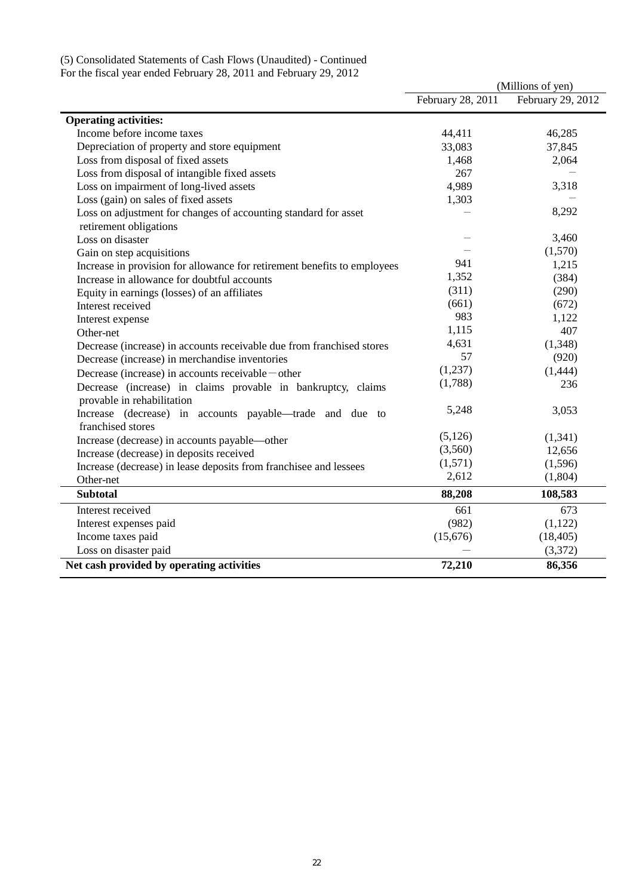#### (5) Consolidated Statements of Cash Flows (Unaudited) - Continued

For the fiscal year ended February 28, 2011 and February 29, 2012

|                                                                                                             |                   | (Millions of yen) |
|-------------------------------------------------------------------------------------------------------------|-------------------|-------------------|
|                                                                                                             | February 28, 2011 | February 29, 2012 |
| <b>Operating activities:</b>                                                                                |                   |                   |
| Income before income taxes                                                                                  | 44,411            | 46,285            |
| Depreciation of property and store equipment                                                                | 33,083            | 37,845            |
| Loss from disposal of fixed assets                                                                          | 1,468             | 2,064             |
| Loss from disposal of intangible fixed assets                                                               | 267               |                   |
| Loss on impairment of long-lived assets                                                                     | 4,989             | 3,318             |
| Loss (gain) on sales of fixed assets                                                                        | 1,303             |                   |
| Loss on adjustment for changes of accounting standard for asset<br>retirement obligations                   |                   | 8,292             |
| Loss on disaster                                                                                            |                   | 3,460             |
| Gain on step acquisitions                                                                                   |                   | (1,570)           |
| Increase in provision for allowance for retirement benefits to employees                                    | 941               | 1,215             |
| Increase in allowance for doubtful accounts                                                                 | 1,352             | (384)             |
| Equity in earnings (losses) of an affiliates                                                                | (311)             | (290)             |
| Interest received                                                                                           | (661)             | (672)             |
| Interest expense                                                                                            | 983               | 1,122             |
| Other-net                                                                                                   | 1,115             | 407               |
| Decrease (increase) in accounts receivable due from franchised stores                                       | 4,631             | (1,348)           |
| Decrease (increase) in merchandise inventories                                                              | 57                | (920)             |
| Decrease (increase) in accounts receivable — other                                                          | (1,237)           | (1, 444)          |
| Decrease (increase) in claims provable in bankruptcy, claims                                                | (1,788)           | 236               |
| provable in rehabilitation<br>Increase (decrease) in accounts payable—trade and due to<br>franchised stores | 5,248             | 3,053             |
| Increase (decrease) in accounts payable—other                                                               | (5,126)           | (1, 341)          |
| Increase (decrease) in deposits received                                                                    | (3,560)           | 12,656            |
| Increase (decrease) in lease deposits from franchisee and lessees                                           | (1,571)           | (1,596)           |
| Other-net                                                                                                   | 2,612             | (1,804)           |
| <b>Subtotal</b>                                                                                             | 88,208            | 108,583           |
| Interest received                                                                                           | 661               | 673               |
| Interest expenses paid                                                                                      | (982)             | (1,122)           |
| Income taxes paid                                                                                           | (15,676)          | (18, 405)         |
| Loss on disaster paid                                                                                       |                   | (3,372)           |
| Net cash provided by operating activities                                                                   | 72,210            | 86,356            |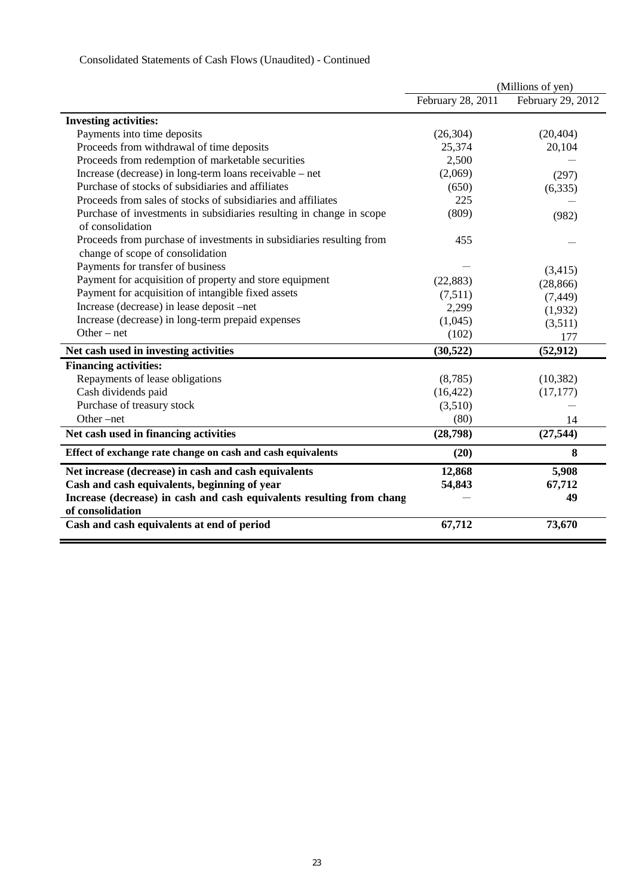|                                                                                                          |                   | (Millions of yen) |
|----------------------------------------------------------------------------------------------------------|-------------------|-------------------|
|                                                                                                          | February 28, 2011 | February 29, 2012 |
| <b>Investing activities:</b>                                                                             |                   |                   |
| Payments into time deposits                                                                              | (26, 304)         | (20, 404)         |
| Proceeds from withdrawal of time deposits                                                                | 25,374            | 20,104            |
| Proceeds from redemption of marketable securities                                                        | 2,500             |                   |
| Increase (decrease) in long-term loans receivable – net                                                  | (2,069)           | (297)             |
| Purchase of stocks of subsidiaries and affiliates                                                        | (650)             | (6, 335)          |
| Proceeds from sales of stocks of subsidiaries and affiliates                                             | 225               |                   |
| Purchase of investments in subsidiaries resulting in change in scope<br>of consolidation                 | (809)             | (982)             |
| Proceeds from purchase of investments in subsidiaries resulting from<br>change of scope of consolidation | 455               |                   |
| Payments for transfer of business                                                                        |                   | (3,415)           |
| Payment for acquisition of property and store equipment                                                  | (22, 883)         | (28, 866)         |
| Payment for acquisition of intangible fixed assets                                                       | (7,511)           | (7, 449)          |
| Increase (decrease) in lease deposit -net                                                                | 2,299             | (1,932)           |
| Increase (decrease) in long-term prepaid expenses                                                        | (1,045)           | (3,511)           |
| Other $-$ net                                                                                            | (102)             | 177               |
| Net cash used in investing activities                                                                    | (30,522)          | (52, 912)         |
| <b>Financing activities:</b>                                                                             |                   |                   |
| Repayments of lease obligations                                                                          | (8,785)           | (10, 382)         |
| Cash dividends paid                                                                                      | (16, 422)         | (17, 177)         |
| Purchase of treasury stock                                                                               | (3,510)           |                   |
| Other $-net$                                                                                             | (80)              | 14                |
| Net cash used in financing activities                                                                    | (28, 798)         | (27, 544)         |
| Effect of exchange rate change on cash and cash equivalents                                              | (20)              | 8                 |
| Net increase (decrease) in cash and cash equivalents                                                     | 12,868            | 5,908             |
| Cash and cash equivalents, beginning of year                                                             | 54,843            | 67,712            |
| Increase (decrease) in cash and cash equivalents resulting from chang<br>of consolidation                |                   | 49                |
| Cash and cash equivalents at end of period                                                               | 67,712            | 73,670            |

## Consolidated Statements of Cash Flows (Unaudited) - Continued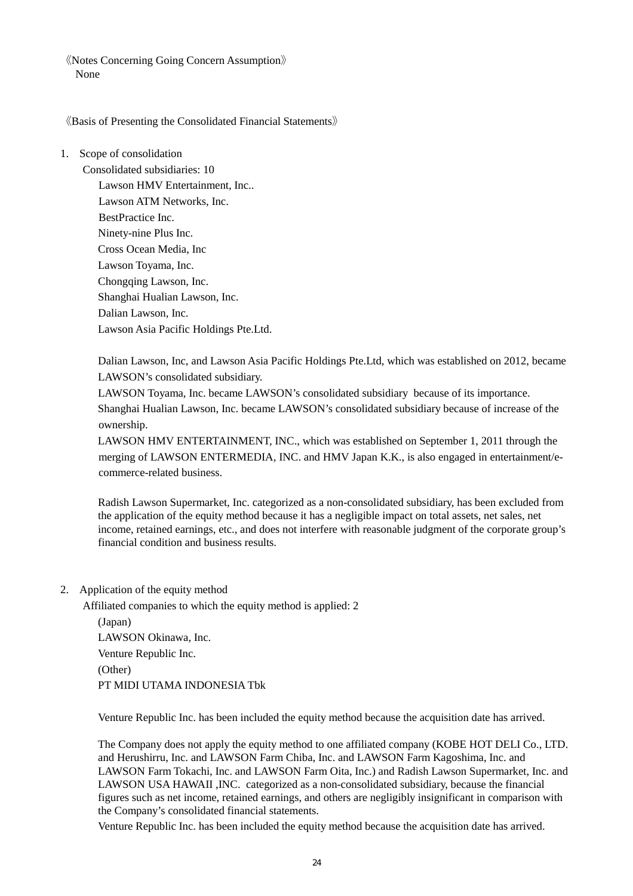《Notes Concerning Going Concern Assumption》 None

《Basis of Presenting the Consolidated Financial Statements》

1. Scope of consolidation

Consolidated subsidiaries: 10 Lawson HMV Entertainment, Inc.. Lawson ATM Networks, Inc. BestPractice Inc. Ninety-nine Plus Inc. Cross Ocean Media, Inc Lawson Toyama, Inc. Chongqing Lawson, Inc. Shanghai Hualian Lawson, Inc. Dalian Lawson, Inc. Lawson Asia Pacific Holdings Pte.Ltd.

Dalian Lawson, Inc, and Lawson Asia Pacific Holdings Pte.Ltd, which was established on 2012, became LAWSON's consolidated subsidiary.

LAWSON Toyama, Inc. became LAWSON's consolidated subsidiary because of its importance. Shanghai Hualian Lawson, Inc. became LAWSON's consolidated subsidiary because of increase of the ownership.

LAWSON HMV ENTERTAINMENT, INC., which was established on September 1, 2011 through the merging of LAWSON ENTERMEDIA, INC. and HMV Japan K.K., is also engaged in entertainment/ecommerce-related business.

Radish Lawson Supermarket, Inc. categorized as a non-consolidated subsidiary, has been excluded from the application of the equity method because it has a negligible impact on total assets, net sales, net income, retained earnings, etc., and does not interfere with reasonable judgment of the corporate group's financial condition and business results.

2. Application of the equity method

Affiliated companies to which the equity method is applied: 2

(Japan) LAWSON Okinawa, Inc. Venture Republic Inc. (Other) PT MIDI UTAMA INDONESIA Tbk

Venture Republic Inc. has been included the equity method because the acquisition date has arrived.

The Company does not apply the equity method to one affiliated company (KOBE HOT DELI Co., LTD. and Herushirru, Inc. and LAWSON Farm Chiba, Inc. and LAWSON Farm Kagoshima, Inc. and LAWSON Farm Tokachi, Inc. and LAWSON Farm Oita, Inc.) and Radish Lawson Supermarket, Inc. and LAWSON USA HAWAII ,INC. categorized as a non-consolidated subsidiary, because the financial figures such as net income, retained earnings, and others are negligibly insignificant in comparison with the Company's consolidated financial statements.

Venture Republic Inc. has been included the equity method because the acquisition date has arrived.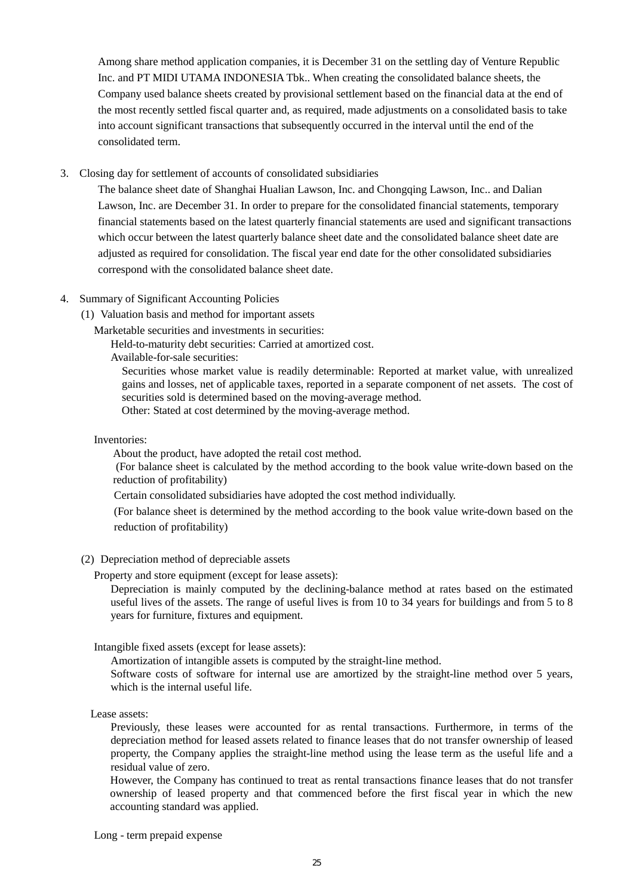Among share method application companies, it is December 31 on the settling day of Venture Republic Inc. and PT MIDI UTAMA INDONESIA Tbk.. When creating the consolidated balance sheets, the Company used balance sheets created by provisional settlement based on the financial data at the end of the most recently settled fiscal quarter and, as required, made adjustments on a consolidated basis to take into account significant transactions that subsequently occurred in the interval until the end of the consolidated term.

3. Closing day for settlement of accounts of consolidated subsidiaries

The balance sheet date of Shanghai Hualian Lawson, Inc. and Chongqing Lawson, Inc.. and Dalian Lawson, Inc. are December 31. In order to prepare for the consolidated financial statements, temporary financial statements based on the latest quarterly financial statements are used and significant transactions which occur between the latest quarterly balance sheet date and the consolidated balance sheet date are adjusted as required for consolidation. The fiscal year end date for the other consolidated subsidiaries correspond with the consolidated balance sheet date.

### 4. Summary of Significant Accounting Policies

(1) Valuation basis and method for important assets

Marketable securities and investments in securities:

Held-to-maturity debt securities: Carried at amortized cost.

Available-for-sale securities:

Securities whose market value is readily determinable: Reported at market value, with unrealized gains and losses, net of applicable taxes, reported in a separate component of net assets. The cost of securities sold is determined based on the moving-average method.

Other: Stated at cost determined by the moving-average method.

#### Inventories:

About the product, have adopted the retail cost method.

 (For balance sheet is calculated by the method according to the book value write-down based on the reduction of profitability)

Certain consolidated subsidiaries have adopted the cost method individually.

(For balance sheet is determined by the method according to the book value write-down based on the reduction of profitability)

(2) Depreciation method of depreciable assets

Property and store equipment (except for lease assets):

Depreciation is mainly computed by the declining-balance method at rates based on the estimated useful lives of the assets. The range of useful lives is from 10 to 34 years for buildings and from 5 to 8 years for furniture, fixtures and equipment.

Intangible fixed assets (except for lease assets):

Amortization of intangible assets is computed by the straight-line method.

Software costs of software for internal use are amortized by the straight-line method over 5 years, which is the internal useful life.

Lease assets:

Previously, these leases were accounted for as rental transactions. Furthermore, in terms of the depreciation method for leased assets related to finance leases that do not transfer ownership of leased property, the Company applies the straight-line method using the lease term as the useful life and a residual value of zero.

However, the Company has continued to treat as rental transactions finance leases that do not transfer ownership of leased property and that commenced before the first fiscal year in which the new accounting standard was applied.

Long - term prepaid expense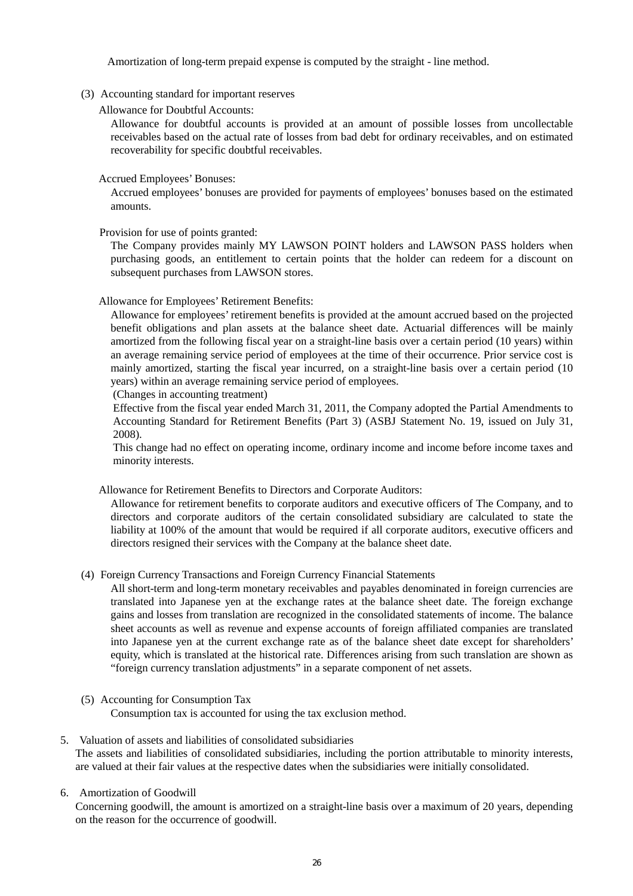Amortization of long-term prepaid expense is computed by the straight - line method.

(3) Accounting standard for important reserves

Allowance for Doubtful Accounts:

Allowance for doubtful accounts is provided at an amount of possible losses from uncollectable receivables based on the actual rate of losses from bad debt for ordinary receivables, and on estimated recoverability for specific doubtful receivables.

### Accrued Employees' Bonuses:

Accrued employees' bonuses are provided for payments of employees' bonuses based on the estimated amounts.

Provision for use of points granted:

The Company provides mainly MY LAWSON POINT holders and LAWSON PASS holders when purchasing goods, an entitlement to certain points that the holder can redeem for a discount on subsequent purchases from LAWSON stores.

## Allowance for Employees' Retirement Benefits:

Allowance for employees' retirement benefits is provided at the amount accrued based on the projected benefit obligations and plan assets at the balance sheet date. Actuarial differences will be mainly amortized from the following fiscal year on a straight-line basis over a certain period (10 years) within an average remaining service period of employees at the time of their occurrence. Prior service cost is mainly amortized, starting the fiscal year incurred, on a straight-line basis over a certain period (10 years) within an average remaining service period of employees.

(Changes in accounting treatment)

Effective from the fiscal year ended March 31, 2011, the Company adopted the Partial Amendments to Accounting Standard for Retirement Benefits (Part 3) (ASBJ Statement No. 19, issued on July 31, 2008).

This change had no effect on operating income, ordinary income and income before income taxes and minority interests.

Allowance for Retirement Benefits to Directors and Corporate Auditors:

Allowance for retirement benefits to corporate auditors and executive officers of The Company, and to directors and corporate auditors of the certain consolidated subsidiary are calculated to state the liability at 100% of the amount that would be required if all corporate auditors, executive officers and directors resigned their services with the Company at the balance sheet date.

## (4) Foreign Currency Transactions and Foreign Currency Financial Statements

All short-term and long-term monetary receivables and payables denominated in foreign currencies are translated into Japanese yen at the exchange rates at the balance sheet date. The foreign exchange gains and losses from translation are recognized in the consolidated statements of income. The balance sheet accounts as well as revenue and expense accounts of foreign affiliated companies are translated into Japanese yen at the current exchange rate as of the balance sheet date except for shareholders' equity, which is translated at the historical rate. Differences arising from such translation are shown as "foreign currency translation adjustments" in a separate component of net assets.

## (5) Accounting for Consumption Tax

Consumption tax is accounted for using the tax exclusion method.

### 5. Valuation of assets and liabilities of consolidated subsidiaries The assets and liabilities of consolidated subsidiaries, including the portion attributable to minority interests, are valued at their fair values at the respective dates when the subsidiaries were initially consolidated.

6. Amortization of Goodwill

Concerning goodwill, the amount is amortized on a straight-line basis over a maximum of 20 years, depending on the reason for the occurrence of goodwill.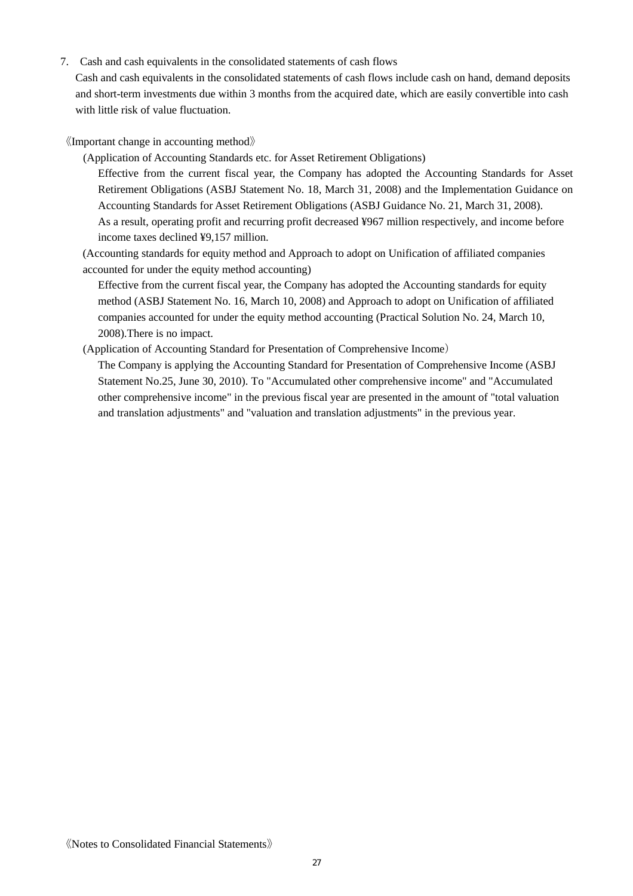7. Cash and cash equivalents in the consolidated statements of cash flows

Cash and cash equivalents in the consolidated statements of cash flows include cash on hand, demand deposits and short-term investments due within 3 months from the acquired date, which are easily convertible into cash with little risk of value fluctuation.

《Important change in accounting method》

(Application of Accounting Standards etc. for Asset Retirement Obligations)

Effective from the current fiscal year, the Company has adopted the Accounting Standards for Asset Retirement Obligations (ASBJ Statement No. 18, March 31, 2008) and the Implementation Guidance on Accounting Standards for Asset Retirement Obligations (ASBJ Guidance No. 21, March 31, 2008). As a result, operating profit and recurring profit decreased ¥967 million respectively, and income before income taxes declined ¥9,157 million.

(Accounting standards for equity method and Approach to adopt on Unification of affiliated companies accounted for under the equity method accounting)

Effective from the current fiscal year, the Company has adopted the Accounting standards for equity method (ASBJ Statement No. 16, March 10, 2008) and Approach to adopt on Unification of affiliated companies accounted for under the equity method accounting (Practical Solution No. 24, March 10, 2008).There is no impact.

(Application of Accounting Standard for Presentation of Comprehensive Income)

The Company is applying the Accounting Standard for Presentation of Comprehensive Income (ASBJ Statement No.25, June 30, 2010). To "Accumulated other comprehensive income" and "Accumulated other comprehensive income" in the previous fiscal year are presented in the amount of "total valuation and translation adjustments" and "valuation and translation adjustments" in the previous year.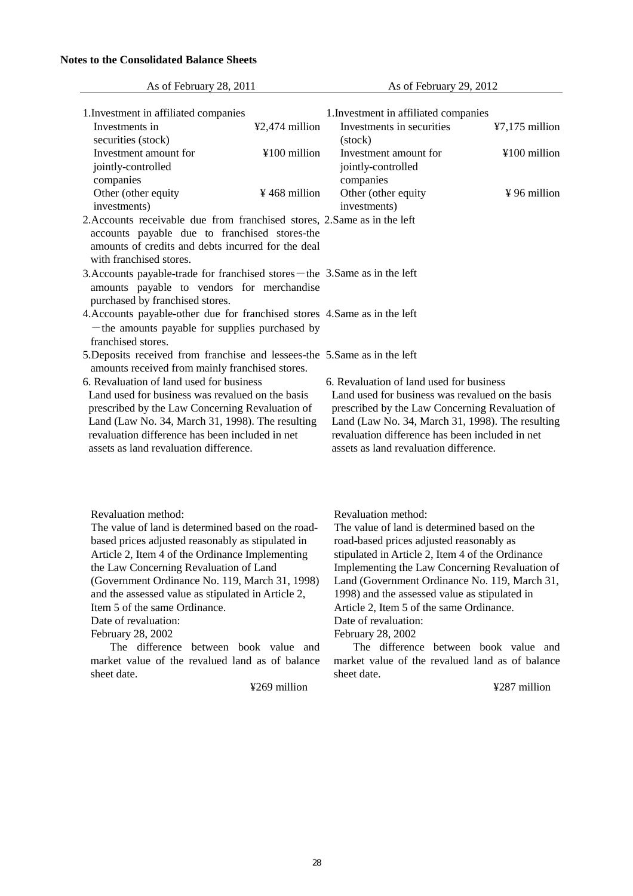#### **Notes to the Consolidated Balance Sheets**

| As of February 28, 2011                                                      |                | As of February 29, 2012                          |                  |
|------------------------------------------------------------------------------|----------------|--------------------------------------------------|------------------|
| 1. Investment in affiliated companies                                        |                | 1. Investment in affiliated companies            |                  |
| Investments in                                                               | ¥2,474 million | Investments in securities                        | $47,175$ million |
| securities (stock)                                                           |                | (stock)                                          |                  |
| Investment amount for                                                        | ¥100 million   | Investment amount for                            | ¥100 million     |
| jointly-controlled                                                           |                | jointly-controlled                               |                  |
| companies                                                                    |                | companies                                        |                  |
| Other (other equity                                                          | ¥468 million   | Other (other equity                              | ¥96 million      |
| investments)                                                                 |                | investments)                                     |                  |
| 2. Accounts receivable due from franchised stores, 2. Same as in the left    |                |                                                  |                  |
| accounts payable due to franchised stores-the                                |                |                                                  |                  |
| amounts of credits and debts incurred for the deal                           |                |                                                  |                  |
| with franchised stores.                                                      |                |                                                  |                  |
| 3. Accounts payable-trade for franchised stores – the 3. Same as in the left |                |                                                  |                  |
| amounts payable to vendors for merchandise                                   |                |                                                  |                  |
| purchased by franchised stores.                                              |                |                                                  |                  |
| 4. Accounts payable-other due for franchised stores 4. Same as in the left   |                |                                                  |                  |
| - the amounts payable for supplies purchased by                              |                |                                                  |                  |
| franchised stores.                                                           |                |                                                  |                  |
| 5. Deposits received from franchise and lessees-the 5. Same as in the left   |                |                                                  |                  |
| amounts received from mainly franchised stores.                              |                |                                                  |                  |
| 6. Revaluation of land used for business                                     |                | 6. Revaluation of land used for business         |                  |
| Land used for business was revalued on the basis                             |                | Land used for business was revalued on the basis |                  |
| prescribed by the Law Concerning Revaluation of                              |                | prescribed by the Law Concerning Revaluation of  |                  |
| Land (Law No. 34, March 31, 1998). The resulting                             |                | Land (Law No. 34, March 31, 1998). The resulting |                  |
| revaluation difference has been included in net                              |                | revaluation difference has been included in net  |                  |
| assets as land revaluation difference.                                       |                | assets as land revaluation difference.           |                  |
|                                                                              |                |                                                  |                  |
|                                                                              |                |                                                  |                  |
|                                                                              |                |                                                  |                  |

Revaluation method:

The value of land is determined based on the roadbased prices adjusted reasonably as stipulated in Article 2, Item 4 of the Ordinance Implementing the Law Concerning Revaluation of Land (Government Ordinance No. 119, March 31, 1998) and the assessed value as stipulated in Article 2, Item 5 of the same Ordinance.

Date of revaluation:

February 28, 2002

 The difference between book value and market value of the revalued land as of balance sheet date.

¥269 million

Revaluation method:

The value of land is determined based on the road-based prices adjusted reasonably as stipulated in Article 2, Item 4 of the Ordinance Implementing the Law Concerning Revaluation of Land (Government Ordinance No. 119, March 31, 1998) and the assessed value as stipulated in Article 2, Item 5 of the same Ordinance. Date of revaluation: February 28, 2002

 The difference between book value and market value of the revalued land as of balance sheet date.

¥287 million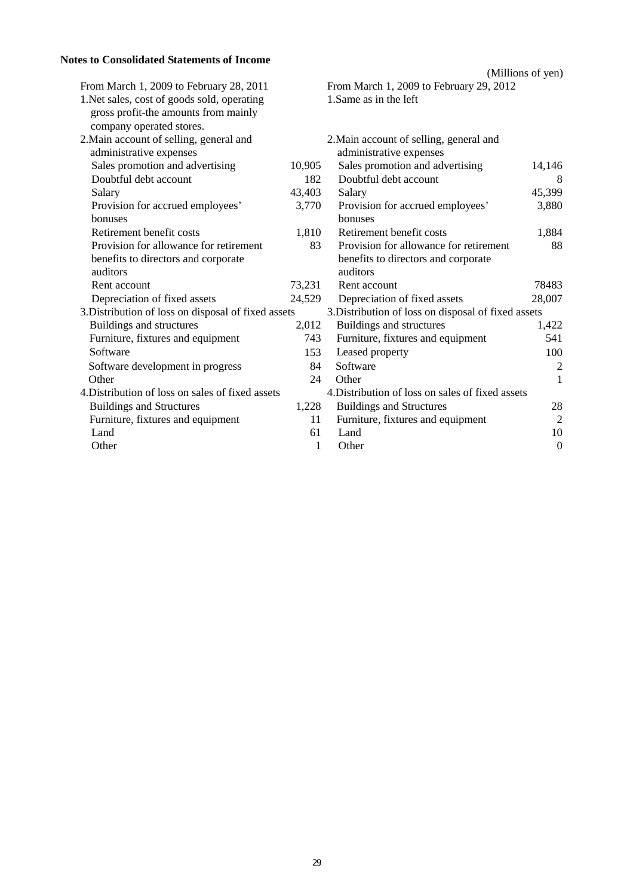## **Notes to Consolidated Statements of Income**

|                                                                                                                 |        |                                                                    | (Millions of yen) |
|-----------------------------------------------------------------------------------------------------------------|--------|--------------------------------------------------------------------|-------------------|
| From March 1, 2009 to February 28, 2011                                                                         |        | From March 1, 2009 to February 29, 2012                            |                   |
| 1. Net sales, cost of goods sold, operating<br>gross profit-the amounts from mainly<br>company operated stores. |        | 1. Same as in the left                                             |                   |
| 2. Main account of selling, general and<br>administrative expenses                                              |        | 2. Main account of selling, general and<br>administrative expenses |                   |
| Sales promotion and advertising                                                                                 | 10,905 | Sales promotion and advertising                                    | 14,146            |
| Doubtful debt account                                                                                           | 182    | Doubtful debt account                                              | 8                 |
| Salary                                                                                                          | 43,403 | Salary                                                             | 45,399            |
| Provision for accrued employees'                                                                                | 3,770  | Provision for accrued employees'                                   | 3,880             |
| bonuses                                                                                                         |        | bonuses                                                            |                   |
| Retirement benefit costs                                                                                        | 1,810  | Retirement benefit costs                                           | 1,884             |
| Provision for allowance for retirement                                                                          | 83     | Provision for allowance for retirement                             | 88                |
| benefits to directors and corporate                                                                             |        | benefits to directors and corporate                                |                   |
| auditors                                                                                                        |        | auditors                                                           |                   |
| Rent account                                                                                                    | 73,231 | Rent account                                                       | 78483             |
| Depreciation of fixed assets                                                                                    | 24,529 | Depreciation of fixed assets                                       | 28,007            |
| 3. Distribution of loss on disposal of fixed assets                                                             |        | 3. Distribution of loss on disposal of fixed assets                |                   |
| Buildings and structures                                                                                        | 2,012  | Buildings and structures                                           | 1,422             |
| Furniture, fixtures and equipment                                                                               | 743    | Furniture, fixtures and equipment                                  | 541               |
| Software                                                                                                        | 153    | Leased property                                                    | 100               |
| Software development in progress                                                                                | 84     | Software                                                           | $\overline{2}$    |
| Other                                                                                                           | 24     | Other                                                              | 1                 |
| 4. Distribution of loss on sales of fixed assets                                                                |        | 4. Distribution of loss on sales of fixed assets                   |                   |
| <b>Buildings and Structures</b>                                                                                 | 1,228  | <b>Buildings and Structures</b>                                    | 28                |
| Furniture, fixtures and equipment                                                                               | 11     | Furniture, fixtures and equipment                                  | $\overline{2}$    |
| Land                                                                                                            | 61     | Land                                                               | 10                |
| Other                                                                                                           | 1      | Other                                                              | $\boldsymbol{0}$  |
|                                                                                                                 |        |                                                                    |                   |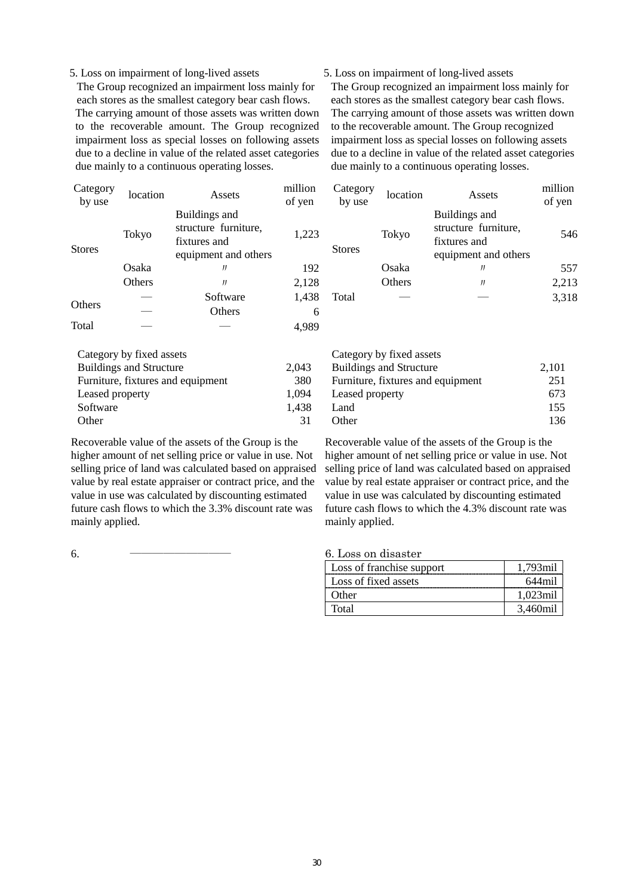#### 5. Loss on impairment of long-lived assets

The Group recognized an impairment loss mainly for each stores as the smallest category bear cash flows. The carrying amount of those assets was written down to the recoverable amount. The Group recognized impairment loss as special losses on following assets due to a decline in value of the related asset categories due mainly to a continuous operating losses.

#### 5. Loss on impairment of long-lived assets

The Group recognized an impairment loss mainly for each stores as the smallest category bear cash flows. The carrying amount of those assets was written down to the recoverable amount. The Group recognized impairment loss as special losses on following assets due to a decline in value of the related asset categories due mainly to a continuous operating losses.

| Category<br>by use | location | Assets                                                                        | million<br>of yen | Category<br>by use | location | Assets                                                                        | million<br>of yen |
|--------------------|----------|-------------------------------------------------------------------------------|-------------------|--------------------|----------|-------------------------------------------------------------------------------|-------------------|
| <b>Stores</b>      | Tokyo    | Buildings and<br>structure furniture,<br>fixtures and<br>equipment and others | 1,223             | <b>Stores</b>      | Tokyo    | Buildings and<br>structure furniture,<br>fixtures and<br>equipment and others | 546               |
|                    | Osaka    | IJ                                                                            | 192               |                    | Osaka    | Л                                                                             | 557               |
|                    | Others   | IJ                                                                            | 2,128             |                    | Others   | IJ                                                                            | 2,213             |
|                    |          | Software                                                                      | 1,438             | Total              |          |                                                                               | 3,318             |
| Others             |          | Others                                                                        | 6                 |                    |          |                                                                               |                   |
| Total              |          |                                                                               | 4,989             |                    |          |                                                                               |                   |

| Category by fixed assets          |       |
|-----------------------------------|-------|
| <b>Buildings and Structure</b>    | 2,043 |
| Furniture, fixtures and equipment | 380   |
| Leased property                   | 1,094 |
| Software                          | 1,438 |
| Other                             | 31    |

Recoverable value of the assets of the Group is the higher amount of net selling price or value in use. Not selling price of land was calculated based on appraised value by real estate appraiser or contract price, and the value in use was calculated by discounting estimated future cash flows to which the 3.3% discount rate was mainly applied.

| Category by fixed assets          |       |
|-----------------------------------|-------|
| <b>Buildings and Structure</b>    | 2,101 |
| Furniture, fixtures and equipment | 251   |
| Leased property                   | 673   |
| Land                              | 155   |
| $\Omega$ ther                     | 136   |

Recoverable value of the assets of the Group is the higher amount of net selling price or value in use. Not selling price of land was calculated based on appraised value by real estate appraiser or contract price, and the value in use was calculated by discounting estimated future cash flows to which the 4.3% discount rate was mainly applied.

#### 6. ――――――――― 6. Loss on disaster

| Loss of franchise support | 1.793mil    |
|---------------------------|-------------|
| Loss of fixed assets      | 644 mil     |
| Other                     | $1.023$ mil |
| Total                     | 3.460mil    |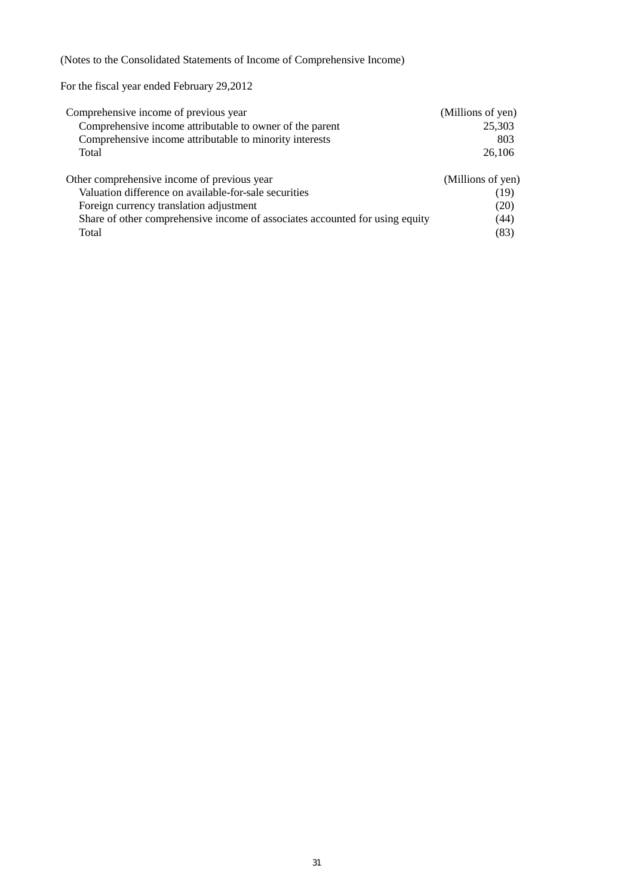(Notes to the Consolidated Statements of Income of Comprehensive Income)

For the fiscal year ended February 29,2012

| Comprehensive income of previous year                                        | (Millions of yen) |
|------------------------------------------------------------------------------|-------------------|
| Comprehensive income attributable to owner of the parent                     | 25,303            |
| Comprehensive income attributable to minority interests                      | 803               |
| Total                                                                        | 26,106            |
| Other comprehensive income of previous year                                  | (Millions of yen) |
| Valuation difference on available-for-sale securities                        | (19)              |
| Foreign currency translation adjustment                                      | (20)              |
| Share of other comprehensive income of associates accounted for using equity | (44)              |
| Total                                                                        | (83)              |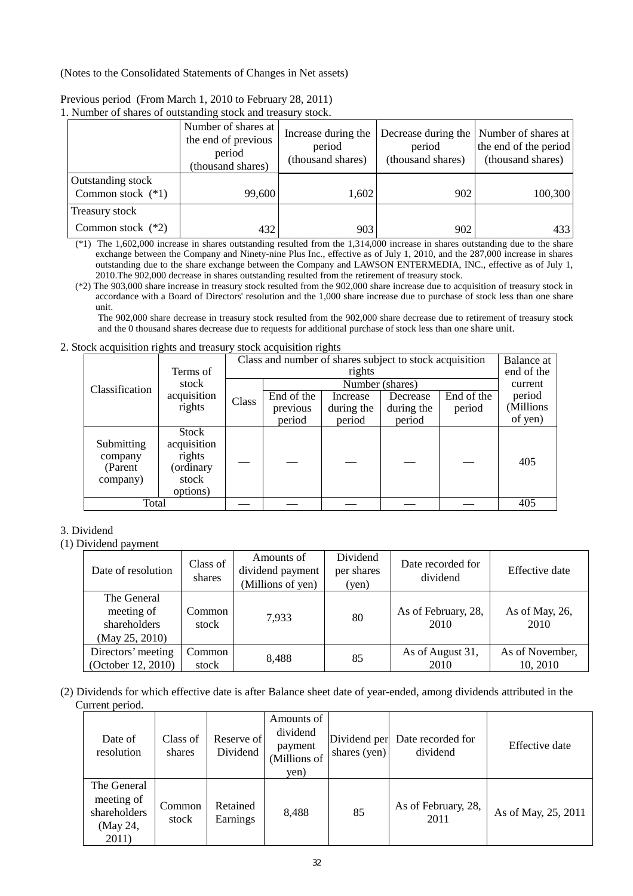(Notes to the Consolidated Statements of Changes in Net assets)

| r. rumoor of bharcs of outstanding stock and trousury stock. |                                                                           |                                                    |                             |                                                                                       |
|--------------------------------------------------------------|---------------------------------------------------------------------------|----------------------------------------------------|-----------------------------|---------------------------------------------------------------------------------------|
|                                                              | Number of shares at<br>the end of previous<br>period<br>(thousand shares) | Increase during the<br>period<br>(thousand shares) | period<br>(thousand shares) | Decrease during the Number of shares at<br>the end of the period<br>(thousand shares) |
| Outstanding stock<br>Common stock $(*1)$                     | 99,600                                                                    | 1,602                                              | 902                         | 100,300                                                                               |
| Treasury stock                                               |                                                                           |                                                    |                             |                                                                                       |
| Common stock $(*2)$                                          | 432                                                                       | 903                                                | 902                         | 433                                                                                   |

Previous period (From March 1, 2010 to February 28, 2011) 1. Number of shares of outstanding stock and treasury stock.

(\*1) The 1,602,000 increase in shares outstanding resulted from the 1,314,000 increase in shares outstanding due to the share exchange between the Company and Ninety-nine Plus Inc., effective as of July 1, 2010, and the 287,000 increase in shares outstanding due to the share exchange between the Company and LAWSON ENTERMEDIA, INC., effective as of July 1, 2010.The 902,000 decrease in shares outstanding resulted from the retirement of treasury stock.

(\*2) The 903,000 share increase in treasury stock resulted from the 902,000 share increase due to acquisition of treasury stock in accordance with a Board of Directors' resolution and the 1,000 share increase due to purchase of stock less than one share unit.

The 902,000 share decrease in treasury stock resulted from the 902,000 share decrease due to retirement of treasury stock and the 0 thousand shares decrease due to requests for additional purchase of stock less than one share unit.

### 2. Stock acquisition rights and treasury stock acquisition rights

| $\cdots$ $\cdots$ $\cdots$                    |                                                                  |       |                                                         |            |                 |            |            |
|-----------------------------------------------|------------------------------------------------------------------|-------|---------------------------------------------------------|------------|-----------------|------------|------------|
|                                               |                                                                  |       | Class and number of shares subject to stock acquisition |            |                 |            |            |
|                                               | Terms of                                                         |       |                                                         | rights     |                 |            | end of the |
| Classification                                | stock                                                            |       |                                                         |            | Number (shares) |            | current    |
|                                               | acquisition                                                      | Class | End of the                                              | Increase   | Decrease        | End of the | period     |
| rights                                        |                                                                  |       | previous                                                | during the | during the      | period     | (Millions  |
|                                               |                                                                  |       | period                                                  | period     | period          |            | of yen)    |
| Submitting<br>company<br>(Parent)<br>company) | Stock<br>acquisition<br>rights<br>(ordinary<br>stock<br>options) |       |                                                         |            |                 |            | 405        |
| Total                                         |                                                                  |       |                                                         |            |                 |            | 405        |

## 3. Dividend

## (1) Dividend payment

| Date of resolution                                          | Class of<br>shares | Amounts of<br>dividend payment<br>(Millions of yen) | Dividend<br>per shares<br>(yen) | Date recorded for<br>dividend | Effective date              |
|-------------------------------------------------------------|--------------------|-----------------------------------------------------|---------------------------------|-------------------------------|-----------------------------|
| The General<br>meeting of<br>shareholders<br>(May 25, 2010) | Common<br>stock    | 7.933                                               | 80                              | As of February, 28,<br>2010   | As of May, 26,<br>2010      |
| Directors' meeting<br>(October 12, 2010)                    | Common<br>stock    | 8.488                                               | 85                              | As of August 31,<br>2010      | As of November,<br>10, 2010 |

(2) Dividends for which effective date is after Balance sheet date of year-ended, among dividends attributed in the Current period.

| Date of<br>resolution                                          | Class of<br>shares | Reserve of<br>Dividend | Amounts of<br>dividend<br>payment<br>(Millions of<br>yen) | Dividend per<br>shares (yen) | Date recorded for<br>dividend | Effective date      |
|----------------------------------------------------------------|--------------------|------------------------|-----------------------------------------------------------|------------------------------|-------------------------------|---------------------|
| The General<br>meeting of<br>shareholders<br>(May 24,<br>2011) | Common<br>stock    | Retained<br>Earnings   | 8,488                                                     | 85                           | As of February, 28,<br>2011   | As of May, 25, 2011 |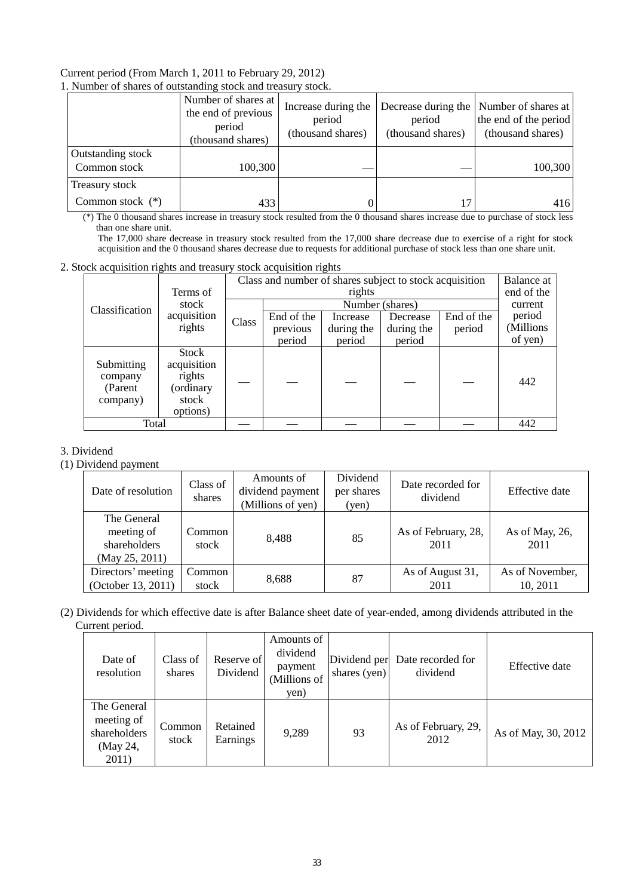#### Current period (From March 1, 2011 to February 29, 2012) 1. Number of shares of outstanding stock and treasury stock.

| $\ldots$                             |                                                                           |                                                    |                             |                                                                                       |  |  |  |  |
|--------------------------------------|---------------------------------------------------------------------------|----------------------------------------------------|-----------------------------|---------------------------------------------------------------------------------------|--|--|--|--|
|                                      | Number of shares at<br>the end of previous<br>period<br>(thousand shares) | Increase during the<br>period<br>(thousand shares) | period<br>(thousand shares) | Decrease during the Number of shares at<br>the end of the period<br>(thousand shares) |  |  |  |  |
| Outstanding stock<br>Common stock    | 100,300                                                                   |                                                    |                             | 100,300                                                                               |  |  |  |  |
| Treasury stock<br>Common stock $(*)$ | 433                                                                       |                                                    |                             | 416                                                                                   |  |  |  |  |

 (\*) The 0 thousand shares increase in treasury stock resulted from the 0 thousand shares increase due to purchase of stock less than one share unit.

The 17,000 share decrease in treasury stock resulted from the 17,000 share decrease due to exercise of a right for stock acquisition and the 0 thousand shares decrease due to requests for additional purchase of stock less than one share unit.

#### 2. Stock acquisition rights and treasury stock acquisition rights

|                                               | Terms of                                                                | Class and number of shares subject to stock acquisition<br>rights |            |            |                 |            | Balance at<br>end of the |
|-----------------------------------------------|-------------------------------------------------------------------------|-------------------------------------------------------------------|------------|------------|-----------------|------------|--------------------------|
| Classification                                | stock                                                                   |                                                                   |            |            | Number (shares) |            | current                  |
|                                               | acquisition                                                             | Class                                                             | End of the | Increase   | Decrease        | End of the | period                   |
|                                               | rights                                                                  |                                                                   | previous   | during the | during the      | period     | (Millions                |
|                                               |                                                                         |                                                                   | period     | period     | period          |            | of yen)                  |
| Submitting<br>company<br>(Parent)<br>company) | <b>Stock</b><br>acquisition<br>rights<br>ordinary)<br>stock<br>options) |                                                                   |            |            |                 |            | 442                      |
| Total                                         |                                                                         |                                                                   |            |            |                 |            | 442                      |

## 3. Dividend

#### (1) Dividend payment

| Date of resolution                                          | Class of<br>shares | Amounts of<br>dividend payment<br>(Millions of yen) | Dividend<br>per shares<br>(yen) | Date recorded for<br>dividend | Effective date              |
|-------------------------------------------------------------|--------------------|-----------------------------------------------------|---------------------------------|-------------------------------|-----------------------------|
| The General<br>meeting of<br>shareholders<br>(May 25, 2011) | Common<br>stock    | 8.488                                               | 85                              | As of February, 28,<br>2011   | As of May, 26,<br>2011      |
| Directors' meeting<br>(October 13, 2011)                    | Common<br>stock    | 8,688                                               | 87                              | As of August 31,<br>2011      | As of November,<br>10, 2011 |

### (2) Dividends for which effective date is after Balance sheet date of year-ended, among dividends attributed in the Current period.

| Date of<br>resolution                                          | Class of<br>shares | Reserve of<br>Dividend | Amounts of<br>dividend<br>payment<br>(Millions of<br>yen) | Dividend per<br>shares (yen) | Date recorded for<br>dividend | Effective date      |
|----------------------------------------------------------------|--------------------|------------------------|-----------------------------------------------------------|------------------------------|-------------------------------|---------------------|
| The General<br>meeting of<br>shareholders<br>(May 24,<br>2011) | Common<br>stock    | Retained<br>Earnings   | 9,289                                                     | 93                           | As of February, 29,<br>2012   | As of May, 30, 2012 |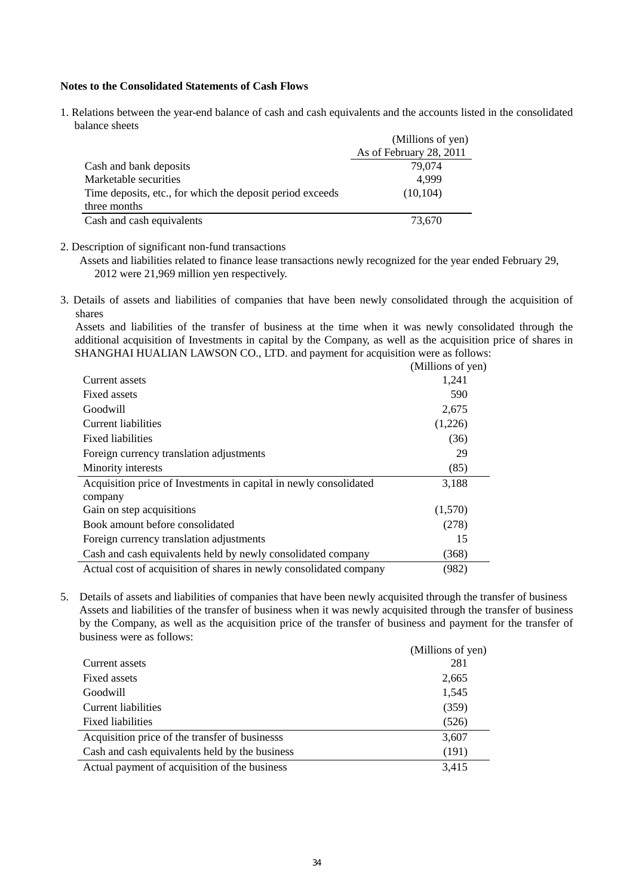#### **Notes to the Consolidated Statements of Cash Flows**

1. Relations between the year-end balance of cash and cash equivalents and the accounts listed in the consolidated balance sheets

|                                                           | (Millions of yen)       |
|-----------------------------------------------------------|-------------------------|
|                                                           | As of February 28, 2011 |
| Cash and bank deposits                                    | 79,074                  |
| Marketable securities                                     | 4.999                   |
| Time deposits, etc., for which the deposit period exceeds | (10, 104)               |
| three months                                              |                         |
| Cash and cash equivalents                                 | 73,670                  |

2. Description of significant non-fund transactions

Assets and liabilities related to finance lease transactions newly recognized for the year ended February 29, 2012 were 21,969 million yen respectively.

3. Details of assets and liabilities of companies that have been newly consolidated through the acquisition of shares

Assets and liabilities of the transfer of business at the time when it was newly consolidated through the additional acquisition of Investments in capital by the Company, as well as the acquisition price of shares in SHANGHAI HUALIAN LAWSON CO., LTD. and payment for acquisition were as follows:

|                                                                    | (Millions of yen) |
|--------------------------------------------------------------------|-------------------|
| Current assets                                                     | 1,241             |
| Fixed assets                                                       | 590               |
| Goodwill                                                           | 2,675             |
| Current liabilities                                                | (1,226)           |
| <b>Fixed liabilities</b>                                           | (36)              |
| Foreign currency translation adjustments                           | 29                |
| Minority interests                                                 | (85)              |
| Acquisition price of Investments in capital in newly consolidated  | 3,188             |
| company                                                            |                   |
| Gain on step acquisitions                                          | (1,570)           |
| Book amount before consolidated                                    | (278)             |
| Foreign currency translation adjustments                           | 15                |
| Cash and cash equivalents held by newly consolidated company       | (368)             |
| Actual cost of acquisition of shares in newly consolidated company | (982)             |

5. Details of assets and liabilities of companies that have been newly acquisited through the transfer of business Assets and liabilities of the transfer of business when it was newly acquisited through the transfer of business by the Company, as well as the acquisition price of the transfer of business and payment for the transfer of business were as follows:

|                                                | (Millions of yen) |
|------------------------------------------------|-------------------|
| Current assets                                 | 281               |
| Fixed assets                                   | 2,665             |
| Goodwill                                       | 1,545             |
| Current liabilities                            | (359)             |
| <b>Fixed liabilities</b>                       | (526)             |
| Acquisition price of the transfer of businesss | 3,607             |
| Cash and cash equivalents held by the business | (191)             |
| Actual payment of acquisition of the business  | 3,415             |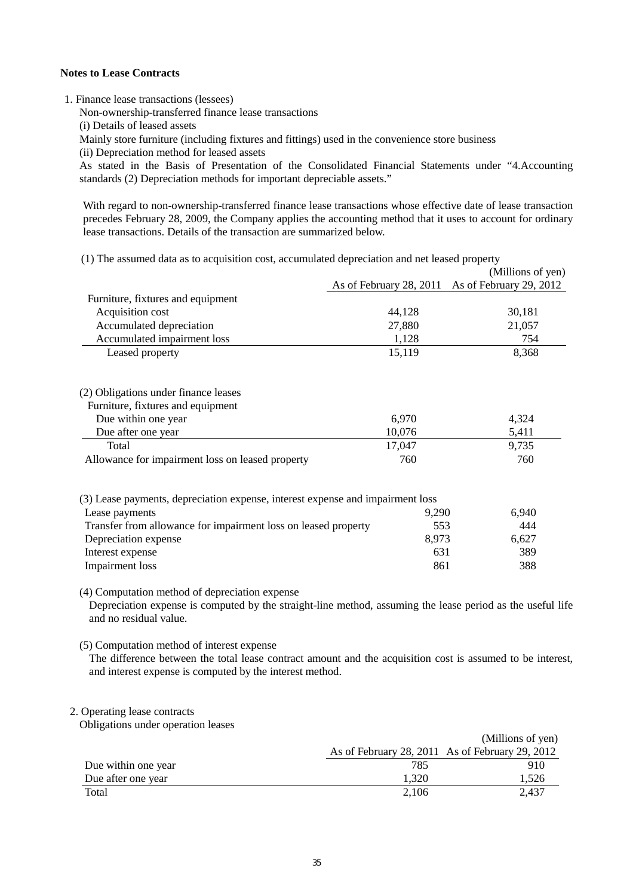#### **Notes to Lease Contracts**

1. Finance lease transactions (lessees)

Non-ownership-transferred finance lease transactions

(i) Details of leased assets

Mainly store furniture (including fixtures and fittings) used in the convenience store business

(ii) Depreciation method for leased assets

As stated in the Basis of Presentation of the Consolidated Financial Statements under "4.Accounting standards (2) Depreciation methods for important depreciable assets."

With regard to non-ownership-transferred finance lease transactions whose effective date of lease transaction precedes February 28, 2009, the Company applies the accounting method that it uses to account for ordinary lease transactions. Details of the transaction are summarized below.

| (1) The assumed data as to acquisition cost, accumulated depreciation and net leased property |
|-----------------------------------------------------------------------------------------------|
|-----------------------------------------------------------------------------------------------|

|                                                                                |                         | (Millions of yen)       |
|--------------------------------------------------------------------------------|-------------------------|-------------------------|
|                                                                                | As of February 28, 2011 | As of February 29, 2012 |
| Furniture, fixtures and equipment                                              |                         |                         |
| Acquisition cost                                                               | 44,128                  | 30,181                  |
| Accumulated depreciation                                                       | 27,880                  | 21,057                  |
| Accumulated impairment loss                                                    | 1,128                   | 754                     |
| Leased property                                                                | 15,119                  | 8,368                   |
| (2) Obligations under finance leases                                           |                         |                         |
| Furniture, fixtures and equipment                                              |                         |                         |
| Due within one year                                                            | 6,970                   | 4,324                   |
| Due after one year                                                             | 10,076                  | 5,411                   |
| Total                                                                          | 17,047                  | 9,735                   |
| Allowance for impairment loss on leased property                               | 760                     | 760                     |
| (3) Lease payments, depreciation expense, interest expense and impairment loss |                         |                         |
| Lease payments                                                                 | 9,290                   | 6,940                   |
| Transfer from allowance for impairment loss on leased property                 | 553                     | 444                     |
| Depreciation expense                                                           | 8,973                   | 6,627                   |
| Interest expense                                                               | 631                     | 389                     |
| <b>Impairment</b> loss                                                         | 861                     | 388                     |
|                                                                                |                         |                         |

(4) Computation method of depreciation expense

Depreciation expense is computed by the straight-line method, assuming the lease period as the useful life and no residual value.

(5) Computation method of interest expense

The difference between the total lease contract amount and the acquisition cost is assumed to be interest, and interest expense is computed by the interest method.

#### 2. Operating lease contracts

Obligations under operation leases

|                     |       | (Millions of yen)                               |
|---------------------|-------|-------------------------------------------------|
|                     |       | As of February 28, 2011 As of February 29, 2012 |
| Due within one year | 785   | 910                                             |
| Due after one year  | 1.320 | 1.526                                           |
| Total               | 2,106 | 2.437                                           |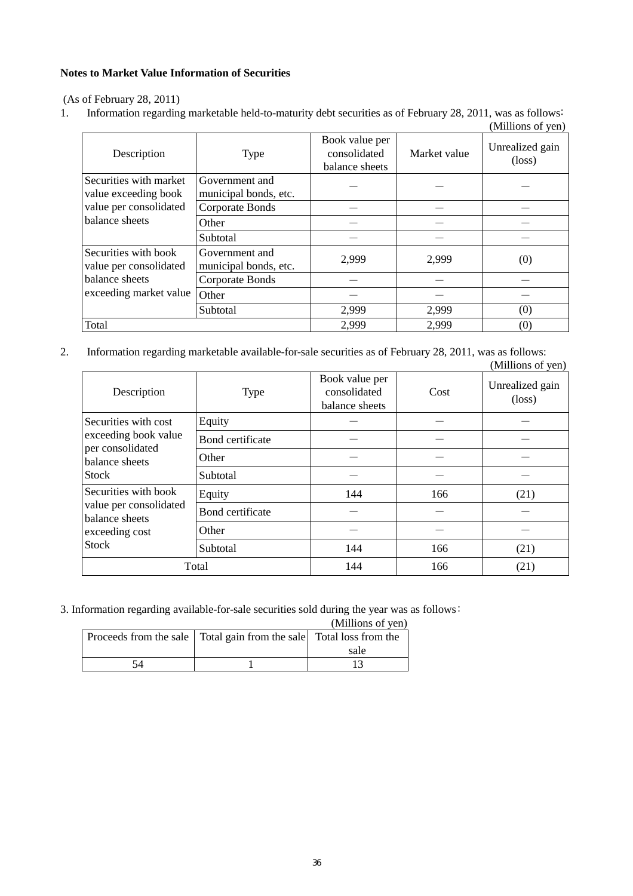## **Notes to Market Value Information of Securities**

(As of February 28, 2011)

1. Information regarding marketable held-to-maturity debt securities as of February 28, 2011, was as follows:  $(Millions of *van*)$ 

|                                                |                                         |                                                  |              | (MILIIONS OI Yen)         |
|------------------------------------------------|-----------------------------------------|--------------------------------------------------|--------------|---------------------------|
| Description                                    | <b>Type</b>                             | Book value per<br>consolidated<br>balance sheets | Market value | Unrealized gain<br>(loss) |
| Securities with market<br>value exceeding book | Government and<br>municipal bonds, etc. |                                                  |              |                           |
| value per consolidated                         | Corporate Bonds                         |                                                  |              |                           |
| balance sheets                                 | Other                                   |                                                  |              |                           |
|                                                | Subtotal                                |                                                  |              |                           |
| Securities with book<br>value per consolidated | Government and<br>municipal bonds, etc. | 2,999                                            | 2,999        | (0)                       |
| balance sheets                                 | Corporate Bonds                         |                                                  |              |                           |
| exceeding market value                         | Other                                   |                                                  |              |                           |
|                                                | Subtotal                                | 2,999                                            | 2,999        | (0)                       |
| Total                                          |                                         | 2,999                                            | 2,999        | (0)                       |

2. Information regarding marketable available-for-sale securities as of February 28, 2011, was as follows: (Millions of yen)

| Description                                                                                        | <b>Type</b>      | Book value per<br>consolidated<br>balance sheets | Cost | Unrealized gain<br>$(\text{loss})$ |
|----------------------------------------------------------------------------------------------------|------------------|--------------------------------------------------|------|------------------------------------|
| Securities with cost                                                                               | Equity           |                                                  |      |                                    |
| exceeding book value<br>per consolidated                                                           | Bond certificate |                                                  |      |                                    |
| balance sheets                                                                                     | Other            |                                                  |      |                                    |
| <b>Stock</b>                                                                                       | Subtotal         |                                                  |      |                                    |
| Securities with book<br>value per consolidated<br>balance sheets<br>exceeding cost<br><b>Stock</b> | Equity           | 144                                              | 166  | (21)                               |
|                                                                                                    | Bond certificate |                                                  |      |                                    |
|                                                                                                    | Other            |                                                  |      |                                    |
|                                                                                                    | Subtotal         | 144                                              | 166  | (21)                               |
| Total                                                                                              |                  | 144                                              | 166  | (21)                               |

3. Information regarding available-for-sale securities sold during the year was as follows:

| (Millions of yen) |
|-------------------|
|                   |

|    | Proceeds from the sale   Total gain from the sale   Total loss from the |      |
|----|-------------------------------------------------------------------------|------|
|    |                                                                         | sale |
| 54 |                                                                         |      |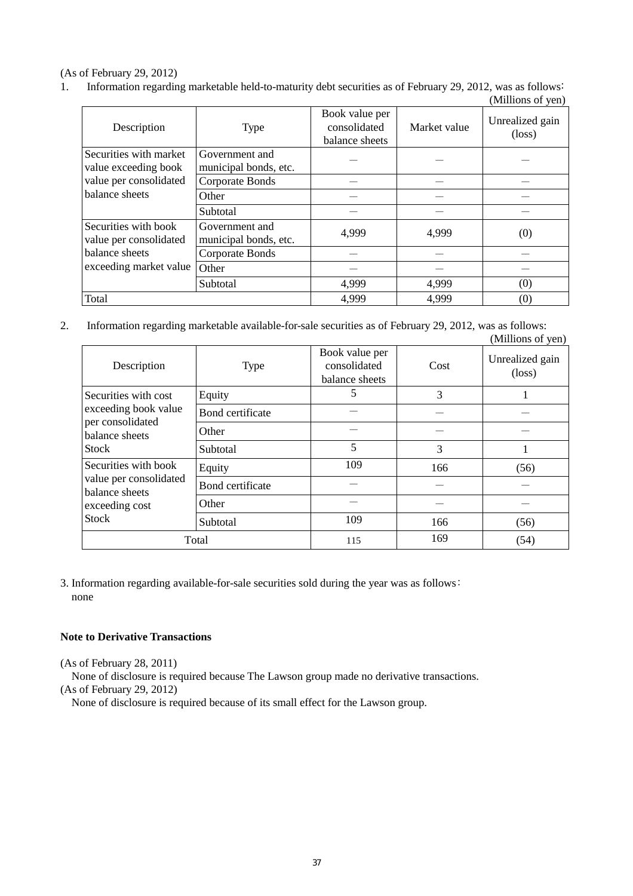## (As of February 29, 2012)

1. Information regarding marketable held-to-maturity debt securities as of February 29, 2012, was as follows:

|                                                |                                         |                                                  |              | (Millions of yen)                  |
|------------------------------------------------|-----------------------------------------|--------------------------------------------------|--------------|------------------------------------|
| Description                                    | <b>Type</b>                             | Book value per<br>consolidated<br>balance sheets | Market value | Unrealized gain<br>$(\text{loss})$ |
| Securities with market<br>value exceeding book | Government and<br>municipal bonds, etc. |                                                  |              |                                    |
| value per consolidated                         | Corporate Bonds                         |                                                  |              |                                    |
| balance sheets                                 | Other                                   |                                                  |              |                                    |
|                                                | Subtotal                                |                                                  |              |                                    |
| Securities with book<br>value per consolidated | Government and<br>municipal bonds, etc. | 4,999                                            | 4,999        | (0)                                |
| balance sheets<br>exceeding market value       | Corporate Bonds                         |                                                  |              |                                    |
|                                                | Other                                   |                                                  |              |                                    |
|                                                | Subtotal                                | 4,999                                            | 4,999        | (0)                                |
| Total                                          |                                         | 4,999                                            | 4,999        | (0)                                |

2. Information regarding marketable available-for-sale securities as of February 29, 2012, was as follows: (Millions of yen)

|                                                                                                    |                  |                                                  |      | $(1$ vininono of $\sqrt{2}$        |
|----------------------------------------------------------------------------------------------------|------------------|--------------------------------------------------|------|------------------------------------|
| Description                                                                                        | <b>Type</b>      | Book value per<br>consolidated<br>balance sheets | Cost | Unrealized gain<br>$(\text{loss})$ |
| Securities with cost                                                                               | Equity           | 5                                                | 3    |                                    |
| exceeding book value<br>per consolidated                                                           | Bond certificate |                                                  |      |                                    |
| balance sheets                                                                                     | Other            |                                                  |      |                                    |
| <b>Stock</b>                                                                                       | Subtotal         | 5                                                | 3    |                                    |
| Securities with book<br>value per consolidated<br>balance sheets<br>exceeding cost<br><b>Stock</b> | Equity           | 109                                              | 166  | (56)                               |
|                                                                                                    | Bond certificate |                                                  |      |                                    |
|                                                                                                    | Other            |                                                  |      |                                    |
|                                                                                                    | Subtotal         | 109                                              | 166  | (56)                               |
| Total                                                                                              |                  | 115                                              | 169  | (54)                               |

3. Information regarding available-for-sale securities sold during the year was as follows: none

## **Note to Derivative Transactions**

(As of February 28, 2011)

None of disclosure is required because The Lawson group made no derivative transactions.

(As of February 29, 2012)

None of disclosure is required because of its small effect for the Lawson group.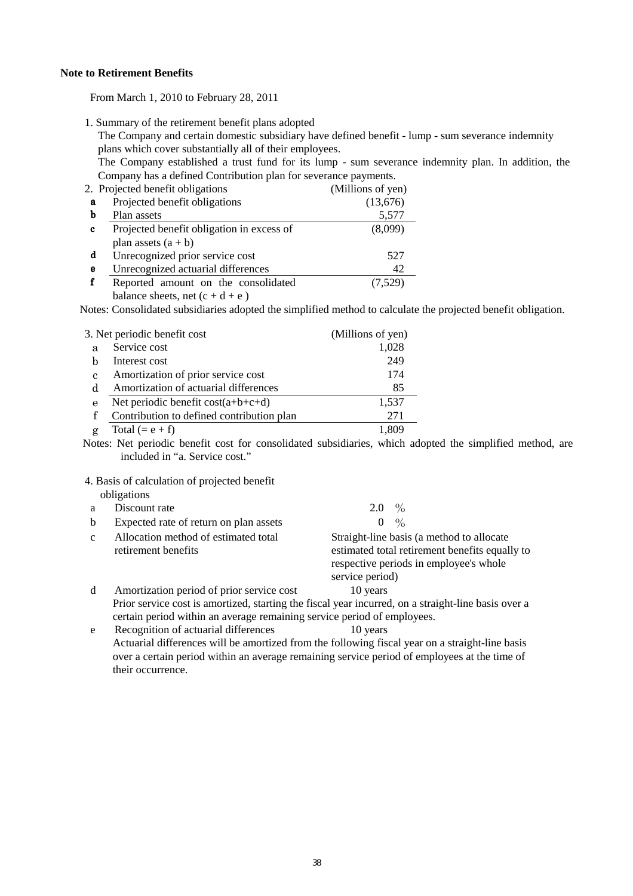#### **Note to Retirement Benefits**

From March 1, 2010 to February 28, 2011

1. Summary of the retirement benefit plans adopted

The Company and certain domestic subsidiary have defined benefit - lump - sum severance indemnity plans which cover substantially all of their employees.

The Company established a trust fund for its lump - sum severance indemnity plan. In addition, the Company has a defined Contribution plan for severance payments.

|   | 2. Projected benefit obligations          | (Millions of yen) |
|---|-------------------------------------------|-------------------|
| a | Projected benefit obligations             | (13,676)          |
| b | Plan assets                               | 5,577             |
| c | Projected benefit obligation in excess of | (8,099)           |
|   | plan assets $(a + b)$                     |                   |
| d | Unrecognized prior service cost           | 527               |
| е | Unrecognized actuarial differences        | 42                |
|   | Reported amount on the consolidated       | (7,529)           |
|   | balance sheets, net $(c + d + e)$         |                   |

Notes: Consolidated subsidiaries adopted the simplified method to calculate the projected benefit obligation.

|   | 3. Net periodic benefit cost              | (Millions of yen) |
|---|-------------------------------------------|-------------------|
| a | Service cost                              | 1,028             |
| h | Interest cost                             | 249               |
| C | Amortization of prior service cost        | 174               |
| d | Amortization of actuarial differences     | 85                |
| e | Net periodic benefit $cost(a+b+c+d)$      | 1,537             |
|   | Contribution to defined contribution plan | 271               |
|   | Total $(= e + f)$                         | 1,809             |

 Notes: Net periodic benefit cost for consolidated subsidiaries, which adopted the simplified method, are included in "a. Service cost."

4. Basis of calculation of projected benefit

|    | obligations                                                 |                                                                                                                                                          |
|----|-------------------------------------------------------------|----------------------------------------------------------------------------------------------------------------------------------------------------------|
|    | Discount rate                                               | 2.0 $\%$                                                                                                                                                 |
| b. | Expected rate of return on plan assets                      | $\frac{0}{0}$<br>$\theta$                                                                                                                                |
| c  | Allocation method of estimated total<br>retirement benefits | Straight-line basis (a method to allocate<br>estimated total retirement benefits equally to<br>respective periods in employee's whole<br>service period) |
|    | Amortization period of prior service cost                   | 10 years                                                                                                                                                 |

 Prior service cost is amortized, starting the fiscal year incurred, on a straight-line basis over a certain period within an average remaining service period of employees.

 e Recognition of actuarial differences 10 years Actuarial differences will be amortized from the following fiscal year on a straight-line basis over a certain period within an average remaining service period of employees at the time of their occurrence.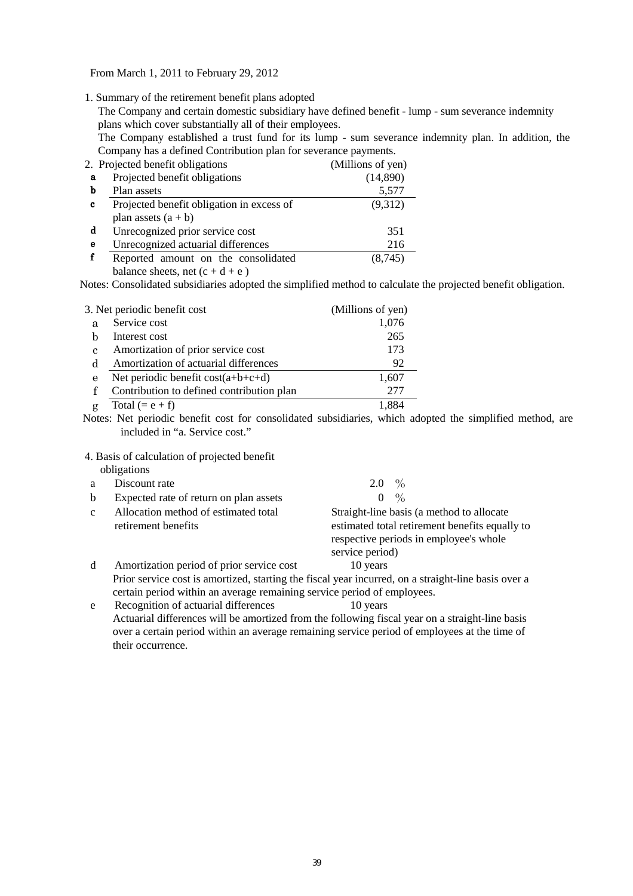From March 1, 2011 to February 29, 2012

1. Summary of the retirement benefit plans adopted

The Company and certain domestic subsidiary have defined benefit - lump - sum severance indemnity plans which cover substantially all of their employees.

The Company established a trust fund for its lump - sum severance indemnity plan. In addition, the Company has a defined Contribution plan for severance payments.

|   | 2. Projected benefit obligations          | (Millions of yen) |
|---|-------------------------------------------|-------------------|
| a | Projected benefit obligations             | (14,890)          |
| b | Plan assets                               | 5,577             |
| c | Projected benefit obligation in excess of | (9,312)           |
|   | plan assets $(a + b)$                     |                   |
| d | Unrecognized prior service cost           | 351               |
| e | Unrecognized actuarial differences        | 216               |
| f | Reported amount on the consolidated       | (8,745)           |
|   | balance sheets, net $(c + d + e)$         |                   |

Notes: Consolidated subsidiaries adopted the simplified method to calculate the projected benefit obligation.

|   | 3. Net periodic benefit cost              | (Millions of yen) |
|---|-------------------------------------------|-------------------|
| a | Service cost                              | 1,076             |
|   | Interest cost                             | 265               |
| с | Amortization of prior service cost        | 173               |
| d | Amortization of actuarial differences     | 92                |
| e | Net periodic benefit $cost(a+b+c+d)$      | 1,607             |
|   | Contribution to defined contribution plan | 277               |
|   | Total $(= e + f)$                         |                   |

 Notes: Net periodic benefit cost for consolidated subsidiaries, which adopted the simplified method, are included in "a. Service cost."

4. Basis of calculation of projected benefit

|              | obligations                                                             |                                                                                                                                                          |
|--------------|-------------------------------------------------------------------------|----------------------------------------------------------------------------------------------------------------------------------------------------------|
| a            | Discount rate                                                           | 2.0 $\%$                                                                                                                                                 |
| b            | Expected rate of return on plan assets                                  | $\frac{0}{0}$<br>$\theta$                                                                                                                                |
| $\mathbf{c}$ | Allocation method of estimated total<br>retirement benefits             | Straight-line basis (a method to allocate<br>estimated total retirement benefits equally to<br>respective periods in employee's whole<br>service period) |
| d            | Amortization period of prior service cost                               | 10 years                                                                                                                                                 |
|              |                                                                         | Prior service cost is amortized, starting the fiscal year incurred, on a straight-line basis over a                                                      |
|              | certain period within an average remaining service period of employees. |                                                                                                                                                          |
| e            | Recognition of actuarial differences                                    | 10 years                                                                                                                                                 |

 Actuarial differences will be amortized from the following fiscal year on a straight-line basis over a certain period within an average remaining service period of employees at the time of their occurrence.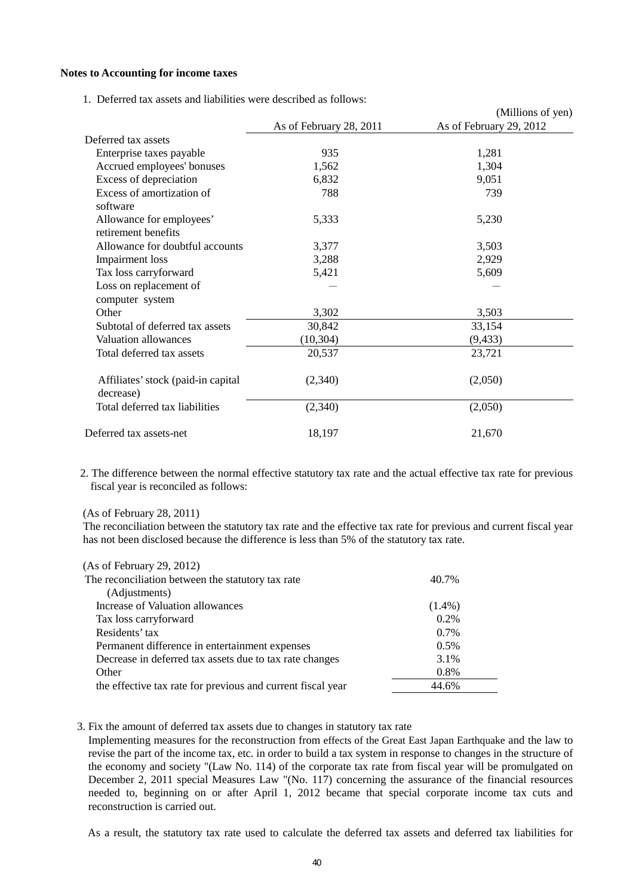#### **Notes to Accounting for income taxes**

1. Deferred tax assets and liabilities were described as follows:

|                                                 |                         | (Millions of yen)       |
|-------------------------------------------------|-------------------------|-------------------------|
|                                                 | As of February 28, 2011 | As of February 29, 2012 |
| Deferred tax assets                             |                         |                         |
| Enterprise taxes payable                        | 935                     | 1,281                   |
| Accrued employees' bonuses                      | 1,562                   | 1,304                   |
| Excess of depreciation                          | 6,832                   | 9,051                   |
| Excess of amortization of<br>software           | 788                     | 739                     |
| Allowance for employees'<br>retirement benefits | 5,333                   | 5,230                   |
| Allowance for doubtful accounts                 | 3,377                   | 3,503                   |
| Impairment loss                                 | 3,288                   | 2,929                   |
| Tax loss carryforward                           | 5,421                   | 5,609                   |
| Loss on replacement of<br>computer system       |                         |                         |
| Other                                           | 3,302                   | 3,503                   |
| Subtotal of deferred tax assets                 | 30,842                  | 33,154                  |
| Valuation allowances                            | (10, 304)               | (9, 433)                |
| Total deferred tax assets                       | 20,537                  | 23,721                  |
| Affiliates' stock (paid-in capital<br>decrease) | (2,340)                 | (2,050)                 |
| Total deferred tax liabilities                  | (2,340)                 | (2,050)                 |
| Deferred tax assets-net                         | 18,197                  | 21,670                  |

2. The difference between the normal effective statutory tax rate and the actual effective tax rate for previous fiscal year is reconciled as follows:

#### (As of February 28, 2011)

The reconciliation between the statutory tax rate and the effective tax rate for previous and current fiscal year has not been disclosed because the difference is less than 5% of the statutory tax rate.

| (As of February 29, 2012)                                   |           |
|-------------------------------------------------------------|-----------|
| The reconciliation between the statutory tax rate           | 40.7%     |
| (Adjustments)                                               |           |
| Increase of Valuation allowances                            | $(1.4\%)$ |
| Tax loss carryforward                                       | 0.2%      |
| Residents' tax                                              | $0.7\%$   |
| Permanent difference in entertainment expenses              | $0.5\%$   |
| Decrease in deferred tax assets due to tax rate changes     | 3.1%      |
| Other                                                       | 0.8%      |
| the effective tax rate for previous and current fiscal year | 44.6%     |
|                                                             |           |

#### 3. Fix the amount of deferred tax assets due to changes in statutory tax rate

Implementing measures for the reconstruction from effects of the Great East Japan Earthquake and the law to revise the part of the income tax, etc. in order to build a tax system in response to changes in the structure of the economy and society "(Law No. 114) of the corporate tax rate from fiscal year will be promulgated on December 2, 2011 special Measures Law "(No. 117) concerning the assurance of the financial resources needed to, beginning on or after April 1, 2012 became that special corporate income tax cuts and reconstruction is carried out.

As a result, the statutory tax rate used to calculate the deferred tax assets and deferred tax liabilities for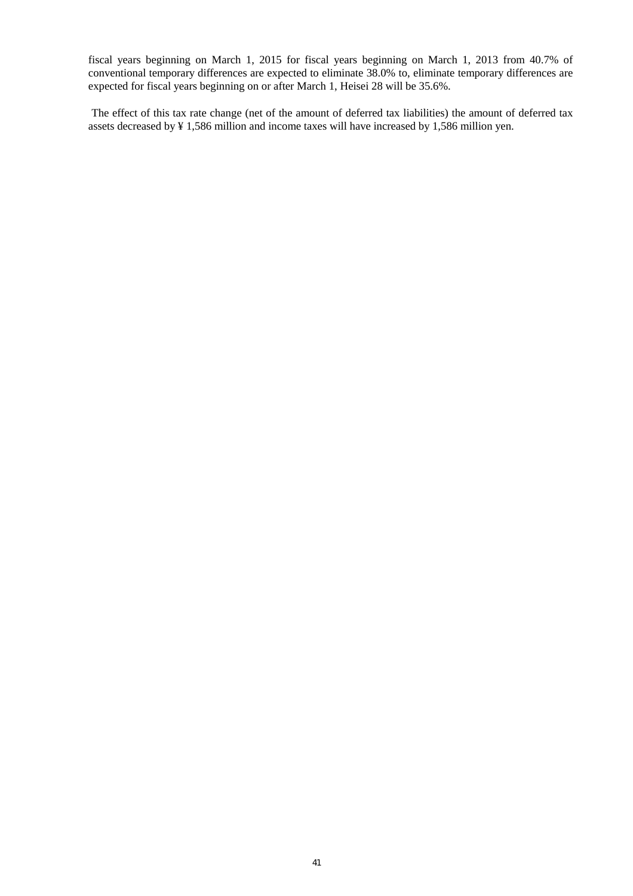fiscal years beginning on March 1, 2015 for fiscal years beginning on March 1, 2013 from 40.7% of conventional temporary differences are expected to eliminate 38.0% to, eliminate temporary differences are expected for fiscal years beginning on or after March 1, Heisei 28 will be 35.6%.

The effect of this tax rate change (net of the amount of deferred tax liabilities) the amount of deferred tax assets decreased by ¥ 1,586 million and income taxes will have increased by 1,586 million yen.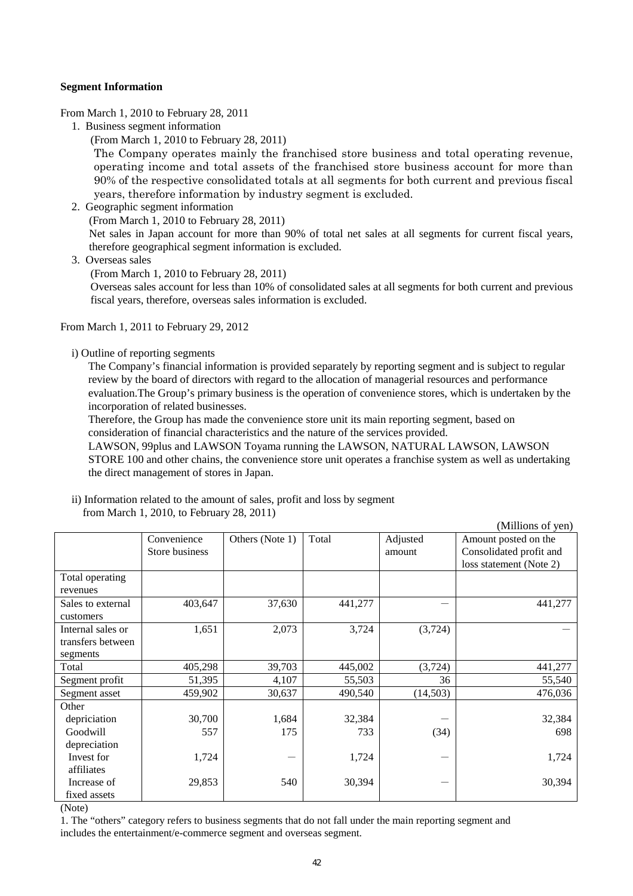### **Segment Information**

From March 1, 2010 to February 28, 2011

1. Business segment information

(From March 1, 2010 to February 28, 2011)

The Company operates mainly the franchised store business and total operating revenue, operating income and total assets of the franchised store business account for more than 90% of the respective consolidated totals at all segments for both current and previous fiscal years, therefore information by industry segment is excluded.

- 2. Geographic segment information
	- (From March 1, 2010 to February 28, 2011)

Net sales in Japan account for more than 90% of total net sales at all segments for current fiscal years, therefore geographical segment information is excluded.

- 3. Overseas sales
	- (From March 1, 2010 to February 28, 2011)

Overseas sales account for less than 10% of consolidated sales at all segments for both current and previous fiscal years, therefore, overseas sales information is excluded.

From March 1, 2011 to February 29, 2012

i) Outline of reporting segments

The Company's financial information is provided separately by reporting segment and is subject to regular review by the board of directors with regard to the allocation of managerial resources and performance evaluation.The Group's primary business is the operation of convenience stores, which is undertaken by the incorporation of related businesses.

Therefore, the Group has made the convenience store unit its main reporting segment, based on consideration of financial characteristics and the nature of the services provided.

LAWSON, 99plus and LAWSON Toyama running the LAWSON, NATURAL LAWSON, LAWSON STORE 100 and other chains, the convenience store unit operates a franchise system as well as undertaking the direct management of stores in Japan.

| ii) Information related to the amount of sales, profit and loss by segment |  |
|----------------------------------------------------------------------------|--|
| from March 1, 2010, to February 28, 2011)                                  |  |

|                   |                |                 |         |          | (Millions of yen)       |
|-------------------|----------------|-----------------|---------|----------|-------------------------|
|                   | Convenience    | Others (Note 1) | Total   | Adjusted | Amount posted on the    |
|                   | Store business |                 |         | amount   | Consolidated profit and |
|                   |                |                 |         |          | loss statement (Note 2) |
| Total operating   |                |                 |         |          |                         |
| revenues          |                |                 |         |          |                         |
| Sales to external | 403,647        | 37,630          | 441,277 |          | 441,277                 |
| customers         |                |                 |         |          |                         |
| Internal sales or | 1,651          | 2,073           | 3,724   | (3,724)  |                         |
| transfers between |                |                 |         |          |                         |
| segments          |                |                 |         |          |                         |
| Total             | 405,298        | 39,703          | 445,002 | (3, 724) | 441,277                 |
| Segment profit    | 51,395         | 4,107           | 55,503  | 36       | 55,540                  |
| Segment asset     | 459,902        | 30,637          | 490,540 | (14,503) | 476,036                 |
| Other             |                |                 |         |          |                         |
| depriciation      | 30,700         | 1,684           | 32,384  |          | 32,384                  |
| Goodwill          | 557            | 175             | 733     | (34)     | 698                     |
| depreciation      |                |                 |         |          |                         |
| Invest for        | 1,724          |                 | 1,724   |          | 1,724                   |
| affiliates        |                |                 |         |          |                         |
| Increase of       | 29,853         | 540             | 30,394  |          | 30,394                  |
| fixed assets      |                |                 |         |          |                         |

(Note)

1. The "others" category refers to business segments that do not fall under the main reporting segment and includes the entertainment/e-commerce segment and overseas segment.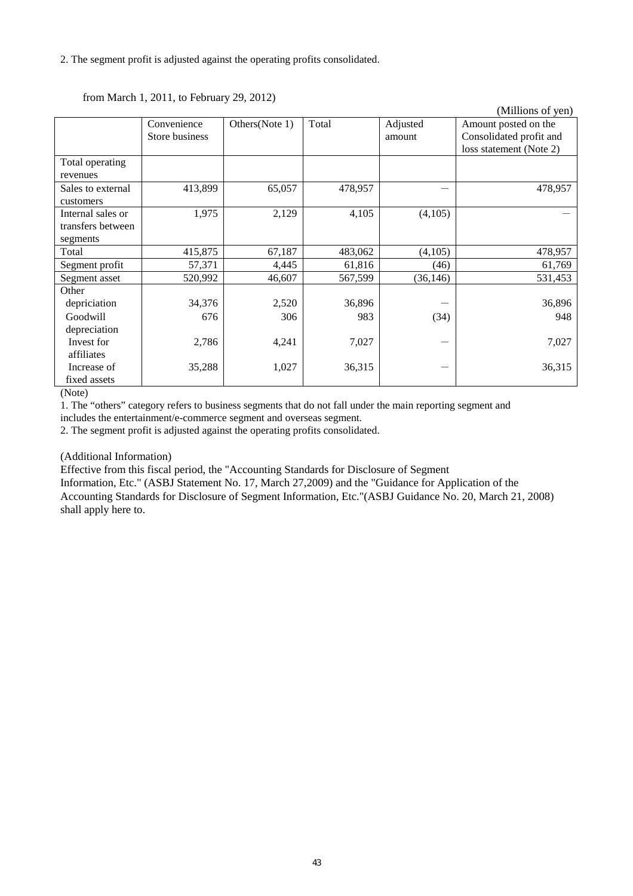|                   |                |                |         |           | (Millions of yen)       |
|-------------------|----------------|----------------|---------|-----------|-------------------------|
|                   | Convenience    | Others(Note 1) | Total   | Adjusted  | Amount posted on the    |
|                   | Store business |                |         | amount    | Consolidated profit and |
|                   |                |                |         |           | loss statement (Note 2) |
| Total operating   |                |                |         |           |                         |
| revenues          |                |                |         |           |                         |
| Sales to external | 413,899        | 65,057         | 478,957 |           | 478,957                 |
| customers         |                |                |         |           |                         |
| Internal sales or | 1,975          | 2,129          | 4,105   | (4,105)   |                         |
| transfers between |                |                |         |           |                         |
| segments          |                |                |         |           |                         |
| Total             | 415,875        | 67,187         | 483,062 | (4,105)   | 478,957                 |
| Segment profit    | 57,371         | 4,445          | 61,816  | (46)      | 61,769                  |
| Segment asset     | 520,992        | 46,607         | 567,599 | (36, 146) | 531,453                 |
| Other             |                |                |         |           |                         |
| depriciation      | 34,376         | 2,520          | 36,896  |           | 36,896                  |
| Goodwill          | 676            | 306            | 983     | (34)      | 948                     |
| depreciation      |                |                |         |           |                         |
| Invest for        | 2,786          | 4,241          | 7,027   |           | 7,027                   |
| affiliates        |                |                |         |           |                         |
| Increase of       | 35,288         | 1,027          | 36,315  |           | 36,315                  |
| fixed assets      |                |                |         |           |                         |

## from March 1, 2011, to February 29, 2012)

(Note)

1. The "others" category refers to business segments that do not fall under the main reporting segment and includes the entertainment/e-commerce segment and overseas segment.

2. The segment profit is adjusted against the operating profits consolidated.

(Additional Information)

Effective from this fiscal period, the "Accounting Standards for Disclosure of Segment

Information, Etc." (ASBJ Statement No. 17, March 27,2009) and the "Guidance for Application of the Accounting Standards for Disclosure of Segment Information, Etc."(ASBJ Guidance No. 20, March 21, 2008) shall apply here to.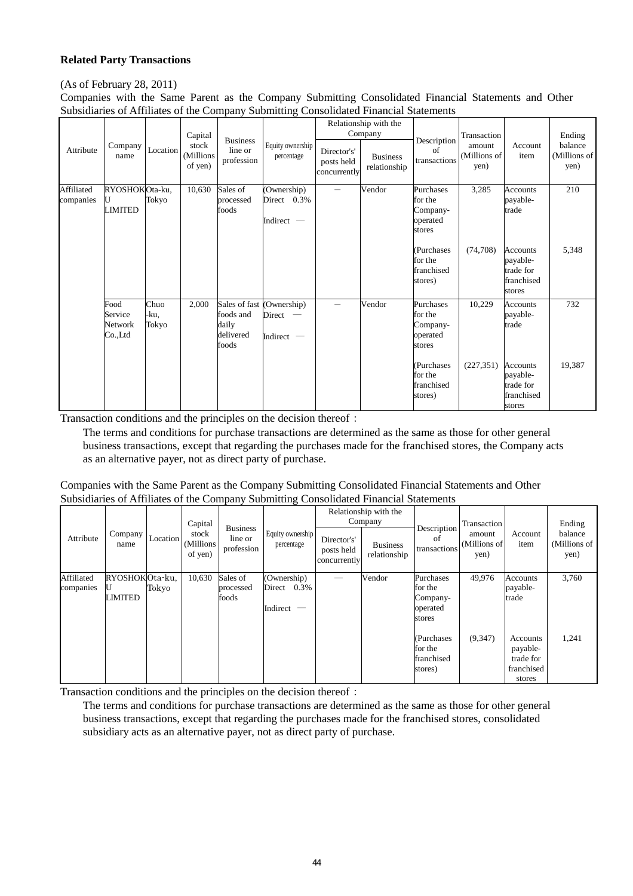## **Related Party Transactions**

### (As of February 28, 2011)

Companies with the Same Parent as the Company Submitting Consolidated Financial Statements and Other Subsidiaries of Affiliates of the Company Submitting Consolidated Financial Statements

| Attribute               | Company<br>name                       | Location              | Capital<br>stock<br>(Millions<br>of yen) | <b>Business</b><br>line or<br>profession                  | Equity ownership<br>percentage             | Director's'<br>posts held<br>concurrently | Relationship with the<br>Company<br><b>Business</b><br>relationship | Description<br>$\alpha$ f<br>transactions                                                                | Transaction<br>amount<br>(Millions of<br>yen) | Account<br>item                                                                                   | Ending<br>balance<br>(Millions of<br>yen) |
|-------------------------|---------------------------------------|-----------------------|------------------------------------------|-----------------------------------------------------------|--------------------------------------------|-------------------------------------------|---------------------------------------------------------------------|----------------------------------------------------------------------------------------------------------|-----------------------------------------------|---------------------------------------------------------------------------------------------------|-------------------------------------------|
| Affiliated<br>companies | RYOSHOKOta-ku,<br><b>LIMITED</b>      | Tokyo                 | 10,630                                   | Sales of<br>processed<br>foods                            | (Ownership)<br>Direct 0.3%<br>Indirect $-$ |                                           | Vendor                                                              | Purchases<br>for the<br>Company-<br>operated<br>stores<br>(Purchases<br>for the<br>franchised<br>stores) | 3,285<br>(74,708)                             | <b>Accounts</b><br>payable-<br>trade<br>Accounts<br>payable-<br>trade for<br>franchised<br>stores | 210<br>5,348                              |
|                         | Food<br>Service<br>Network<br>Co.,Ltd | Chuo<br>-ku,<br>Tokyo | 2,000                                    | Sales of fast<br>foods and<br>daily<br>delivered<br>foods | (Ownership)<br>Direct<br>-<br>Indirect $-$ | $\overline{\phantom{0}}$                  | Vendor                                                              | Purchases<br>for the<br>Company-<br>operated<br>stores<br>(Purchases<br>for the<br>franchised<br>stores) | 10,229<br>(227, 351)                          | <b>Accounts</b><br>payable-<br>trade<br>Accounts<br>payable-<br>trade for<br>franchised<br>stores | 732<br>19,387                             |

Transaction conditions and the principles on the decision thereof:

The terms and conditions for purchase transactions are determined as the same as those for other general business transactions, except that regarding the purchases made for the franchised stores, the Company acts as an alternative payer, not as direct party of purchase.

Companies with the Same Parent as the Company Submitting Consolidated Financial Statements and Other Subsidiaries of Affiliates of the Company Submitting Consolidated Financial Statements

| Attribute               | Company<br>name           | Location | Capital<br>stock<br>(Millions<br>of yen) | <b>Business</b><br>line or<br>profession | Equity ownership<br>percentage                | Director's'<br>posts held<br>concurrently | Relationship with the<br>Company<br><b>Business</b><br>relationship | Description<br>of<br>transactions                      | Transaction<br>amount<br>(Millions of<br>yen) | Account<br>item                                           | Ending<br>balance<br>(Millions of<br>yen) |
|-------------------------|---------------------------|----------|------------------------------------------|------------------------------------------|-----------------------------------------------|-------------------------------------------|---------------------------------------------------------------------|--------------------------------------------------------|-----------------------------------------------|-----------------------------------------------------------|-------------------------------------------|
| Affiliated<br>companies | RYOSHOKOta-ku,<br>LIMITED | Tokyo    | 10,630                                   | Sales of<br>processed<br>foods           | (Ownership)<br>Direct<br>0.3%<br>Indirect $-$ |                                           | Vendor                                                              | Purchases<br>for the<br>Company-<br>operated<br>stores | 49,976                                        | Accounts<br>payable-<br>trade                             | 3,760                                     |
|                         |                           |          |                                          |                                          |                                               |                                           |                                                                     | (Purchases<br>for the<br>franchised<br>stores)         | (9,347)                                       | Accounts<br>payable-<br>trade for<br>franchised<br>stores | 1,241                                     |

Transaction conditions and the principles on the decision thereof:

The terms and conditions for purchase transactions are determined as the same as those for other general business transactions, except that regarding the purchases made for the franchised stores, consolidated subsidiary acts as an alternative payer, not as direct party of purchase.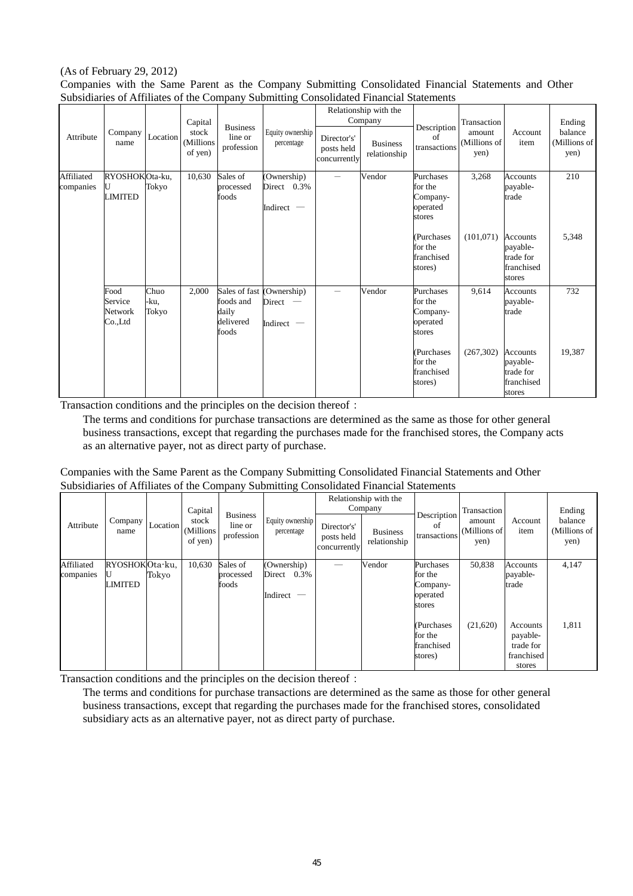#### (As of February 29, 2012) Companies with the Same Parent as the Company Submitting Consolidated Financial Statements and Other Subsidiaries of Affiliates of the Company Submitting Consolidated Financial Statements

|                         |                                       |                       |                               |                                                           | ▱                                        |                                           |                                  |                                                        |                                |                                                                  |                                 |
|-------------------------|---------------------------------------|-----------------------|-------------------------------|-----------------------------------------------------------|------------------------------------------|-------------------------------------------|----------------------------------|--------------------------------------------------------|--------------------------------|------------------------------------------------------------------|---------------------------------|
|                         |                                       |                       | Capital                       |                                                           |                                          |                                           | Relationship with the<br>Company |                                                        | Transaction                    |                                                                  | Ending                          |
| Attribute               | Company<br>name                       | Location              | stock<br>(Millions<br>of yen) | <b>Business</b><br>line or<br>profession                  | Equity ownership<br>percentage           | Director's'<br>posts held<br>concurrently | <b>Business</b><br>relationship  | Description<br>of<br>transactions                      | amount<br>(Millions of<br>yen) | Account<br>item                                                  | balance<br>(Millions of<br>yen) |
| Affiliated<br>companies | RYOSHOKOta-ku,<br>U<br><b>LIMITED</b> | Tokyo                 | 10,630                        | Sales of<br>processed<br>foods                            | (Ownership)<br>Direct 0.3%<br>Indirect - |                                           | Vendor                           | Purchases<br>for the<br>Company-<br>operated<br>stores | 3,268                          | <b>Accounts</b><br>payable-<br>trade                             | 210                             |
|                         |                                       |                       |                               |                                                           |                                          |                                           |                                  | (Purchases<br>for the<br>franchised<br>stores)         | (101, 071)                     | <b>Accounts</b><br>payable-<br>trade for<br>franchised<br>stores | 5,348                           |
|                         | Food<br>Service<br>Network<br>Co.,Ltd | Chuo<br>-ku,<br>Tokyo | 2,000                         | Sales of fast<br>foods and<br>daily<br>delivered<br>foods | (Ownership)<br>Direct<br>Indirect $-$    |                                           | Vendor                           | Purchases<br>for the<br>Company-<br>operated<br>stores | 9,614                          | <b>Accounts</b><br>payable-<br>trade                             | 732                             |
|                         |                                       |                       |                               |                                                           |                                          |                                           |                                  | (Purchases<br>for the<br>franchised<br>stores)         | (267, 302)                     | <b>Accounts</b><br>payable-<br>trade for<br>franchised<br>stores | 19,387                          |

Transaction conditions and the principles on the decision thereof:

The terms and conditions for purchase transactions are determined as the same as those for other general business transactions, except that regarding the purchases made for the franchised stores, the Company acts as an alternative payer, not as direct party of purchase.

| Companies with the Same Parent as the Company Submitting Consolidated Financial Statements and Other |
|------------------------------------------------------------------------------------------------------|
| Subsidiaries of Affiliates of the Company Submitting Consolidated Financial Statements               |

|                         |                           |          | Capital                       | <b>Business</b>                | Equity ownership                                                             |                                           | Relationship with the<br>Company | Description                                            | Transaction                    |                                                           | Ending                          |
|-------------------------|---------------------------|----------|-------------------------------|--------------------------------|------------------------------------------------------------------------------|-------------------------------------------|----------------------------------|--------------------------------------------------------|--------------------------------|-----------------------------------------------------------|---------------------------------|
| Attribute               | Company<br>name           | Location | stock<br>(Millions<br>of yen) | line or<br>profession          | percentage                                                                   | Director's'<br>posts held<br>concurrently | <b>Business</b><br>relationship  | of<br>transactions                                     | amount<br>(Millions of<br>yen) | Account<br>item                                           | balance<br>(Millions of<br>yen) |
| Affiliated<br>companies | RYOSHOKOta-ku,<br>LIMITED | Tokyo    | 10,630                        | Sales of<br>processed<br>foods | (Ownership)<br>0.3%<br>Direct<br>Indirect<br>$\hspace{0.1mm}-\hspace{0.1mm}$ |                                           | Vendor                           | Purchases<br>for the<br>Company-<br>operated<br>stores | 50,838                         | Accounts<br>payable-<br>trade                             | 4,147                           |
|                         |                           |          |                               |                                |                                                                              |                                           |                                  | (Purchases)<br>for the<br>franchised<br>stores)        | (21,620)                       | Accounts<br>payable-<br>trade for<br>franchised<br>stores | 1,811                           |

Transaction conditions and the principles on the decision thereof:

The terms and conditions for purchase transactions are determined as the same as those for other general business transactions, except that regarding the purchases made for the franchised stores, consolidated subsidiary acts as an alternative payer, not as direct party of purchase.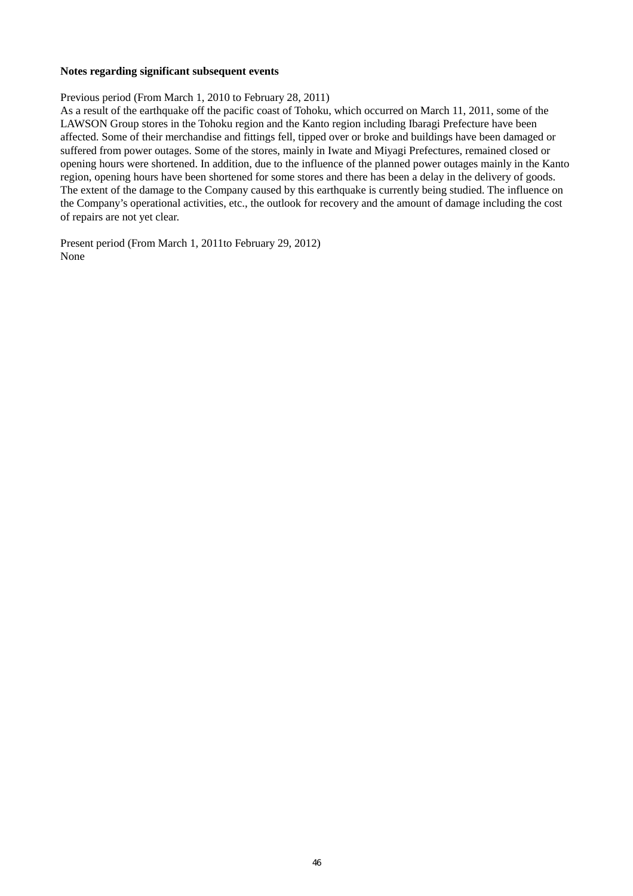#### **Notes regarding significant subsequent events**

Previous period (From March 1, 2010 to February 28, 2011)

As a result of the earthquake off the pacific coast of Tohoku, which occurred on March 11, 2011, some of the LAWSON Group stores in the Tohoku region and the Kanto region including Ibaragi Prefecture have been affected. Some of their merchandise and fittings fell, tipped over or broke and buildings have been damaged or suffered from power outages. Some of the stores, mainly in Iwate and Miyagi Prefectures, remained closed or opening hours were shortened. In addition, due to the influence of the planned power outages mainly in the Kanto region, opening hours have been shortened for some stores and there has been a delay in the delivery of goods. The extent of the damage to the Company caused by this earthquake is currently being studied. The influence on the Company's operational activities, etc., the outlook for recovery and the amount of damage including the cost of repairs are not yet clear.

Present period (From March 1, 2011to February 29, 2012) None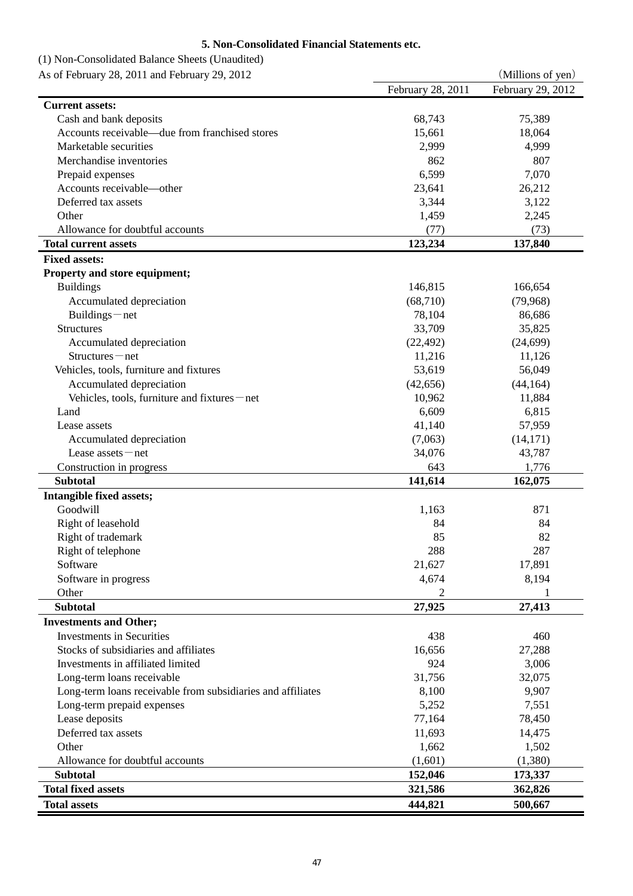## **5. Non-Consolidated Financial Statements etc.**

## (1) Non-Consolidated Balance Sheets (Unaudited)

| As of February 28, 2011 and February 29, 2012               |                   | (Millions of yen) |
|-------------------------------------------------------------|-------------------|-------------------|
|                                                             | February 28, 2011 | February 29, 2012 |
| <b>Current assets:</b>                                      |                   |                   |
| Cash and bank deposits                                      | 68,743            | 75,389            |
| Accounts receivable—due from franchised stores              | 15,661            | 18,064            |
| Marketable securities                                       | 2,999             | 4,999             |
| Merchandise inventories                                     | 862               | 807               |
| Prepaid expenses                                            | 6,599             | 7,070             |
| Accounts receivable-other                                   | 23,641            | 26,212            |
| Deferred tax assets                                         | 3,344             | 3,122             |
| Other                                                       | 1,459             | 2,245             |
| Allowance for doubtful accounts                             | (77)              | (73)              |
| <b>Total current assets</b>                                 | 123,234           | 137,840           |
|                                                             |                   |                   |
| <b>Fixed assets:</b>                                        |                   |                   |
| Property and store equipment;                               |                   |                   |
| <b>Buildings</b>                                            | 146,815           | 166,654           |
| Accumulated depreciation                                    | (68, 710)         | (79,968)          |
| Buildings-net                                               | 78,104            | 86,686            |
| <b>Structures</b>                                           | 33,709            | 35,825            |
| Accumulated depreciation                                    | (22, 492)         | (24, 699)         |
| Structures-net                                              | 11,216            | 11,126            |
| Vehicles, tools, furniture and fixtures                     | 53,619            | 56,049            |
| Accumulated depreciation                                    | (42, 656)         | (44, 164)         |
| Vehicles, tools, furniture and fixtures-net                 | 10,962            | 11,884            |
| Land                                                        | 6,609             | 6,815             |
| Lease assets                                                | 41,140            | 57,959            |
| Accumulated depreciation                                    | (7,063)           | (14, 171)         |
| Lease $asserts$ - net                                       | 34,076            | 43,787            |
| Construction in progress                                    | 643               | 1,776             |
| <b>Subtotal</b>                                             | 141,614           | 162,075           |
| Intangible fixed assets;                                    |                   |                   |
| Goodwill                                                    | 1,163             | 871               |
| Right of leasehold                                          | 84                | 84                |
| Right of trademark                                          | 85                | 82                |
| Right of telephone                                          | 288               | 287               |
| Software                                                    | 21,627            | 17,891            |
| Software in progress                                        | 4,674             | 8,194             |
| Other                                                       | 2                 |                   |
| <b>Subtotal</b>                                             | 27,925            | 27,413            |
| <b>Investments and Other;</b>                               |                   |                   |
| <b>Investments in Securities</b>                            | 438               | 460               |
| Stocks of subsidiaries and affiliates                       |                   |                   |
|                                                             | 16,656            | 27,288            |
| Investments in affiliated limited                           | 924               | 3,006             |
| Long-term loans receivable                                  | 31,756            | 32,075            |
| Long-term loans receivable from subsidiaries and affiliates | 8,100             | 9,907             |
| Long-term prepaid expenses                                  | 5,252             | 7,551             |
| Lease deposits                                              | 77,164            | 78,450            |
| Deferred tax assets                                         | 11,693            | 14,475            |
| Other                                                       | 1,662             | 1,502             |
| Allowance for doubtful accounts                             | (1,601)           | (1,380)           |
| <b>Subtotal</b>                                             | 152,046           | 173,337           |
| <b>Total fixed assets</b>                                   | 321,586           | 362,826           |
| <b>Total assets</b>                                         | 444,821           | 500,667           |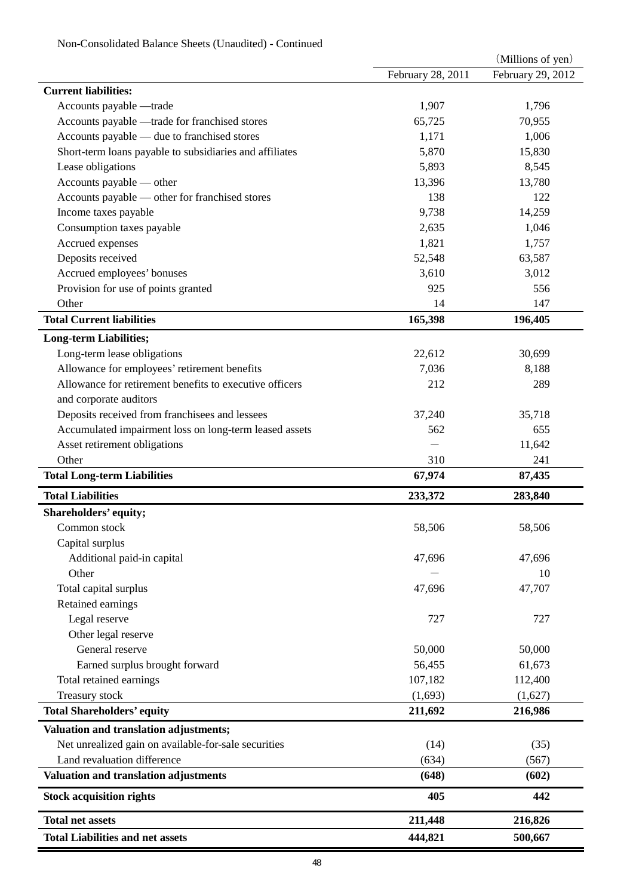| Non-Consolidated Balance Sheets (Unaudited) - Continued |  |
|---------------------------------------------------------|--|
|---------------------------------------------------------|--|

|                                                         |                   | (Millions of yen) |
|---------------------------------------------------------|-------------------|-------------------|
|                                                         | February 28, 2011 | February 29, 2012 |
| <b>Current liabilities:</b>                             |                   |                   |
| Accounts payable -trade                                 | 1,907             | 1,796             |
| Accounts payable - trade for franchised stores          | 65,725            | 70,955            |
| Accounts payable — due to franchised stores             | 1,171             | 1,006             |
| Short-term loans payable to subsidiaries and affiliates | 5,870             | 15,830            |
| Lease obligations                                       | 5,893             | 8,545             |
| Accounts payable — other                                | 13,396            | 13,780            |
| Accounts payable - other for franchised stores          | 138               | 122               |
| Income taxes payable                                    | 9,738             | 14,259            |
| Consumption taxes payable                               | 2,635             | 1,046             |
| Accrued expenses                                        | 1,821             | 1,757             |
| Deposits received                                       | 52,548            | 63,587            |
| Accrued employees' bonuses                              | 3,610             | 3,012             |
| Provision for use of points granted                     | 925               | 556               |
| Other                                                   | 14                | 147               |
| <b>Total Current liabilities</b>                        | 165,398           | 196,405           |
|                                                         |                   |                   |
| <b>Long-term Liabilities;</b>                           |                   |                   |
| Long-term lease obligations                             | 22,612            | 30,699            |
| Allowance for employees' retirement benefits            | 7,036             | 8,188             |
| Allowance for retirement benefits to executive officers | 212               | 289               |
| and corporate auditors                                  |                   |                   |
| Deposits received from franchisees and lessees          | 37,240            | 35,718            |
| Accumulated impairment loss on long-term leased assets  | 562               | 655               |
| Asset retirement obligations                            |                   | 11,642            |
| Other                                                   | 310               | 241               |
| <b>Total Long-term Liabilities</b>                      | 67,974            | 87,435            |
| <b>Total Liabilities</b>                                | 233,372           | 283,840           |
| Shareholders' equity;                                   |                   |                   |
| Common stock                                            | 58,506            | 58,506            |
| Capital surplus                                         |                   |                   |
| Additional paid-in capital                              | 47,696            | 47,696            |
| Other                                                   |                   | 10                |
| Total capital surplus                                   | 47,696            | 47,707            |
| Retained earnings                                       |                   |                   |
| Legal reserve                                           | 727               | 727               |
| Other legal reserve                                     |                   |                   |
| General reserve                                         | 50,000            | 50,000            |
| Earned surplus brought forward                          | 56,455            | 61,673            |
| Total retained earnings                                 | 107,182           | 112,400           |
| Treasury stock                                          | (1,693)           | (1,627)           |
| <b>Total Shareholders' equity</b>                       | 211,692           | 216,986           |
|                                                         |                   |                   |
| Valuation and translation adjustments;                  |                   |                   |
| Net unrealized gain on available-for-sale securities    | (14)              | (35)              |
| Land revaluation difference                             | (634)             | (567)             |
| Valuation and translation adjustments                   | (648)             | (602)             |
| <b>Stock acquisition rights</b>                         | 405               | 442               |
| <b>Total net assets</b>                                 | 211,448           | 216,826           |
| <b>Total Liabilities and net assets</b>                 | 444,821           | 500,667           |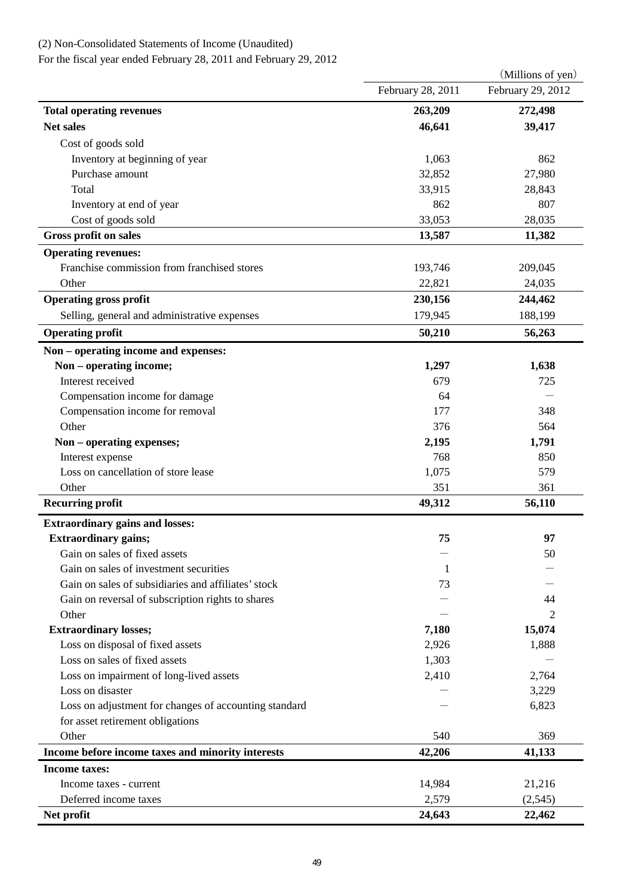# (2) Non-Consolidated Statements of Income (Unaudited)

For the fiscal year ended February 28, 2011 and February 29, 2012

|                                                         |                   | (Millions of yen) |
|---------------------------------------------------------|-------------------|-------------------|
|                                                         | February 28, 2011 | February 29, 2012 |
| <b>Total operating revenues</b>                         | 263,209           | 272,498           |
| <b>Net sales</b>                                        | 46,641            | 39,417            |
| Cost of goods sold                                      |                   |                   |
| Inventory at beginning of year                          | 1,063             | 862               |
| Purchase amount                                         | 32,852            | 27,980            |
| Total                                                   | 33,915            | 28,843            |
| Inventory at end of year                                | 862               | 807               |
| Cost of goods sold                                      | 33,053            | 28,035            |
| <b>Gross profit on sales</b>                            | 13,587            | 11,382            |
| <b>Operating revenues:</b>                              |                   |                   |
| Franchise commission from franchised stores             | 193,746           | 209,045           |
| Other                                                   | 22,821            | 24,035            |
| <b>Operating gross profit</b>                           | 230,156           | 244,462           |
| Selling, general and administrative expenses            | 179,945           | 188,199           |
| <b>Operating profit</b>                                 | 50,210            | 56,263            |
|                                                         |                   |                   |
| Non - operating income and expenses:                    | 1,297             |                   |
| Non - operating income;<br>Interest received            | 679               | 1,638<br>725      |
|                                                         | 64                |                   |
| Compensation income for damage                          | 177               | 348               |
| Compensation income for removal<br>Other                | 376               | 564               |
|                                                         | 2,195             |                   |
| Non - operating expenses;                               | 768               | 1,791<br>850      |
| Interest expense<br>Loss on cancellation of store lease | 1,075             | 579               |
| Other                                                   | 351               | 361               |
| <b>Recurring profit</b>                                 | 49,312            | 56,110            |
|                                                         |                   |                   |
| <b>Extraordinary gains and losses:</b>                  |                   |                   |
| <b>Extraordinary gains;</b>                             | 75                | 97                |
| Gain on sales of fixed assets                           |                   | 50                |
| Gain on sales of investment securities                  | 1                 |                   |
| Gain on sales of subsidiaries and affiliates' stock     | 73                |                   |
| Gain on reversal of subscription rights to shares       |                   | 44                |
| Other                                                   |                   | 2                 |
| <b>Extraordinary losses;</b>                            | 7,180             | 15,074            |
| Loss on disposal of fixed assets                        | 2,926             | 1,888             |
| Loss on sales of fixed assets                           | 1,303             |                   |
| Loss on impairment of long-lived assets                 | 2,410             | 2,764             |
| Loss on disaster                                        |                   | 3,229             |
| Loss on adjustment for changes of accounting standard   |                   | 6,823             |
| for asset retirement obligations                        |                   |                   |
| Other                                                   | 540               | 369               |
| Income before income taxes and minority interests       | 42,206            | 41,133            |
| <b>Income taxes:</b>                                    |                   |                   |
| Income taxes - current                                  | 14,984            | 21,216            |
| Deferred income taxes                                   | 2,579             | (2,545)           |
| Net profit                                              | 24,643            | 22,462            |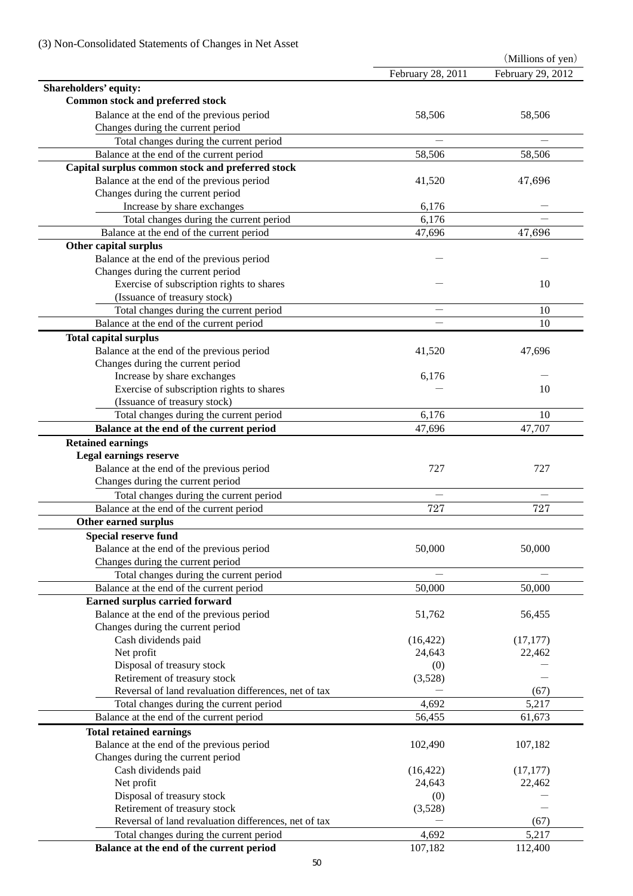|                                                      |                   | (Millions of yen) |
|------------------------------------------------------|-------------------|-------------------|
|                                                      | February 28, 2011 | February 29, 2012 |
| Shareholders' equity:                                |                   |                   |
| Common stock and preferred stock                     |                   |                   |
| Balance at the end of the previous period            | 58,506            | 58,506            |
| Changes during the current period                    |                   |                   |
| Total changes during the current period              |                   |                   |
| Balance at the end of the current period             | 58,506            | 58,506            |
| Capital surplus common stock and preferred stock     |                   |                   |
| Balance at the end of the previous period            | 41,520            | 47,696            |
| Changes during the current period                    |                   |                   |
| Increase by share exchanges                          | 6,176             |                   |
| Total changes during the current period              | 6,176             |                   |
| Balance at the end of the current period             | 47,696            | 47,696            |
| Other capital surplus                                |                   |                   |
| Balance at the end of the previous period            |                   |                   |
| Changes during the current period                    |                   |                   |
| Exercise of subscription rights to shares            |                   | 10                |
| (Issuance of treasury stock)                         |                   |                   |
| Total changes during the current period              |                   | 10                |
| Balance at the end of the current period             |                   | 10                |
|                                                      |                   |                   |
| <b>Total capital surplus</b>                         |                   |                   |
| Balance at the end of the previous period            | 41,520            | 47,696            |
| Changes during the current period                    |                   |                   |
| Increase by share exchanges                          | 6,176             |                   |
| Exercise of subscription rights to shares            |                   | 10                |
| (Issuance of treasury stock)                         |                   |                   |
| Total changes during the current period              | 6,176             | 10                |
| Balance at the end of the current period             | 47,696            | 47,707            |
| <b>Retained earnings</b>                             |                   |                   |
| <b>Legal earnings reserve</b>                        |                   |                   |
| Balance at the end of the previous period            | 727               | 727               |
| Changes during the current period                    |                   |                   |
| Total changes during the current period              |                   |                   |
| Balance at the end of the current period             | 727               | 727               |
| Other earned surplus                                 |                   |                   |
| <b>Special reserve fund</b>                          |                   |                   |
| Balance at the end of the previous period            | 50,000            | 50,000            |
| Changes during the current period                    |                   |                   |
| Total changes during the current period              |                   |                   |
| Balance at the end of the current period             | 50,000            | 50,000            |
| Earned surplus carried forward                       |                   |                   |
| Balance at the end of the previous period            | 51,762            | 56,455            |
| Changes during the current period                    |                   |                   |
| Cash dividends paid                                  | (16, 422)         | (17, 177)         |
| Net profit                                           | 24,643            | 22,462            |
| Disposal of treasury stock                           | (0)               |                   |
| Retirement of treasury stock                         | (3,528)           |                   |
| Reversal of land revaluation differences, net of tax |                   | (67)              |
| Total changes during the current period              | 4,692             | 5,217             |
| Balance at the end of the current period             | 56,455            | 61,673            |
| <b>Total retained earnings</b>                       |                   |                   |
| Balance at the end of the previous period            |                   | 107,182           |
|                                                      | 102,490           |                   |
| Changes during the current period                    |                   |                   |
| Cash dividends paid                                  | (16, 422)         | (17, 177)         |
| Net profit                                           | 24,643            | 22,462            |
| Disposal of treasury stock                           | (0)               |                   |
| Retirement of treasury stock                         | (3,528)           |                   |
| Reversal of land revaluation differences, net of tax |                   | (67)              |
| Total changes during the current period              | 4,692             | 5,217             |
| Balance at the end of the current period             | 107,182           | 112,400           |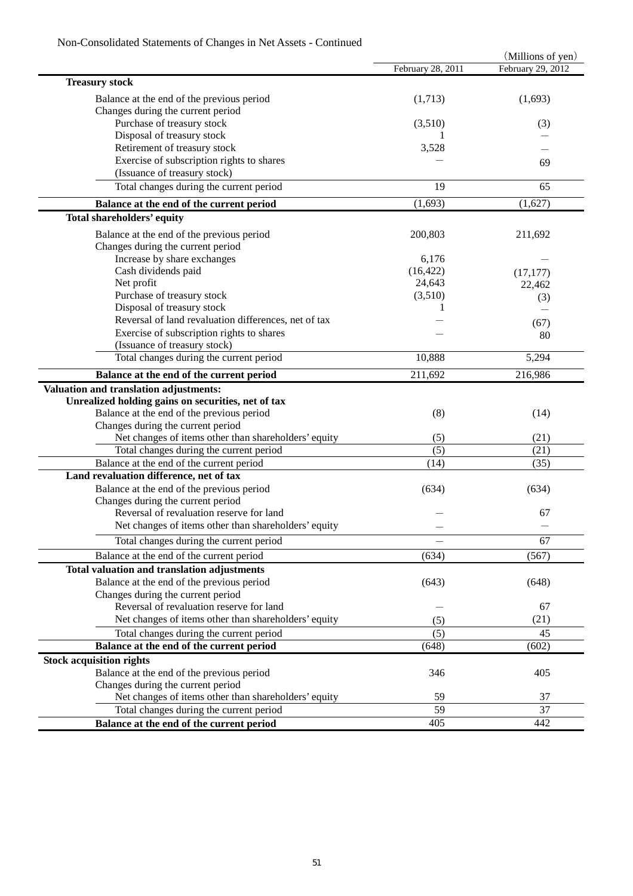|                                                      |                   | (Millions of yen) |
|------------------------------------------------------|-------------------|-------------------|
|                                                      | February 28, 2011 | February 29, 2012 |
| <b>Treasury stock</b>                                |                   |                   |
| Balance at the end of the previous period            | (1,713)           | (1,693)           |
| Changes during the current period                    |                   |                   |
| Purchase of treasury stock                           | (3,510)           | (3)               |
| Disposal of treasury stock                           |                   |                   |
| Retirement of treasury stock                         | 3,528             |                   |
| Exercise of subscription rights to shares            |                   |                   |
| (Issuance of treasury stock)                         |                   | 69                |
|                                                      |                   |                   |
| Total changes during the current period              | 19                | 65                |
| Balance at the end of the current period             | (1,693)           | (1,627)           |
| Total shareholders' equity                           |                   |                   |
| Balance at the end of the previous period            | 200,803           | 211,692           |
| Changes during the current period                    |                   |                   |
| Increase by share exchanges                          | 6,176             |                   |
| Cash dividends paid                                  | (16, 422)         | (17, 177)         |
| Net profit                                           | 24,643            | 22,462            |
| Purchase of treasury stock                           | (3,510)           | (3)               |
| Disposal of treasury stock                           |                   |                   |
| Reversal of land revaluation differences, net of tax |                   | (67)              |
| Exercise of subscription rights to shares            |                   |                   |
| (Issuance of treasury stock)                         |                   | 80                |
| Total changes during the current period              | 10,888            | 5,294             |
|                                                      |                   |                   |
| Balance at the end of the current period             | 211,692           | 216,986           |
| Valuation and translation adjustments:               |                   |                   |
| Unrealized holding gains on securities, net of tax   |                   |                   |
| Balance at the end of the previous period            | (8)               | (14)              |
| Changes during the current period                    |                   |                   |
| Net changes of items other than shareholders' equity | (5)               | (21)              |
| Total changes during the current period              | (5)               | (21)              |
| Balance at the end of the current period             | (14)              | (35)              |
| Land revaluation difference, net of tax              |                   |                   |
| Balance at the end of the previous period            | (634)             | (634)             |
| Changes during the current period                    |                   |                   |
| Reversal of revaluation reserve for land             |                   | 67                |
| Net changes of items other than shareholders' equity |                   |                   |
| Total changes during the current period              |                   | 67                |
| Balance at the end of the current period             | (634)             | (567)             |
| Total valuation and translation adjustments          |                   |                   |
| Balance at the end of the previous period            | (643)             | (648)             |
| Changes during the current period                    |                   |                   |
| Reversal of revaluation reserve for land             |                   | 67                |
| Net changes of items other than shareholders' equity | (5)               | (21)              |
| Total changes during the current period              | (5)               | 45                |
| Balance at the end of the current period             | (648)             | (602)             |
| <b>Stock acquisition rights</b>                      |                   |                   |
| Balance at the end of the previous period            | 346               | 405               |
| Changes during the current period                    |                   |                   |
| Net changes of items other than shareholders' equity | 59                | 37                |
| Total changes during the current period              | 59                | 37                |
|                                                      | 405               | 442               |
| Balance at the end of the current period             |                   |                   |

## Non-Consolidated Statements of Changes in Net Assets - Continued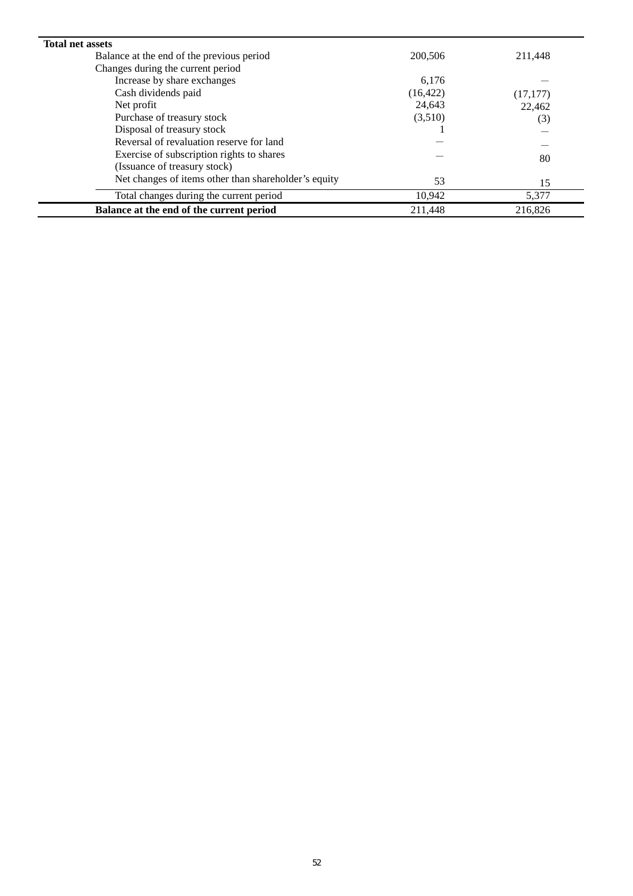| <b>Total net assets</b>                              |           |           |
|------------------------------------------------------|-----------|-----------|
| Balance at the end of the previous period            | 200,506   | 211,448   |
| Changes during the current period                    |           |           |
| Increase by share exchanges                          | 6,176     |           |
| Cash dividends paid                                  | (16, 422) | (17, 177) |
| Net profit                                           | 24,643    | 22,462    |
| Purchase of treasury stock                           | (3,510)   | (3)       |
| Disposal of treasury stock                           |           |           |
| Reversal of revaluation reserve for land             |           |           |
| Exercise of subscription rights to shares            |           | 80        |
| (Issuance of treasury stock)                         |           |           |
| Net changes of items other than shareholder's equity | 53        | 15        |
| Total changes during the current period              | 10,942    | 5,377     |
| Balance at the end of the current period             | 211.448   | 216,826   |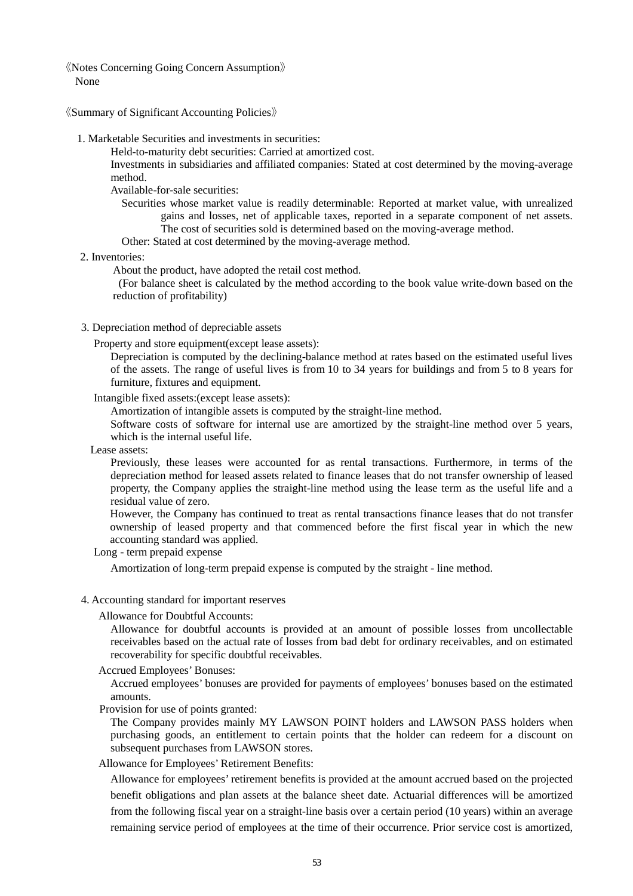《Notes Concerning Going Concern Assumption》 None

《Summary of Significant Accounting Policies》

1. Marketable Securities and investments in securities:

Held-to-maturity debt securities: Carried at amortized cost.

Investments in subsidiaries and affiliated companies: Stated at cost determined by the moving-average method.

Available-for-sale securities:

- Securities whose market value is readily determinable: Reported at market value, with unrealized gains and losses, net of applicable taxes, reported in a separate component of net assets. The cost of securities sold is determined based on the moving-average method.
- Other: Stated at cost determined by the moving-average method.
- 2. Inventories:

About the product, have adopted the retail cost method.

 (For balance sheet is calculated by the method according to the book value write-down based on the reduction of profitability)

3. Depreciation method of depreciable assets

Property and store equipment(except lease assets):

Depreciation is computed by the declining-balance method at rates based on the estimated useful lives of the assets. The range of useful lives is from 10 to 34 years for buildings and from 5 to 8 years for furniture, fixtures and equipment.

Intangible fixed assets:(except lease assets):

Amortization of intangible assets is computed by the straight-line method.

Software costs of software for internal use are amortized by the straight-line method over 5 years, which is the internal useful life.

Lease assets:

Previously, these leases were accounted for as rental transactions. Furthermore, in terms of the depreciation method for leased assets related to finance leases that do not transfer ownership of leased property, the Company applies the straight-line method using the lease term as the useful life and a residual value of zero.

However, the Company has continued to treat as rental transactions finance leases that do not transfer ownership of leased property and that commenced before the first fiscal year in which the new accounting standard was applied.

Long - term prepaid expense

Amortization of long-term prepaid expense is computed by the straight - line method.

#### 4. Accounting standard for important reserves

Allowance for Doubtful Accounts:

Allowance for doubtful accounts is provided at an amount of possible losses from uncollectable receivables based on the actual rate of losses from bad debt for ordinary receivables, and on estimated recoverability for specific doubtful receivables.

Accrued Employees' Bonuses:

Accrued employees' bonuses are provided for payments of employees' bonuses based on the estimated amounts.

Provision for use of points granted:

The Company provides mainly MY LAWSON POINT holders and LAWSON PASS holders when purchasing goods, an entitlement to certain points that the holder can redeem for a discount on subsequent purchases from LAWSON stores.

Allowance for Employees' Retirement Benefits:

Allowance for employees' retirement benefits is provided at the amount accrued based on the projected benefit obligations and plan assets at the balance sheet date. Actuarial differences will be amortized from the following fiscal year on a straight-line basis over a certain period (10 years) within an average remaining service period of employees at the time of their occurrence. Prior service cost is amortized,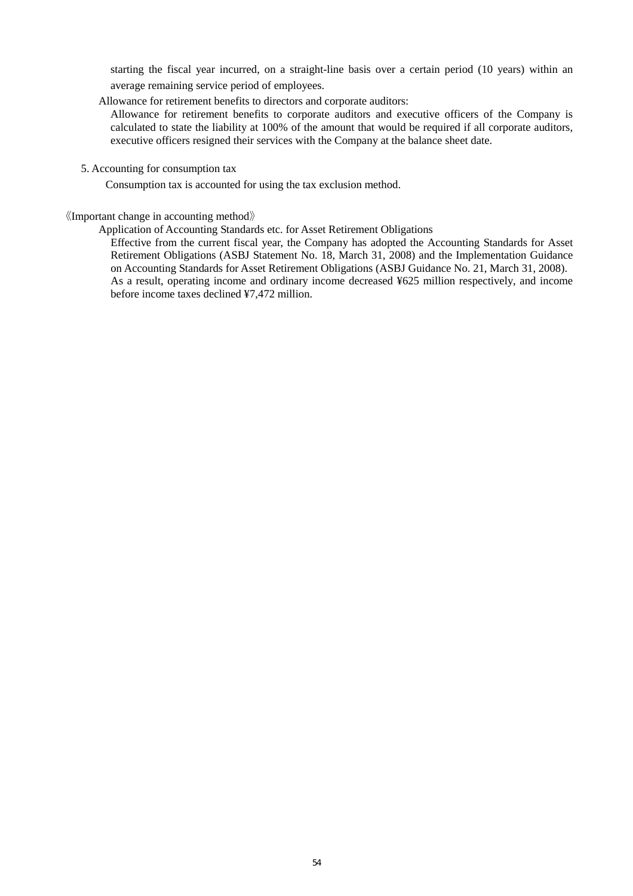starting the fiscal year incurred, on a straight-line basis over a certain period (10 years) within an average remaining service period of employees.

Allowance for retirement benefits to directors and corporate auditors:

Allowance for retirement benefits to corporate auditors and executive officers of the Company is calculated to state the liability at 100% of the amount that would be required if all corporate auditors, executive officers resigned their services with the Company at the balance sheet date.

5. Accounting for consumption tax

Consumption tax is accounted for using the tax exclusion method.

### 《Important change in accounting method》

Application of Accounting Standards etc. for Asset Retirement Obligations

Effective from the current fiscal year, the Company has adopted the Accounting Standards for Asset Retirement Obligations (ASBJ Statement No. 18, March 31, 2008) and the Implementation Guidance on Accounting Standards for Asset Retirement Obligations (ASBJ Guidance No. 21, March 31, 2008). As a result, operating income and ordinary income decreased ¥625 million respectively, and income before income taxes declined ¥7,472 million.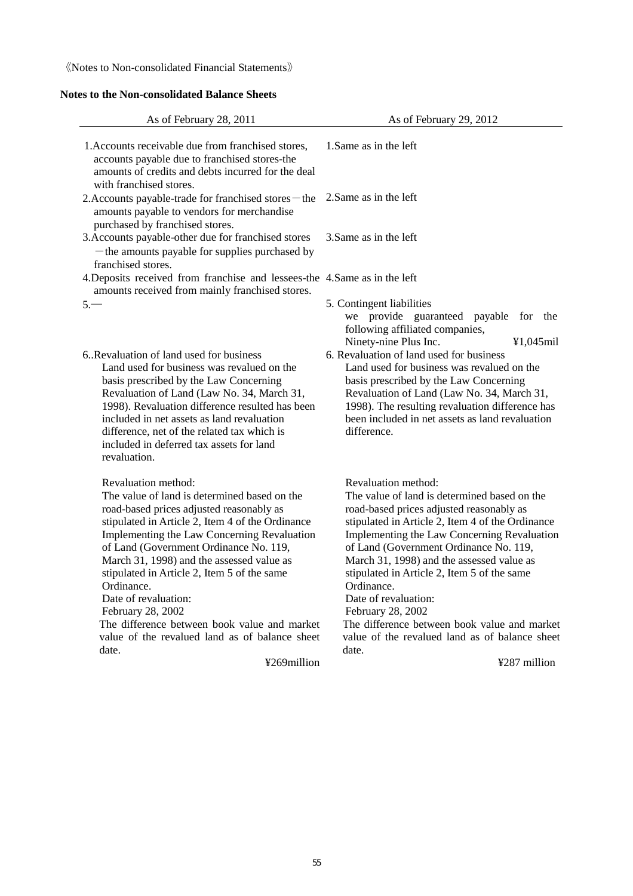《Notes to Non-consolidated Financial Statements》

## **Notes to the Non-consolidated Balance Sheets**

| As of February 28, 2011                                                                                                                                                                                                                                                                                                                                                                                                                                             | As of February 29, 2012                                                                                                                                                                                                                                                                                                                                                                                                                                             |
|---------------------------------------------------------------------------------------------------------------------------------------------------------------------------------------------------------------------------------------------------------------------------------------------------------------------------------------------------------------------------------------------------------------------------------------------------------------------|---------------------------------------------------------------------------------------------------------------------------------------------------------------------------------------------------------------------------------------------------------------------------------------------------------------------------------------------------------------------------------------------------------------------------------------------------------------------|
| 1. Accounts receivable due from franchised stores,<br>accounts payable due to franchised stores-the<br>amounts of credits and debts incurred for the deal<br>with franchised stores.                                                                                                                                                                                                                                                                                | 1. Same as in the left                                                                                                                                                                                                                                                                                                                                                                                                                                              |
| 2. Accounts payable-trade for franchised stores – the<br>amounts payable to vendors for merchandise<br>purchased by franchised stores.                                                                                                                                                                                                                                                                                                                              | 2. Same as in the left                                                                                                                                                                                                                                                                                                                                                                                                                                              |
| 3. Accounts payable-other due for franchised stores<br>- the amounts payable for supplies purchased by<br>franchised stores.                                                                                                                                                                                                                                                                                                                                        | 3. Same as in the left                                                                                                                                                                                                                                                                                                                                                                                                                                              |
| 4. Deposits received from franchise and lessees-the 4. Same as in the left<br>amounts received from mainly franchised stores.                                                                                                                                                                                                                                                                                                                                       |                                                                                                                                                                                                                                                                                                                                                                                                                                                                     |
| $5 -$                                                                                                                                                                                                                                                                                                                                                                                                                                                               | 5. Contingent liabilities<br>provide guaranteed payable for the<br>we<br>following affiliated companies,<br>Ninety-nine Plus Inc.<br>¥1,045mil                                                                                                                                                                                                                                                                                                                      |
| 6. Revaluation of land used for business<br>Land used for business was revalued on the<br>basis prescribed by the Law Concerning<br>Revaluation of Land (Law No. 34, March 31,<br>1998). Revaluation difference resulted has been<br>included in net assets as land revaluation<br>difference, net of the related tax which is<br>included in deferred tax assets for land<br>revaluation.                                                                          | 6. Revaluation of land used for business<br>Land used for business was revalued on the<br>basis prescribed by the Law Concerning<br>Revaluation of Land (Law No. 34, March 31,<br>1998). The resulting revaluation difference has<br>been included in net assets as land revaluation<br>difference.                                                                                                                                                                 |
| Revaluation method:<br>The value of land is determined based on the<br>road-based prices adjusted reasonably as<br>stipulated in Article 2, Item 4 of the Ordinance<br>Implementing the Law Concerning Revaluation<br>of Land (Government Ordinance No. 119,<br>March 31, 1998) and the assessed value as<br>stipulated in Article 2, Item 5 of the same<br>Ordinance.<br>Date of revaluation:<br>February 28, 2002<br>The difference between book value and market | Revaluation method:<br>The value of land is determined based on the<br>road-based prices adjusted reasonably as<br>stipulated in Article 2, Item 4 of the Ordinance<br>Implementing the Law Concerning Revaluation<br>of Land (Government Ordinance No. 119,<br>March 31, 1998) and the assessed value as<br>stipulated in Article 2, Item 5 of the same<br>Ordinance.<br>Date of revaluation:<br>February 28, 2002<br>The difference between book value and market |
| value of the revalued land as of balance sheet<br>date.                                                                                                                                                                                                                                                                                                                                                                                                             | value of the revalued land as of balance sheet<br>date.                                                                                                                                                                                                                                                                                                                                                                                                             |
| ¥269million                                                                                                                                                                                                                                                                                                                                                                                                                                                         | ¥287 million                                                                                                                                                                                                                                                                                                                                                                                                                                                        |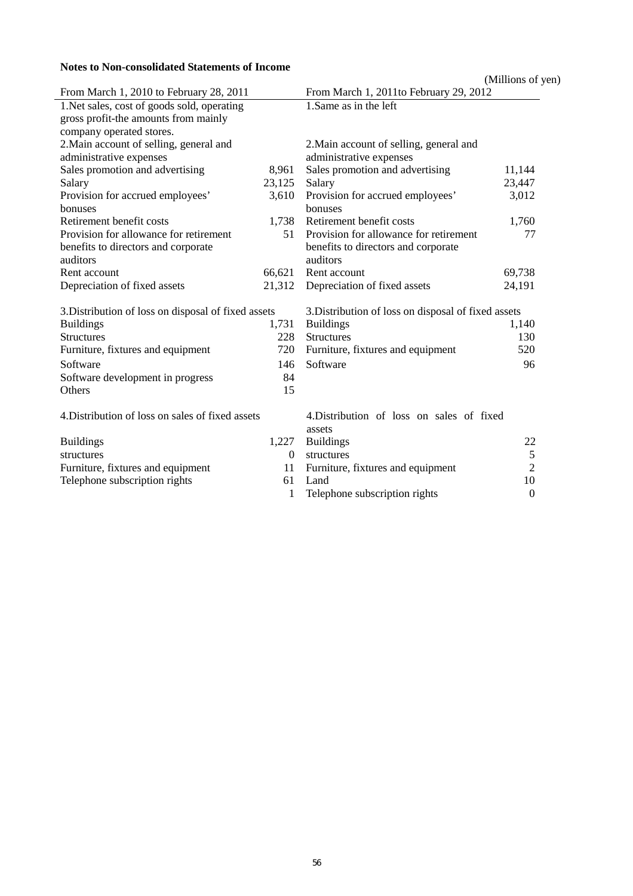## **Notes to Non-consolidated Statements of Income**

| Notes to Non-consolidated Statements of Income      |          |                                                     |                   |
|-----------------------------------------------------|----------|-----------------------------------------------------|-------------------|
|                                                     |          |                                                     | (Millions of yen) |
| From March 1, 2010 to February 28, 2011             |          | From March 1, 2011 to February 29, 2012             |                   |
| 1. Net sales, cost of goods sold, operating         |          | 1. Same as in the left                              |                   |
| gross profit-the amounts from mainly                |          |                                                     |                   |
| company operated stores.                            |          |                                                     |                   |
| 2. Main account of selling, general and             |          | 2. Main account of selling, general and             |                   |
| administrative expenses                             |          | administrative expenses                             |                   |
| Sales promotion and advertising                     | 8,961    | Sales promotion and advertising                     | 11,144            |
| Salary                                              | 23,125   | Salary                                              | 23,447            |
| Provision for accrued employees'                    | 3,610    | Provision for accrued employees'                    | 3,012             |
| bonuses                                             |          | bonuses                                             |                   |
| Retirement benefit costs                            | 1,738    | Retirement benefit costs                            | 1,760             |
| Provision for allowance for retirement              | 51       | Provision for allowance for retirement              | 77                |
| benefits to directors and corporate                 |          | benefits to directors and corporate                 |                   |
| auditors                                            |          | auditors                                            |                   |
| Rent account                                        | 66,621   | Rent account                                        | 69,738            |
| Depreciation of fixed assets                        | 21,312   | Depreciation of fixed assets                        | 24,191            |
| 3. Distribution of loss on disposal of fixed assets |          | 3. Distribution of loss on disposal of fixed assets |                   |
| <b>Buildings</b>                                    | 1,731    | <b>Buildings</b>                                    | 1,140             |
| <b>Structures</b>                                   | 228      | Structures                                          | 130               |
| Furniture, fixtures and equipment                   | 720      | Furniture, fixtures and equipment                   | 520               |
| Software                                            | 146      | Software                                            | 96                |
| Software development in progress                    | 84       |                                                     |                   |
| Others                                              | 15       |                                                     |                   |
| 4. Distribution of loss on sales of fixed assets    |          | 4. Distribution of loss on sales of fixed           |                   |
|                                                     |          | assets                                              |                   |
| <b>Buildings</b>                                    | 1,227    | <b>Buildings</b>                                    | 22                |
| structures                                          | $\theta$ | structures                                          | 5                 |
| Furniture, fixtures and equipment                   | 11       | Furniture, fixtures and equipment                   | $\overline{2}$    |
| Telephone subscription rights                       | 61       | Land                                                | 10                |
|                                                     | 1        | Telephone subscription rights                       | $\boldsymbol{0}$  |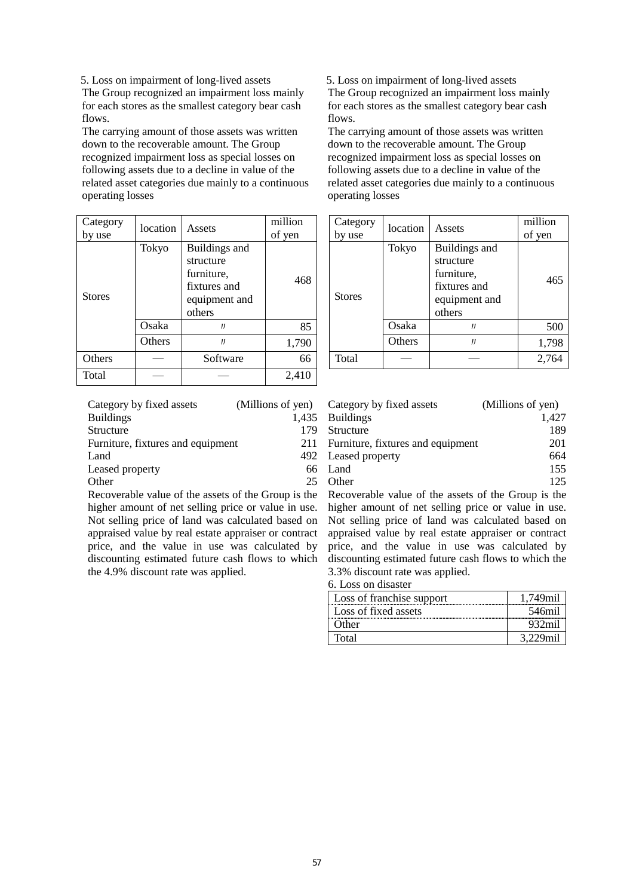5. Loss on impairment of long-lived assets The Group recognized an impairment loss mainly for each stores as the smallest category bear cash flows.

The carrying amount of those assets was written down to the recoverable amount. The Group recognized impairment loss as special losses on following assets due to a decline in value of the related asset categories due mainly to a continuous operating losses

| Category<br>by use | location | Assets                                                                              | million<br>of yen |
|--------------------|----------|-------------------------------------------------------------------------------------|-------------------|
| <b>Stores</b>      | Tokyo    | Buildings and<br>structure<br>furniture,<br>fixtures and<br>equipment and<br>others | 468               |
|                    | Osaka    | $_{II}$                                                                             | 85                |
|                    | Others   | $_{II}$                                                                             | 1,790             |
| <b>Others</b>      |          | Software                                                                            | 66                |
| Total              |          |                                                                                     | 2,410             |

| Category by fixed assets          |       | (Millions of yen) Category by fixed assets | (Millions of yen) |
|-----------------------------------|-------|--------------------------------------------|-------------------|
| <b>Buildings</b>                  | 1.435 | <b>Buildings</b>                           | 1.427             |
| Structure                         | 179   | Structure                                  | 189               |
| Furniture, fixtures and equipment |       | 211 Furniture, fixtures and equipment      | 201               |
| Land                              |       | 492 Leased property                        | 664               |
| Leased property                   |       | 66 Land                                    | 155               |
| Other                             |       | Other                                      | 125               |

Recoverable value of the assets of the Group is the higher amount of net selling price or value in use. Not selling price of land was calculated based on appraised value by real estate appraiser or contract price, and the value in use was calculated by discounting estimated future cash flows to which the 4.9% discount rate was applied.

5. Loss on impairment of long-lived assets The Group recognized an impairment loss mainly for each stores as the smallest category bear cash flows.

The carrying amount of those assets was written down to the recoverable amount. The Group recognized impairment loss as special losses on following assets due to a decline in value of the related asset categories due mainly to a continuous operating losses

| Category<br>by use | location | Assets                                                                              | million<br>of yen | Category<br>by use | location | Assets                                                                              | million<br>of yen |
|--------------------|----------|-------------------------------------------------------------------------------------|-------------------|--------------------|----------|-------------------------------------------------------------------------------------|-------------------|
| <b>Stores</b>      | Tokyo    | Buildings and<br>structure<br>furniture,<br>fixtures and<br>equipment and<br>others | 468               | <b>Stores</b>      | Tokyo    | Buildings and<br>structure<br>furniture,<br>fixtures and<br>equipment and<br>others | 465               |
|                    | Osaka    | Л                                                                                   | 85                |                    | Osaka    | Л                                                                                   | 500               |
|                    | Others   | IJ                                                                                  | 1,790             |                    | Others   | IJ                                                                                  | 1,798             |
| Others             |          | Software                                                                            | 66                | Total              |          |                                                                                     | 2,764             |

| Category by fixed assets          |     | (Millions of yen) Category by fixed assets | (Millions of yen) |
|-----------------------------------|-----|--------------------------------------------|-------------------|
| <b>Buildings</b>                  |     | 1,435 Buildings                            | 1.427             |
| Structure                         | 179 | Structure                                  | 189               |
| Furniture, fixtures and equipment |     | 211 Furniture, fixtures and equipment      | 201               |
| Land                              |     | 492 Leased property                        | 664               |
| Leased property                   |     | 66 Land                                    | 155               |
| Other                             |     | Other                                      | 125               |

Recoverable value of the assets of the Group is the higher amount of net selling price or value in use. Not selling price of land was calculated based on appraised value by real estate appraiser or contract price, and the value in use was calculated by discounting estimated future cash flows to which the 3.3% discount rate was applied.

6. Loss on disaster

| Loss of franchise support |  |
|---------------------------|--|
| Loss of fixed assets      |  |
| Other.                    |  |
| Total                     |  |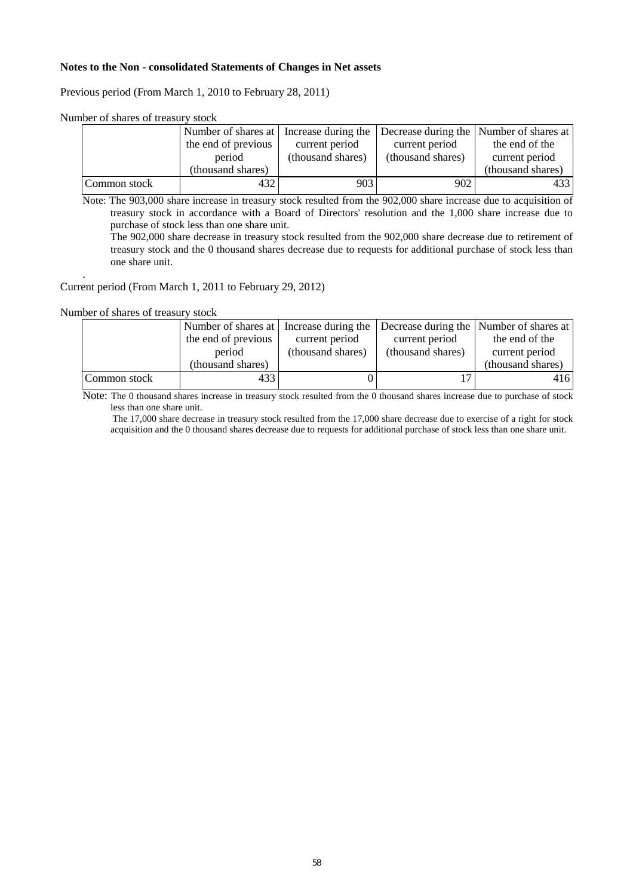#### **Notes to the Non - consolidated Statements of Changes in Net assets**

Previous period (From March 1, 2010 to February 28, 2011)

|              | Number of shares at Increase during the |                   |                   | Decrease during the Number of shares at |
|--------------|-----------------------------------------|-------------------|-------------------|-----------------------------------------|
|              | the end of previous                     | current period    | current period    | the end of the                          |
|              | period                                  | (thousand shares) | (thousand shares) | current period                          |
|              | (thousand shares)                       |                   |                   | (thousand shares)                       |
| Common stock | 432                                     | 903               | 902               | 4331                                    |

Note: The 903,000 share increase in treasury stock resulted from the 902,000 share increase due to acquisition of treasury stock in accordance with a Board of Directors' resolution and the 1,000 share increase due to purchase of stock less than one share unit.

The 902,000 share decrease in treasury stock resulted from the 902,000 share decrease due to retirement of treasury stock and the 0 thousand shares decrease due to requests for additional purchase of stock less than one share unit.

#### . Current period (From March 1, 2011 to February 29, 2012)

#### Number of shares of treasury stock

|              | Number of shares at Increase during the |                   |                   | Decrease during the Number of shares at |
|--------------|-----------------------------------------|-------------------|-------------------|-----------------------------------------|
|              | the end of previous                     | current period    | current period    | the end of the                          |
|              | period                                  | (thousand shares) | (thousand shares) | current period                          |
|              | (thousand shares)                       |                   |                   | (thousand shares)                       |
| Common stock | 433                                     |                   |                   | 416                                     |

Note: The 0 thousand shares increase in treasury stock resulted from the 0 thousand shares increase due to purchase of stock less than one share unit.

The 17,000 share decrease in treasury stock resulted from the 17,000 share decrease due to exercise of a right for stock acquisition and the 0 thousand shares decrease due to requests for additional purchase of stock less than one share unit.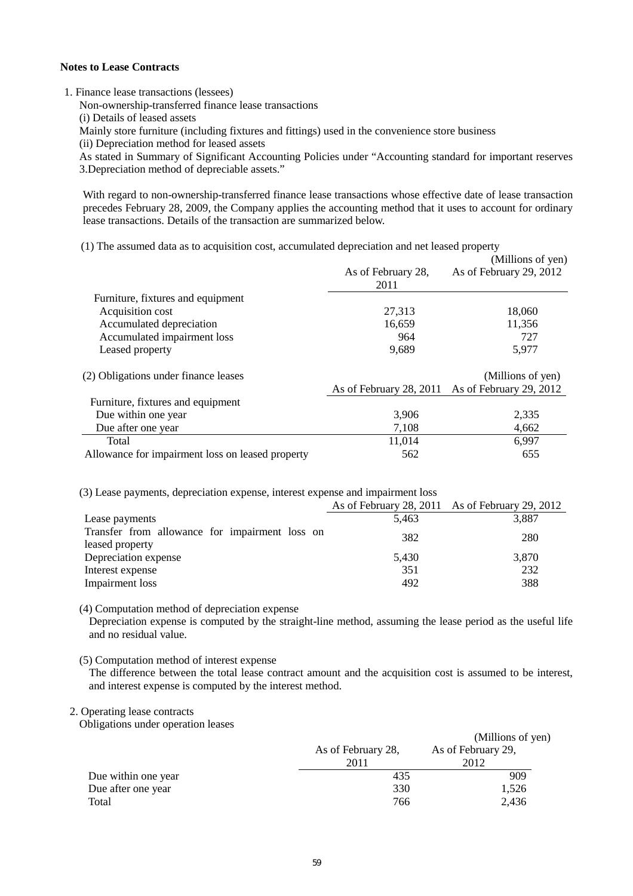### **Notes to Lease Contracts**

1. Finance lease transactions (lessees)

Non-ownership-transferred finance lease transactions

(i) Details of leased assets

Mainly store furniture (including fixtures and fittings) used in the convenience store business

(ii) Depreciation method for leased assets

As stated in Summary of Significant Accounting Policies under "Accounting standard for important reserves 3.Depreciation method of depreciable assets."

With regard to non-ownership-transferred finance lease transactions whose effective date of lease transaction precedes February 28, 2009, the Company applies the accounting method that it uses to account for ordinary lease transactions. Details of the transaction are summarized below.

(1) The assumed data as to acquisition cost, accumulated depreciation and net leased property

|                                                  |                    | (Millions of yen)                               |
|--------------------------------------------------|--------------------|-------------------------------------------------|
|                                                  | As of February 28, | As of February 29, 2012                         |
|                                                  | 2011               |                                                 |
| Furniture, fixtures and equipment                |                    |                                                 |
| Acquisition cost                                 | 27,313             | 18,060                                          |
| Accumulated depreciation                         | 16,659             | 11,356                                          |
| Accumulated impairment loss                      | 964                | 727                                             |
| Leased property                                  | 9,689              | 5,977                                           |
| (2) Obligations under finance leases             |                    | (Millions of yen)                               |
|                                                  |                    | As of February 28, 2011 As of February 29, 2012 |
| Furniture, fixtures and equipment                |                    |                                                 |
| Due within one year                              | 3,906              | 2,335                                           |
| Due after one year                               | 7,108              | 4,662                                           |
| Total                                            | 11,014             | 6,997                                           |
| Allowance for impairment loss on leased property | 562                | 655                                             |

(3) Lease payments, depreciation expense, interest expense and impairment loss

|                                                                   |       | As of February 28, 2011 As of February 29, 2012 |
|-------------------------------------------------------------------|-------|-------------------------------------------------|
| Lease payments                                                    | 5,463 | 3,887                                           |
| Transfer from allowance for impairment loss on<br>leased property | 382   | 280                                             |
| Depreciation expense                                              | 5,430 | 3,870                                           |
| Interest expense                                                  | 351   | 232                                             |
| Impairment loss                                                   | 492   | 388                                             |

(4) Computation method of depreciation expense

Depreciation expense is computed by the straight-line method, assuming the lease period as the useful life and no residual value.

(5) Computation method of interest expense

The difference between the total lease contract amount and the acquisition cost is assumed to be interest, and interest expense is computed by the interest method.

## 2. Operating lease contracts

Obligations under operation leases

| Joligations under operation leases |                    | (Millions of yen)  |
|------------------------------------|--------------------|--------------------|
|                                    | As of February 28, | As of February 29, |
|                                    | 2011               | 2012               |
| Due within one year                | 435                | 909                |
| Due after one year                 | 330                | 1,526              |
| Total                              | 766                | 2.436              |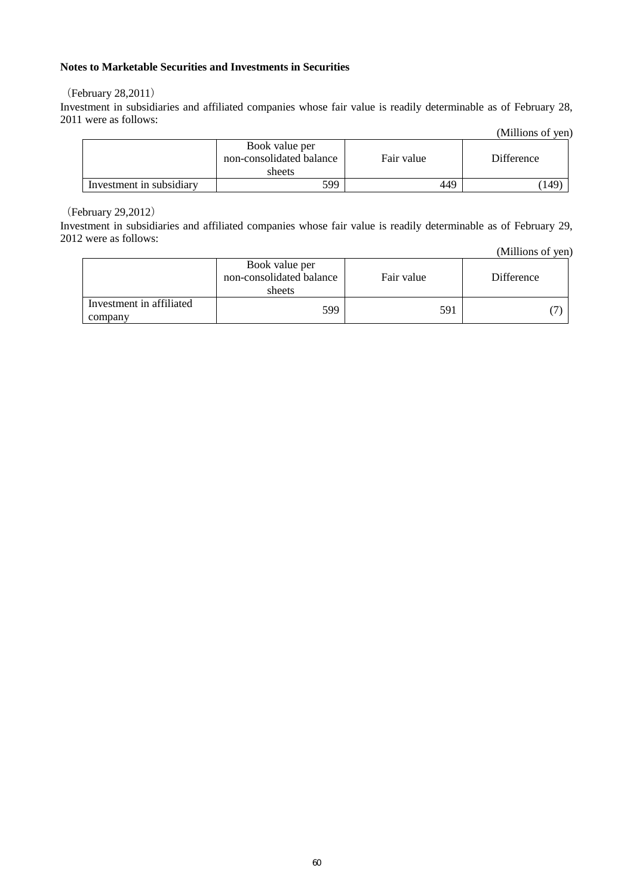## **Notes to Marketable Securities and Investments in Securities**

### (February 28,2011)

Investment in subsidiaries and affiliated companies whose fair value is readily determinable as of February 28, 2011 were as follows:

|                          |                                                      |            | (Millions of yen) |
|--------------------------|------------------------------------------------------|------------|-------------------|
|                          | Book value per<br>non-consolidated balance<br>sheets | Fair value | Difference        |
| Investment in subsidiary | 599                                                  | 449        | $149^\circ$       |

(February 29,2012)

Investment in subsidiaries and affiliated companies whose fair value is readily determinable as of February 29, 2012 were as follows:

|                                     |                                                      |            | (Millions of yen) |
|-------------------------------------|------------------------------------------------------|------------|-------------------|
|                                     | Book value per<br>non-consolidated balance<br>sheets | Fair value | <b>Difference</b> |
| Investment in affiliated<br>company | 599                                                  | 591        |                   |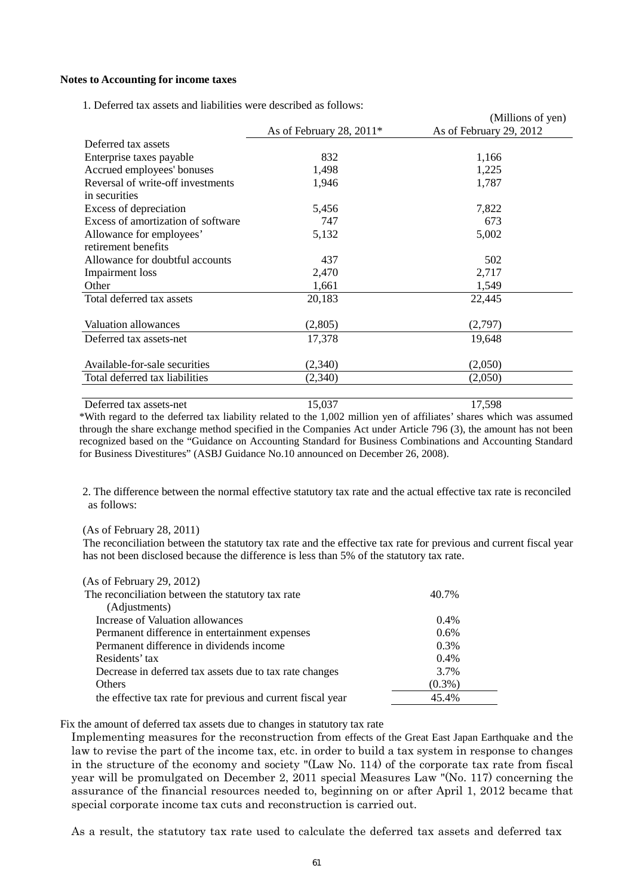#### **Notes to Accounting for income taxes**

|                                    |                            | (Millions of yen)       |
|------------------------------------|----------------------------|-------------------------|
|                                    | As of February 28, $2011*$ | As of February 29, 2012 |
| Deferred tax assets                |                            |                         |
| Enterprise taxes payable           | 832                        | 1,166                   |
| Accrued employees' bonuses         | 1,498                      | 1,225                   |
| Reversal of write-off investments  | 1,946                      | 1,787                   |
| in securities                      |                            |                         |
| Excess of depreciation             | 5,456                      | 7,822                   |
| Excess of amortization of software | 747                        | 673                     |
| Allowance for employees'           | 5,132                      | 5,002                   |
| retirement benefits                |                            |                         |
| Allowance for doubtful accounts    | 437                        | 502                     |
| Impairment loss                    | 2,470                      | 2,717                   |
| Other                              | 1,661                      | 1,549                   |
| Total deferred tax assets          | 20,183                     | 22,445                  |
|                                    |                            |                         |
| Valuation allowances               | (2,805)                    | (2,797)                 |
| Deferred tax assets-net            | 17,378                     | 19,648                  |
|                                    |                            |                         |
| Available-for-sale securities      | (2,340)                    | (2,050)                 |
| Total deferred tax liabilities     | (2,340)                    | (2,050)                 |
|                                    |                            |                         |

1. Deferred tax assets and liabilities were described as follows:

Deferred tax assets-net 15,037 17,598 \*With regard to the deferred tax liability related to the 1,002 million yen of affiliates' shares which was assumed through the share exchange method specified in the Companies Act under Article 796 (3), the amount has not been recognized based on the "Guidance on Accounting Standard for Business Combinations and Accounting Standard for Business Divestitures" (ASBJ Guidance No.10 announced on December 26, 2008).

2. The difference between the normal effective statutory tax rate and the actual effective tax rate is reconciled as follows:

#### (As of February 28, 2011)

The reconciliation between the statutory tax rate and the effective tax rate for previous and current fiscal year has not been disclosed because the difference is less than 5% of the statutory tax rate.

| (As of February 29, 2012)                                   |           |
|-------------------------------------------------------------|-----------|
| The reconciliation between the statutory tax rate           | 40.7%     |
| (Adjustments)                                               |           |
| Increase of Valuation allowances                            | $0.4\%$   |
| Permanent difference in entertainment expenses              | $0.6\%$   |
| Permanent difference in dividends income                    | $0.3\%$   |
| Residents' tax                                              | $0.4\%$   |
| Decrease in deferred tax assets due to tax rate changes     | 3.7%      |
| Others                                                      | $(0.3\%)$ |
| the effective tax rate for previous and current fiscal year | 45.4%     |

Fix the amount of deferred tax assets due to changes in statutory tax rate

Implementing measures for the reconstruction from effects of the Great East Japan Earthquake and the law to revise the part of the income tax, etc. in order to build a tax system in response to changes in the structure of the economy and society "(Law No. 114) of the corporate tax rate from fiscal year will be promulgated on December 2, 2011 special Measures Law "(No. 117) concerning the assurance of the financial resources needed to, beginning on or after April 1, 2012 became that special corporate income tax cuts and reconstruction is carried out.

As a result, the statutory tax rate used to calculate the deferred tax assets and deferred tax